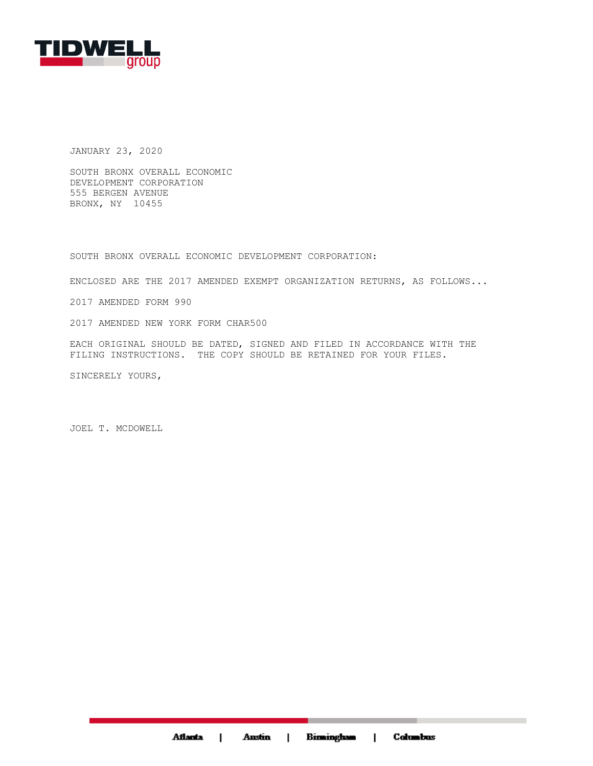

JANUARY 23, 2020

SOUTH BRONX OVERALL ECONOMIC DEVELOPMENT CORPORATION 555 BERGEN AVENUE BRONX, NY 10455

SOUTH BRONX OVERALL ECONOMIC DEVELOPMENT CORPORATION:

ENCLOSED ARE THE 2017 AMENDED EXEMPT ORGANIZATION RETURNS, AS FOLLOWS...

2017 AMENDED FORM 990

2017 AMENDED NEW YORK FORM CHAR500

EACH ORIGINAL SHOULD BE DATED, SIGNED AND FILED IN ACCORDANCE WITH THE FILING INSTRUCTIONS. THE COPY SHOULD BE RETAINED FOR YOUR FILES.

SINCERELY YOURS,

JOEL T. MCDOWELL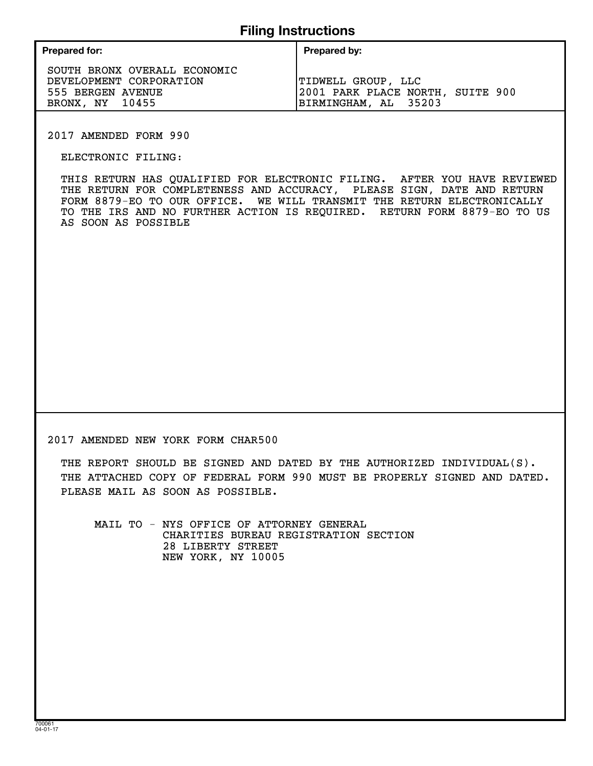# **Filing Instructions**

| <b>Prepared for:</b> | Prepared by: |
|----------------------|--------------|
|                      |              |

SOUTH BRONX OVERALL ECONOMIC DEVELOPMENT CORPORATION TIDWELL GROUP, LLC BRONX, NY 10455 BIRMINGHAM, AL 35203

555 BERGEN AVENUE 2001 PARK PLACE NORTH, SUITE 900

2017 AMENDED FORM 990

ELECTRONIC FILING:

THIS RETURN HAS QUALIFIED FOR ELECTRONIC FILING. AFTER YOU HAVE REVIEWED THE RETURN FOR COMPLETENESS AND ACCURACY, PLEASE SIGN, DATE AND RETURN FORM 8879-EO TO OUR OFFICE. WE WILL TRANSMIT THE RETURN ELECTRONICALLY TO THE IRS AND NO FURTHER ACTION IS REQUIRED. RETURN FORM 8879-EO TO US AS SOON AS POSSIBLE

2017 AMENDED NEW YORK FORM CHAR500

THE REPORT SHOULD BE SIGNED AND DATED BY THE AUTHORIZED INDIVIDUAL(S). THE ATTACHED COPY OF FEDERAL FORM 990 MUST BE PROPERLY SIGNED AND DATED. PLEASE MAIL AS SOON AS POSSIBLE.

MAIL TO - NYS OFFICE OF ATTORNEY GENERAL CHARITIES BUREAU REGISTRATION SECTION 28 LIBERTY STREET NEW YORK, NY 10005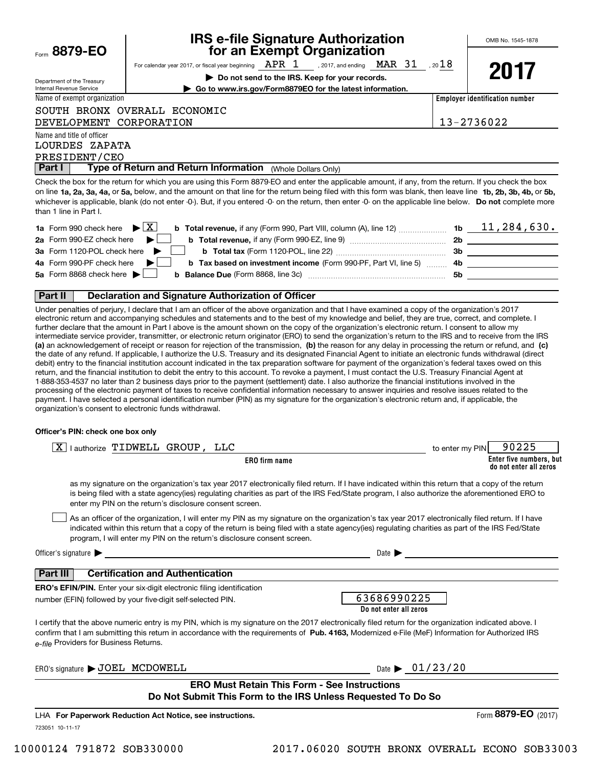Form**8879-EO**

Department of the Treasury Internal Revenue Service

# **IRS e-file Signature Authorization for an Exempt Organization**

For calendar year 2017, or fiscal year beginning  $\rm{\; APR}$  ,  $\rm{1}$  ,  $_{2017,}$  and ending  $\rm{\; MAR}$   $\rm{\; 31}$  ,  $_{20}18$ 

**| Do not send to the IRS. Keep for your records.**

| $\mathbf T$<br>J |  |
|------------------|--|
|------------------|--|

Name of exempt organization

**| Go to www.irs.gov/Form8879EO for the latest information.**

DEVELOPMENT CORPORATION 13-2736022

**Employer identification number**

Name and title of officer LOURDES ZAPATA

SOUTH BRONX OVERALL ECONOMIC

**Part I** | Type of Return and Return Information (Whole Dollars Only) PRESIDENT/CEO

on line **1a, 2a, 3a, 4a,** or **5a,** below, and the amount on that line for the return being filed with this form was blank, then leave line **1b, 2b, 3b, 4b,** or **5b,** whichever is applicable, blank (do not enter -0-). But, if you entered -0- on the return, then enter -0- on the applicable line below. **Do not** complete more Check the box for the return for which you are using this Form 8879-EO and enter the applicable amount, if any, from the return. If you check the box than 1 line in Part I.

| <b>1a</b> Form 990 check here $\blacktriangleright \begin{bmatrix} X \end{bmatrix}$                                          | 1b | 11, 284, 630. |
|------------------------------------------------------------------------------------------------------------------------------|----|---------------|
| 2a Form 990-EZ check here $\blacktriangleright$<br><b>b</b> Total revenue, if any (Form 990-EZ, line 9)                      | 2b |               |
| 3a Form 1120-POL check here $\blacktriangleright$  <br><b>b</b> Total tax (Form 1120-POL, line 22) <b>manual</b>             | 3b |               |
| 4a Form 990-PF check here $\blacktriangleright$<br><b>b</b> Tax based on investment income (Form 990-PF, Part VI, line 5) 4b |    |               |
| 5a Form 8868 check here $\blacktriangleright$<br><b>b</b> Balance Due (Form 8868, line 3c)                                   | 5b |               |
|                                                                                                                              |    |               |

### **Part II Declaration and Signature Authorization of Officer**

**(a)** an acknowledgement of receipt or reason for rejection of the transmission, (b) the reason for any delay in processing the return or refund, and (c) Under penalties of perjury, I declare that I am an officer of the above organization and that I have examined a copy of the organization's 2017 electronic return and accompanying schedules and statements and to the best of my knowledge and belief, they are true, correct, and complete. I further declare that the amount in Part I above is the amount shown on the copy of the organization's electronic return. I consent to allow my intermediate service provider, transmitter, or electronic return originator (ERO) to send the organization's return to the IRS and to receive from the IRS the date of any refund. If applicable, I authorize the U.S. Treasury and its designated Financial Agent to initiate an electronic funds withdrawal (direct debit) entry to the financial institution account indicated in the tax preparation software for payment of the organization's federal taxes owed on this return, and the financial institution to debit the entry to this account. To revoke a payment, I must contact the U.S. Treasury Financial Agent at 1-888-353-4537 no later than 2 business days prior to the payment (settlement) date. I also authorize the financial institutions involved in the processing of the electronic payment of taxes to receive confidential information necessary to answer inquiries and resolve issues related to the payment. I have selected a personal identification number (PIN) as my signature for the organization's electronic return and, if applicable, the organization's consent to electronic funds withdrawal.

### **Officer's PIN: check one box only**

| $\boxed{X}$   authorize TIDWELL GROUP, LLC                                                                                                                                                                                                                                                                                                                                       | to enter my PIN                       | 90225                                             |
|----------------------------------------------------------------------------------------------------------------------------------------------------------------------------------------------------------------------------------------------------------------------------------------------------------------------------------------------------------------------------------|---------------------------------------|---------------------------------------------------|
| ERO firm name                                                                                                                                                                                                                                                                                                                                                                    |                                       | Enter five numbers, but<br>do not enter all zeros |
| as my signature on the organization's tax year 2017 electronically filed return. If I have indicated within this return that a copy of the return<br>is being filed with a state agency(ies) regulating charities as part of the IRS Fed/State program, I also authorize the aforementioned ERO to<br>enter my PIN on the return's disclosure consent screen.                    |                                       |                                                   |
| As an officer of the organization, I will enter my PIN as my signature on the organization's tax year 2017 electronically filed return. If I have<br>indicated within this return that a copy of the return is being filed with a state agency(ies) regulating charities as part of the IRS Fed/State<br>program, I will enter my PIN on the return's disclosure consent screen. |                                       |                                                   |
| Officer's signature $\blacktriangleright$                                                                                                                                                                                                                                                                                                                                        | Date $\blacktriangleright$            |                                                   |
| <b>Certification and Authentication</b><br><b>Part III</b>                                                                                                                                                                                                                                                                                                                       |                                       |                                                   |
| <b>ERO's EFIN/PIN.</b> Enter your six-digit electronic filing identification<br>number (EFIN) followed by your five-digit self-selected PIN.                                                                                                                                                                                                                                     | 63686990225<br>Do not enter all zeros |                                                   |
| I certify that the above numeric entry is my PIN, which is my signature on the 2017 electronically filed return for the organization indicated above. I<br>confirm that I am submitting this return in accordance with the requirements of Pub. 4163, Modernized e-File (MeF) Information for Authorized IRS<br>e-file Providers for Business Returns.                           |                                       |                                                   |
| ERO's signature > JOEL MCDOWELL                                                                                                                                                                                                                                                                                                                                                  | Date $\triangleright$ 01/23/20        |                                                   |
| <b>ERO Must Retain This Form - See Instructions</b><br>Do Not Submit This Form to the IRS Unless Requested To Do So                                                                                                                                                                                                                                                              |                                       |                                                   |
| LHA For Paperwork Reduction Act Notice, see instructions.                                                                                                                                                                                                                                                                                                                        |                                       | Form 8879-EO (2017)                               |

723051 10-11-17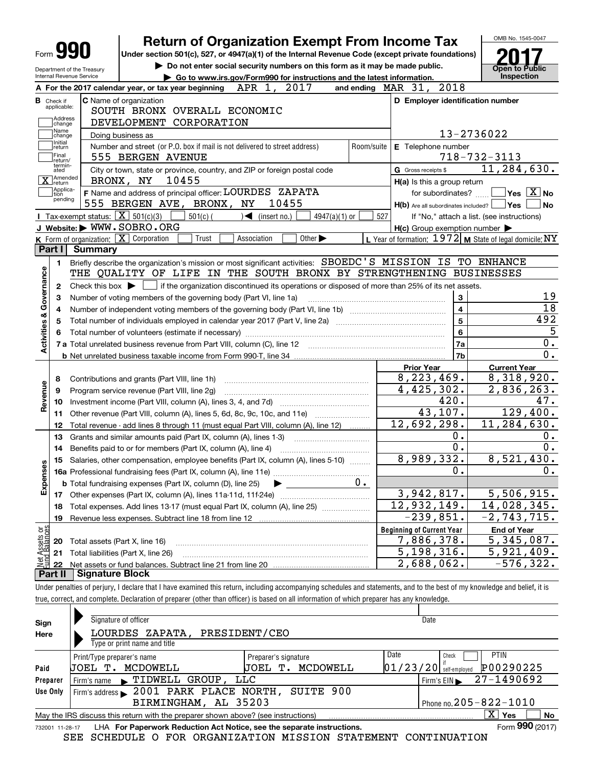|                                                                  | <b>Return of Organization Exempt From Income Tax</b>                                                                                        |                              |                                                            | OMB No. 1545-0047                                                                                                                                                                             |
|------------------------------------------------------------------|---------------------------------------------------------------------------------------------------------------------------------------------|------------------------------|------------------------------------------------------------|-----------------------------------------------------------------------------------------------------------------------------------------------------------------------------------------------|
| Form JY                                                          | Under section 501(c), 527, or 4947(a)(1) of the Internal Revenue Code (except private foundations)                                          |                              |                                                            |                                                                                                                                                                                               |
| Department of the Treasury                                       | Do not enter social security numbers on this form as it may be made public.                                                                 |                              |                                                            | Open to Public                                                                                                                                                                                |
| Internal Revenue Service                                         | Go to www.irs.gov/Form990 for instructions and the latest information.                                                                      |                              |                                                            | <b>Inspection</b>                                                                                                                                                                             |
|                                                                  | A For the 2017 calendar year, or tax year beginning $APR$ 1, $2017$                                                                         | and ending $\n  MAR\n  31$ , | 2018                                                       |                                                                                                                                                                                               |
| <b>B</b> Check if<br>applicable:                                 | <b>C</b> Name of organization                                                                                                               |                              | D Employer identification number                           |                                                                                                                                                                                               |
| Address                                                          | SOUTH BRONX OVERALL ECONOMIC                                                                                                                |                              |                                                            |                                                                                                                                                                                               |
| change<br>Name                                                   | DEVELOPMENT CORPORATION                                                                                                                     |                              |                                                            |                                                                                                                                                                                               |
| change<br>Initial                                                | Doing business as                                                                                                                           |                              |                                                            | 13-2736022                                                                                                                                                                                    |
| return<br> Final                                                 | Number and street (or P.O. box if mail is not delivered to street address)<br>555 BERGEN AVENUE                                             | Room/suite                   | E Telephone number                                         | $718 - 732 - 3113$                                                                                                                                                                            |
| return/<br>termin-                                               |                                                                                                                                             |                              | G Gross receipts \$                                        | 11, 284, 630.                                                                                                                                                                                 |
| ated<br>]Amended                                                 | City or town, state or province, country, and ZIP or foreign postal code<br>10455<br>BRONX, NY                                              |                              |                                                            |                                                                                                                                                                                               |
| X return<br>Applica-                                             | F Name and address of principal officer: LOURDES ZAPATA                                                                                     |                              | H(a) Is this a group return                                | $\sqrt{}$ Yes $\sqrt{}$ X $\sqrt{}$ No                                                                                                                                                        |
| tion<br>pending                                                  | 555 BERGEN AVE, BRONX, NY<br>10455                                                                                                          |                              | for subordinates?<br>$H(b)$ Are all subordinates included? | Yes <br>No                                                                                                                                                                                    |
|                                                                  | Tax-exempt status: $\boxed{\mathbf{X}}$ 501(c)(3)<br>$501(c)$ (<br>$\sqrt{\phantom{a}}$ (insert no.)<br>$4947(a)(1)$ or                     | 527                          |                                                            | If "No," attach a list. (see instructions)                                                                                                                                                    |
|                                                                  | J Website: WWW.SOBRO.ORG                                                                                                                    |                              | $H(c)$ Group exemption number $\blacktriangleright$        |                                                                                                                                                                                               |
|                                                                  | K Form of organization: X Corporation<br>Trust<br>Association<br>Other $\blacktriangleright$                                                |                              | L Year of formation: 1972 M State of legal domicile: NY    |                                                                                                                                                                                               |
| Part I<br><b>Summary</b>                                         |                                                                                                                                             |                              |                                                            |                                                                                                                                                                                               |
| 1.                                                               | Briefly describe the organization's mission or most significant activities: SBOEDC'S MISSION IS TO ENHANCE                                  |                              |                                                            |                                                                                                                                                                                               |
| Activities & Governance                                          | THE QUALITY OF LIFE IN THE SOUTH BRONX BY STRENGTHENING BUSINESSES                                                                          |                              |                                                            |                                                                                                                                                                                               |
| 2                                                                | Check this box $\blacktriangleright$ $\Box$ if the organization discontinued its operations or disposed of more than 25% of its net assets. |                              |                                                            |                                                                                                                                                                                               |
| З                                                                | Number of voting members of the governing body (Part VI, line 1a)                                                                           |                              | 3                                                          | 19                                                                                                                                                                                            |
| 4                                                                |                                                                                                                                             |                              | $\overline{\mathbf{4}}$                                    | 18                                                                                                                                                                                            |
| 5                                                                |                                                                                                                                             |                              | 5                                                          | 492                                                                                                                                                                                           |
|                                                                  |                                                                                                                                             |                              | 6                                                          | 5                                                                                                                                                                                             |
|                                                                  | 7 a Total unrelated business revenue from Part VIII, column (C), line 12 [11] [12] [11] [12] [11] [11] [12] [1                              |                              | 7a                                                         | 0.                                                                                                                                                                                            |
|                                                                  |                                                                                                                                             |                              | 7b                                                         |                                                                                                                                                                                               |
|                                                                  |                                                                                                                                             |                              |                                                            |                                                                                                                                                                                               |
| 8                                                                |                                                                                                                                             |                              |                                                            |                                                                                                                                                                                               |
|                                                                  |                                                                                                                                             |                              | <b>Prior Year</b>                                          | <b>Current Year</b>                                                                                                                                                                           |
|                                                                  | Contributions and grants (Part VIII, line 1h)                                                                                               |                              | 8, 223, 469.                                               |                                                                                                                                                                                               |
| 9                                                                | Program service revenue (Part VIII, line 2g)                                                                                                |                              | 4,425,302.                                                 |                                                                                                                                                                                               |
| 10                                                               |                                                                                                                                             |                              | 420.                                                       |                                                                                                                                                                                               |
| 11                                                               | Other revenue (Part VIII, column (A), lines 5, 6d, 8c, 9c, 10c, and 11e)                                                                    |                              | 43,107.                                                    |                                                                                                                                                                                               |
| 12                                                               | Total revenue - add lines 8 through 11 (must equal Part VIII, column (A), line 12)                                                          |                              | 12,692,298.<br>0.                                          |                                                                                                                                                                                               |
| 13<br>14                                                         | Grants and similar amounts paid (Part IX, column (A), lines 1-3)                                                                            |                              | 0.                                                         |                                                                                                                                                                                               |
|                                                                  | Benefits paid to or for members (Part IX, column (A), line 4)                                                                               |                              |                                                            |                                                                                                                                                                                               |
|                                                                  | 15 Salaries, other compensation, employee benefits (Part IX, column (A), lines 5-10)                                                        |                              | 8,989,332.<br>0.                                           |                                                                                                                                                                                               |
|                                                                  |                                                                                                                                             | υ.                           |                                                            |                                                                                                                                                                                               |
|                                                                  | <b>b</b> Total fundraising expenses (Part IX, column (D), line 25)                                                                          |                              |                                                            |                                                                                                                                                                                               |
| 17<br>18                                                         |                                                                                                                                             |                              | 3,942,817.<br>12,932,149.                                  |                                                                                                                                                                                               |
| 19                                                               | Total expenses. Add lines 13-17 (must equal Part IX, column (A), line 25)                                                                   |                              |                                                            |                                                                                                                                                                                               |
|                                                                  | Revenue less expenses. Subtract line 18 from line 12                                                                                        |                              | $-239,851.$                                                |                                                                                                                                                                                               |
| 20                                                               |                                                                                                                                             |                              | <b>Beginning of Current Year</b><br>7,886,378.             | <b>End of Year</b>                                                                                                                                                                            |
|                                                                  | Total assets (Part X, line 16)                                                                                                              |                              |                                                            | 0.<br>8,318,920.<br>2,836,263.<br>47.<br>129,400.<br>$\overline{11}$ , 284, 630.<br>0.<br>0.<br>8,521,430.<br>0.<br>5,506,915.<br>14,028,345.<br>$-2, 743, 715.$<br>$\overline{5,345}$ , 087. |
| Revenue<br>w<br>Expense<br>t Assets or<br>d Balances<br>21<br>22 | Total liabilities (Part X, line 26)                                                                                                         |                              | 5, 198, 316.<br>2,688,062.                                 | $\overline{5,921},409.$<br>$-576, 322.$                                                                                                                                                       |

true, correct, and complete. Declaration of preparer (other than officer) is based on all information of which preparer has any knowledge.

| Sign     | Signature of officer                                                                                                   |                        | Date     |                            |  |  |  |
|----------|------------------------------------------------------------------------------------------------------------------------|------------------------|----------|----------------------------|--|--|--|
| Here     | ZAPATA, PRESIDENT/CEO<br>LOURDES                                                                                       |                        |          |                            |  |  |  |
|          | Type or print name and title                                                                                           |                        |          |                            |  |  |  |
|          | Print/Type preparer's name                                                                                             | Preparer's signature   | Date     | <b>PTIN</b><br>Check       |  |  |  |
| Paid     | MCDOWELL<br>UOEL T.                                                                                                    | MCDOWELL<br>UOEL<br>т. | 01/23/20 | P00290225<br>self-emploved |  |  |  |
| Preparer | Firm's name $\blacktriangleright$ TIDWELL GROUP,                                                                       | LLC                    |          | 27-1490692<br>Firm's $EIN$ |  |  |  |
| Use Only | Firm's address $\blacktriangleright$ 2001 PARK PLACE NORTH,                                                            |                        |          |                            |  |  |  |
|          | Phone no. $205 - 822 - 1010$<br>BIRMINGHAM, AL 35203                                                                   |                        |          |                            |  |  |  |
|          | $\overline{\mathrm{X}}$ Yes<br>No<br>May the IRS discuss this return with the preparer shown above? (see instructions) |                        |          |                            |  |  |  |
|          | Form 990 (2017)<br>LHA For Paperwork Reduction Act Notice, see the separate instructions.<br>732001 11-28-17           |                        |          |                            |  |  |  |

SEE SCHEDULE O FOR ORGANIZATION MISSION STATEMENT CONTINUATION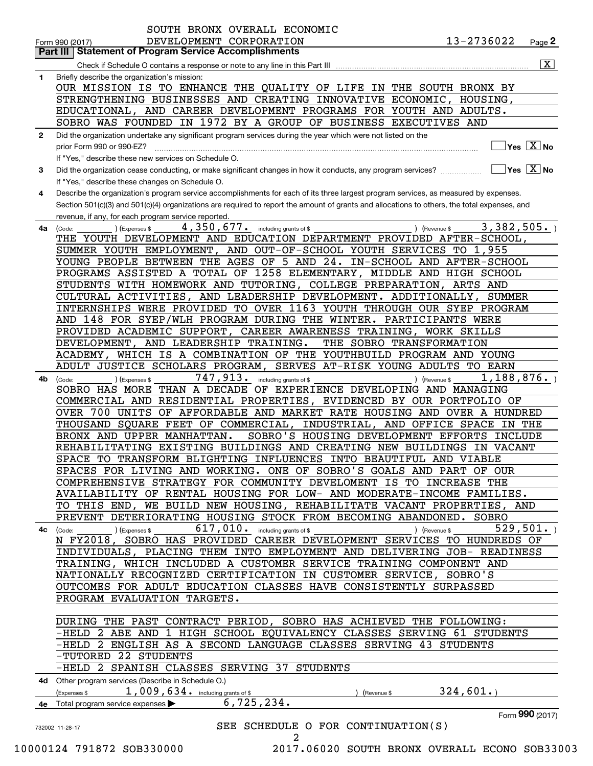|    | 13-2736022<br>DEVELOPMENT CORPORATION<br>Page 2<br>Form 990 (2017)<br><b>Statement of Program Service Accomplishments</b><br>Part III        |
|----|----------------------------------------------------------------------------------------------------------------------------------------------|
|    | $\overline{\mathbf{x}}$                                                                                                                      |
| 1  | Briefly describe the organization's mission:                                                                                                 |
|    | OUR MISSION IS TO ENHANCE THE QUALITY OF LIFE IN THE SOUTH BRONX BY                                                                          |
|    | STRENGTHENING BUSINESSES AND CREATING INNOVATIVE ECONOMIC, HOUSING,                                                                          |
|    | EDUCATIONAL, AND CAREER DEVELOPMENT PROGRAMS FOR YOUTH AND ADULTS.                                                                           |
|    |                                                                                                                                              |
|    | SOBRO WAS FOUNDED IN 1972 BY A GROUP OF BUSINESS EXECUTIVES AND                                                                              |
| 2  | Did the organization undertake any significant program services during the year which were not listed on the                                 |
|    | $Yes \quad X$ No<br>prior Form 990 or 990-EZ?                                                                                                |
|    | If "Yes," describe these new services on Schedule O.                                                                                         |
| 3  | $\overline{\mathsf{Yes}\mathrel{\hspace{0.05cm}\mathbf{X}}$ No                                                                               |
|    | If "Yes," describe these changes on Schedule O.                                                                                              |
| 4  | Describe the organization's program service accomplishments for each of its three largest program services, as measured by expenses.         |
|    | Section 501(c)(3) and 501(c)(4) organizations are required to report the amount of grants and allocations to others, the total expenses, and |
|    | revenue, if any, for each program service reported.                                                                                          |
| 4a | 3,382,505.<br>4, 350, 677. including grants of \$<br>) (Revenue \$<br>(Expenses \$<br>(Code:                                                 |
|    | THE YOUTH DEVELOPMENT AND EDUCATION DEPARTMENT PROVIDED AFTER-SCHOOL,                                                                        |
|    | SUMMER YOUTH EMPLOYMENT, AND OUT-OF-SCHOOL YOUTH SERVICES TO 1,955                                                                           |
|    | YOUNG PEOPLE BETWEEN THE AGES OF 5 AND 24. IN-SCHOOL AND AFTER-SCHOOL                                                                        |
|    | PROGRAMS ASSISTED A TOTAL OF 1258 ELEMENTARY, MIDDLE AND HIGH SCHOOL                                                                         |
|    | STUDENTS WITH HOMEWORK AND TUTORING, COLLEGE PREPARATION, ARTS AND                                                                           |
|    | CULTURAL ACTIVITIES, AND LEADERSHIP DEVELOPMENT. ADDITIONALLY,<br><b>SUMMER</b>                                                              |
|    | INTERNSHIPS WERE PROVIDED TO OVER 1163 YOUTH THROUGH OUR SYEP PROGRAM                                                                        |
|    |                                                                                                                                              |
|    | AND 148 FOR SYEP/WLH PROGRAM DURING THE WINTER. PARTICIPANTS WERE                                                                            |
|    | PROVIDED ACADEMIC SUPPORT, CAREER AWARENESS TRAINING, WORK SKILLS                                                                            |
|    | DEVELOPMENT, AND LEADERSHIP TRAINING.<br>THE SOBRO TRANSFORMATION                                                                            |
|    | ACADEMY, WHICH IS A COMBINATION OF THE<br>YOUTHBUILD PROGRAM AND YOUNG                                                                       |
|    | ADULT JUSTICE SCHOLARS PROGRAM, SERVES AT-RISK YOUNG ADULTS TO EARN                                                                          |
| 4b | 747,913.<br>1,188,876.<br>including grants of \$<br>) (Expenses \$<br>(Revenue \$<br>(Code:                                                  |
|    | SOBRO HAS MORE THAN A DECADE OF EXPERIENCE DEVELOPING AND MANAGING                                                                           |
|    | COMMERCIAL AND RESIDENTIAL PROPERTIES, EVIDENCED BY OUR PORTFOLIO OF                                                                         |
|    | OVER 700 UNITS OF AFFORDABLE AND MARKET RATE HOUSING AND OVER A HUNDRED                                                                      |
|    | THOUSAND SQUARE FEET OF COMMERCIAL,<br>INDUSTRIAL, AND OFFICE SPACE IN THE                                                                   |
|    | SOBRO'S HOUSING DEVELOPMENT EFFORTS INCLUDE<br>BRONX AND UPPER MANHATTAN.                                                                    |
|    | REHABILITATING EXISTING BUILDINGS AND CREATING NEW BUILDINGS IN VACANT                                                                       |
|    | SPACE TO TRANSFORM BLIGHTING INFLUENCES INTO BEAUTIFUL AND VIABLE                                                                            |
|    | SPACES FOR LIVING AND WORKING. ONE OF SOBRO'S GOALS AND PART OF OUR                                                                          |
|    | COMPREHENSIVE STRATEGY FOR COMMUNITY DEVELOMENT IS TO INCREASE THE                                                                           |
|    | AVAILABILITY OF RENTAL HOUSING FOR LOW- AND MODERATE-INCOME FAMILIES.                                                                        |
|    | TO THIS END, WE BUILD NEW HOUSING, REHABILITATE VACANT PROPERTIES, AND                                                                       |
|    | PREVENT DETERIORATING HOUSING STOCK FROM BECOMING ABANDONED. SOBRO                                                                           |
| 4с | $617,010$ . including grants of \$<br>529,501.<br>) (Expenses \$<br>) (Revenue \$<br>(Code:                                                  |
|    | N FY2018, SOBRO HAS PROVIDED CAREER DEVELOPMENT SERVICES TO HUNDREDS OF                                                                      |
|    | INDIVIDUALS, PLACING THEM INTO EMPLOYMENT AND DELIVERING JOB- READINESS                                                                      |
|    | TRAINING, WHICH INCLUDED A CUSTOMER SERVICE TRAINING COMPONENT AND                                                                           |
|    |                                                                                                                                              |
|    | NATIONALLY RECOGNIZED CERTIFICATION IN CUSTOMER SERVICE, SOBRO'S                                                                             |
|    | OUTCOMES FOR ADULT EDUCATION CLASSES HAVE CONSISTENTLY SURPASSED                                                                             |
|    | PROGRAM EVALUATION TARGETS.                                                                                                                  |
|    |                                                                                                                                              |
|    | DURING THE PAST CONTRACT PERIOD, SOBRO HAS ACHIEVED THE FOLLOWING:                                                                           |
|    | -HELD 2 ABE AND 1 HIGH SCHOOL EQUIVALENCY CLASSES SERVING 61 STUDENTS                                                                        |
|    | -HELD 2 ENGLISH AS A SECOND LANGUAGE CLASSES SERVING 43 STUDENTS                                                                             |
|    | -TUTORED 22 STUDENTS                                                                                                                         |
|    | -HELD 2 SPANISH CLASSES SERVING 37 STUDENTS                                                                                                  |
|    | 4d Other program services (Describe in Schedule O.)                                                                                          |
|    | 324,601.<br>$1,009,634$ . including grants of \$<br>Expenses \$<br>(Revenue \$                                                               |
|    | 6, 725, 234.<br>Total program service expenses                                                                                               |
|    |                                                                                                                                              |
|    | Form 990 (2017)                                                                                                                              |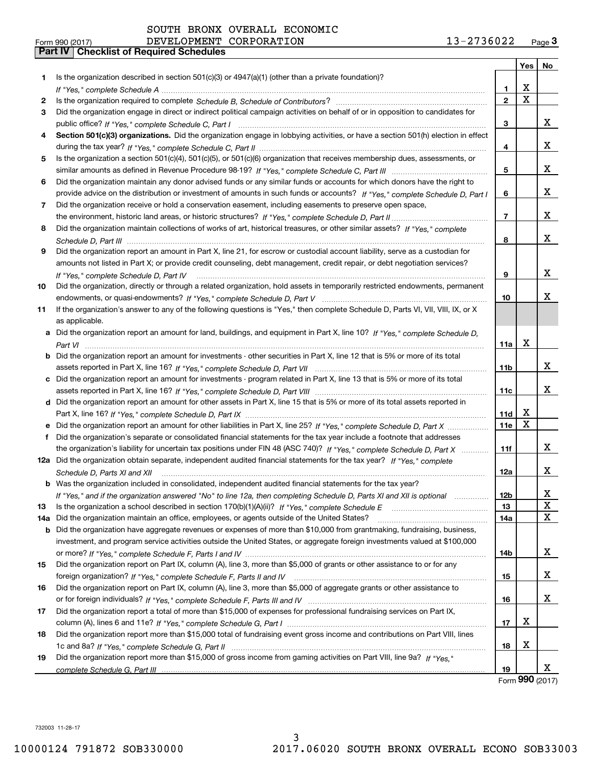SOUTH BRONX OVERALL ECONOMIC DEVELOPMENT CORPORATION

| Form 990 (2017) |                                                  | DEVELOPMENT CORPORATION | 13-2736022 | Page $3$ |
|-----------------|--------------------------------------------------|-------------------------|------------|----------|
|                 | <b>Part IV   Checklist of Required Schedules</b> |                         |            |          |

|     |                                                                                                                                      |                | Yes         | No |
|-----|--------------------------------------------------------------------------------------------------------------------------------------|----------------|-------------|----|
| 1.  | Is the organization described in section $501(c)(3)$ or $4947(a)(1)$ (other than a private foundation)?                              |                |             |    |
|     |                                                                                                                                      | 1              | х           |    |
| 2   |                                                                                                                                      | $\overline{2}$ | $\mathbf X$ |    |
| 3   | Did the organization engage in direct or indirect political campaign activities on behalf of or in opposition to candidates for      |                |             |    |
|     |                                                                                                                                      | 3              |             | X. |
| 4   | Section 501(c)(3) organizations. Did the organization engage in lobbying activities, or have a section 501(h) election in effect     |                |             |    |
|     |                                                                                                                                      | 4              |             | x  |
| 5   | Is the organization a section 501(c)(4), 501(c)(5), or 501(c)(6) organization that receives membership dues, assessments, or         |                |             |    |
|     |                                                                                                                                      | 5              |             | x  |
| 6   | Did the organization maintain any donor advised funds or any similar funds or accounts for which donors have the right to            |                |             |    |
|     | provide advice on the distribution or investment of amounts in such funds or accounts? If "Yes," complete Schedule D, Part I         | 6              |             | x  |
| 7   | Did the organization receive or hold a conservation easement, including easements to preserve open space,                            |                |             |    |
|     |                                                                                                                                      | $\overline{7}$ |             | x  |
| 8   | Did the organization maintain collections of works of art, historical treasures, or other similar assets? If "Yes," complete         |                |             |    |
|     |                                                                                                                                      | 8              |             | x  |
| 9   | Did the organization report an amount in Part X, line 21, for escrow or custodial account liability, serve as a custodian for        |                |             |    |
|     | amounts not listed in Part X; or provide credit counseling, debt management, credit repair, or debt negotiation services?            |                |             |    |
|     | If "Yes," complete Schedule D, Part IV                                                                                               | 9              |             | x  |
| 10  | Did the organization, directly or through a related organization, hold assets in temporarily restricted endowments, permanent        |                |             |    |
|     |                                                                                                                                      | 10             |             | x  |
| 11  | If the organization's answer to any of the following questions is "Yes," then complete Schedule D, Parts VI, VII, VIII, IX, or X     |                |             |    |
|     | as applicable.                                                                                                                       |                |             |    |
|     | a Did the organization report an amount for land, buildings, and equipment in Part X, line 10? If "Yes," complete Schedule D,        |                |             |    |
|     |                                                                                                                                      | 11a            | х           |    |
|     | <b>b</b> Did the organization report an amount for investments - other securities in Part X, line 12 that is 5% or more of its total |                |             |    |
|     |                                                                                                                                      | 11b            |             | x  |
|     | c Did the organization report an amount for investments - program related in Part X, line 13 that is 5% or more of its total         |                |             |    |
|     |                                                                                                                                      | 11c            |             | x  |
|     | d Did the organization report an amount for other assets in Part X, line 15 that is 5% or more of its total assets reported in       |                |             |    |
|     |                                                                                                                                      | 11d            | x           |    |
|     | e Did the organization report an amount for other liabilities in Part X, line 25? If "Yes," complete Schedule D, Part X              | 11e            | X           |    |
| f   | Did the organization's separate or consolidated financial statements for the tax year include a footnote that addresses              |                |             |    |
|     | the organization's liability for uncertain tax positions under FIN 48 (ASC 740)? If "Yes," complete Schedule D, Part X               | 11f            |             | x  |
|     | 12a Did the organization obtain separate, independent audited financial statements for the tax year? If "Yes," complete              |                |             |    |
|     | Schedule D, Parts XI and XII                                                                                                         | 12a            |             | x  |
|     | <b>b</b> Was the organization included in consolidated, independent audited financial statements for the tax year?                   |                |             |    |
|     | If "Yes," and if the organization answered "No" to line 12a, then completing Schedule D, Parts XI and XII is optional                | 12b            |             | х  |
| 13  |                                                                                                                                      | 13             |             | X  |
| 14a | Did the organization maintain an office, employees, or agents outside of the United States?                                          | 14a            |             | X  |
| b   | Did the organization have aggregate revenues or expenses of more than \$10,000 from grantmaking, fundraising, business,              |                |             |    |
|     | investment, and program service activities outside the United States, or aggregate foreign investments valued at \$100,000           |                |             |    |
|     |                                                                                                                                      | 14b            |             | x  |
| 15  | Did the organization report on Part IX, column (A), line 3, more than \$5,000 of grants or other assistance to or for any            |                |             |    |
|     |                                                                                                                                      | 15             |             | x  |
| 16  | Did the organization report on Part IX, column (A), line 3, more than \$5,000 of aggregate grants or other assistance to             |                |             |    |
|     |                                                                                                                                      | 16             |             | x  |
| 17  | Did the organization report a total of more than \$15,000 of expenses for professional fundraising services on Part IX,              |                |             |    |
|     |                                                                                                                                      | 17             | х           |    |
| 18  | Did the organization report more than \$15,000 total of fundraising event gross income and contributions on Part VIII, lines         |                |             |    |
|     |                                                                                                                                      | 18             | x           |    |
| 19  | Did the organization report more than \$15,000 of gross income from gaming activities on Part VIII, line 9a? If "Yes."               |                |             |    |
|     |                                                                                                                                      | 19             |             | X. |

Form (2017) **990**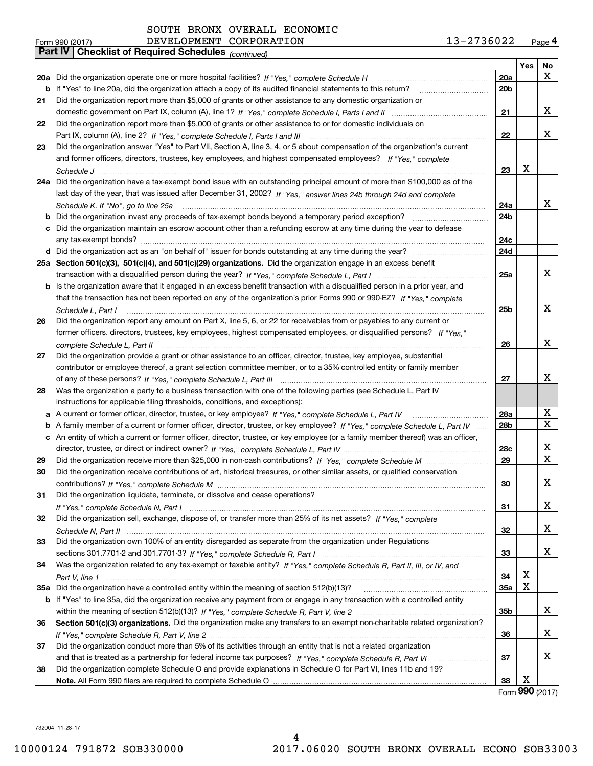| 13-2736022 | Page 4 |
|------------|--------|
|            |        |

|     | DEVELOPMENT CORPORATION<br>Form 990 (2017)                                                                                        | 13-2736022      |      | Page 4 |
|-----|-----------------------------------------------------------------------------------------------------------------------------------|-----------------|------|--------|
|     | Part IV   Checklist of Required Schedules (continued)                                                                             |                 |      |        |
|     |                                                                                                                                   |                 | Yes  | No     |
|     | 20a Did the organization operate one or more hospital facilities? If "Yes," complete Schedule H                                   | 20a             |      | x      |
| b   | If "Yes" to line 20a, did the organization attach a copy of its audited financial statements to this return?                      | 20 <sub>b</sub> |      |        |
| 21  | Did the organization report more than \$5,000 of grants or other assistance to any domestic organization or                       |                 |      |        |
|     |                                                                                                                                   | 21              |      | x      |
| 22  | Did the organization report more than \$5,000 of grants or other assistance to or for domestic individuals on                     |                 |      |        |
|     |                                                                                                                                   | 22              |      | x      |
|     |                                                                                                                                   |                 |      |        |
| 23  | Did the organization answer "Yes" to Part VII, Section A, line 3, 4, or 5 about compensation of the organization's current        |                 |      |        |
|     | and former officers, directors, trustees, key employees, and highest compensated employees? If "Yes," complete                    |                 |      |        |
|     |                                                                                                                                   | 23              | х    |        |
|     | 24a Did the organization have a tax-exempt bond issue with an outstanding principal amount of more than \$100,000 as of the       |                 |      |        |
|     | last day of the year, that was issued after December 31, 2002? If "Yes," answer lines 24b through 24d and complete                |                 |      |        |
|     | Schedule K. If "No", go to line 25a                                                                                               | 24a             |      | x      |
|     |                                                                                                                                   | 24b             |      |        |
|     | c Did the organization maintain an escrow account other than a refunding escrow at any time during the year to defease            |                 |      |        |
|     |                                                                                                                                   | 24c             |      |        |
|     |                                                                                                                                   | 24d             |      |        |
|     | 25a Section 501(c)(3), 501(c)(4), and 501(c)(29) organizations. Did the organization engage in an excess benefit                  |                 |      |        |
|     |                                                                                                                                   | 25a             |      | x      |
|     | b Is the organization aware that it engaged in an excess benefit transaction with a disqualified person in a prior year, and      |                 |      |        |
|     | that the transaction has not been reported on any of the organization's prior Forms 990 or 990-EZ? If "Yes," complete             |                 |      |        |
|     |                                                                                                                                   | 25b             |      | x      |
|     | Schedule L, Part I                                                                                                                |                 |      |        |
| 26  | Did the organization report any amount on Part X, line 5, 6, or 22 for receivables from or payables to any current or             |                 |      |        |
|     | former officers, directors, trustees, key employees, highest compensated employees, or disqualified persons? If "Yes."            |                 |      |        |
|     | complete Schedule L, Part II                                                                                                      | 26              |      | x      |
| 27  | Did the organization provide a grant or other assistance to an officer, director, trustee, key employee, substantial              |                 |      |        |
|     | contributor or employee thereof, a grant selection committee member, or to a 35% controlled entity or family member               |                 |      |        |
|     |                                                                                                                                   | 27              |      | x      |
| 28  | Was the organization a party to a business transaction with one of the following parties (see Schedule L, Part IV                 |                 |      |        |
|     | instructions for applicable filing thresholds, conditions, and exceptions):                                                       |                 |      |        |
|     | a A current or former officer, director, trustee, or key employee? If "Yes," complete Schedule L, Part IV                         | 28a             |      | x      |
|     | b A family member of a current or former officer, director, trustee, or key employee? If "Yes," complete Schedule L, Part IV      | 28 <sub>b</sub> |      | X      |
|     | c An entity of which a current or former officer, director, trustee, or key employee (or a family member thereof) was an officer, |                 |      |        |
|     |                                                                                                                                   | 28c             |      | x      |
| 29  |                                                                                                                                   | 29              |      | X      |
|     | Did the organization receive contributions of art, historical treasures, or other similar assets, or qualified conservation       |                 |      |        |
|     |                                                                                                                                   | 30              |      | x      |
| 31  | Did the organization liquidate, terminate, or dissolve and cease operations?                                                      |                 |      |        |
|     |                                                                                                                                   |                 |      | х      |
|     |                                                                                                                                   | 31              |      |        |
| 32  | Did the organization sell, exchange, dispose of, or transfer more than 25% of its net assets? If "Yes," complete                  |                 |      |        |
|     |                                                                                                                                   | 32              |      | х      |
| 33  | Did the organization own 100% of an entity disregarded as separate from the organization under Regulations                        |                 |      |        |
|     |                                                                                                                                   | 33              |      | x      |
| 34  | Was the organization related to any tax-exempt or taxable entity? If "Yes," complete Schedule R, Part II, III, or IV, and         |                 |      |        |
|     |                                                                                                                                   | 34              | х    |        |
| 35a |                                                                                                                                   | 35a             | X    |        |
|     | b If "Yes" to line 35a, did the organization receive any payment from or engage in any transaction with a controlled entity       |                 |      |        |
|     |                                                                                                                                   | 35b             |      | x      |
| 36  | Section 501(c)(3) organizations. Did the organization make any transfers to an exempt non-charitable related organization?        |                 |      |        |
|     |                                                                                                                                   | 36              |      | х      |
| 37  | Did the organization conduct more than 5% of its activities through an entity that is not a related organization                  |                 |      |        |
|     |                                                                                                                                   | 37              |      | х      |
| 38  | Did the organization complete Schedule O and provide explanations in Schedule O for Part VI, lines 11b and 19?                    |                 |      |        |
|     |                                                                                                                                   | 38              | х    |        |
|     |                                                                                                                                   |                 | nnn. |        |

Form (2017) **990**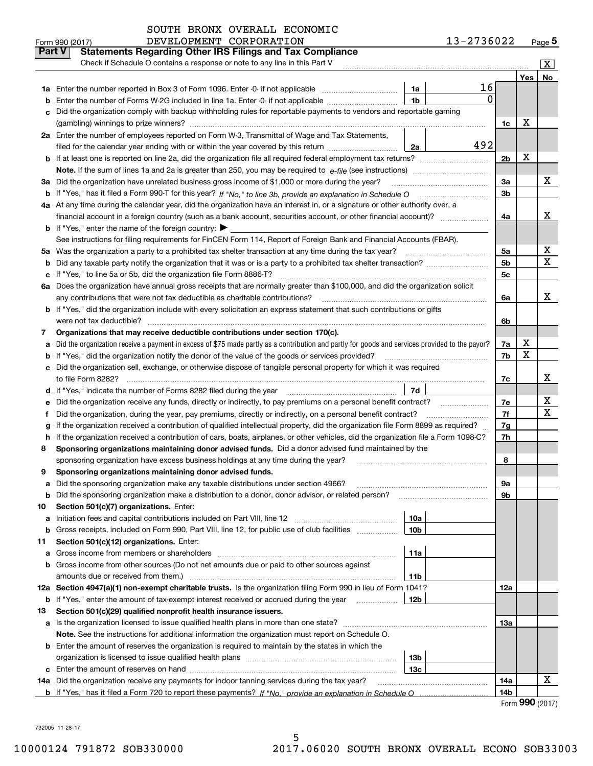|        | DEVELOPMENT CORPORATION<br>Form 990 (2017)                                                                                                                                                                                           | 13-2736022   |     | Page $5$           |
|--------|--------------------------------------------------------------------------------------------------------------------------------------------------------------------------------------------------------------------------------------|--------------|-----|--------------------|
| Part V | <b>Statements Regarding Other IRS Filings and Tax Compliance</b>                                                                                                                                                                     |              |     |                    |
|        | Check if Schedule O contains a response or note to any line in this Part V                                                                                                                                                           |              |     | $\boxed{\text{X}}$ |
|        |                                                                                                                                                                                                                                      |              | Yes | No                 |
| 1a     | Enter the number reported in Box 3 of Form 1096. Enter -0- if not applicable<br>1a                                                                                                                                                   | 16           |     |                    |
| b      | 1 <sub>b</sub><br>Enter the number of Forms W-2G included in line 1a. Enter -0- if not applicable                                                                                                                                    | $\mathbf{0}$ |     |                    |
| c      | Did the organization comply with backup withholding rules for reportable payments to vendors and reportable gaming                                                                                                                   |              |     |                    |
|        |                                                                                                                                                                                                                                      | 1c           | х   |                    |
|        | 2a Enter the number of employees reported on Form W-3, Transmittal of Wage and Tax Statements,                                                                                                                                       |              |     |                    |
|        | filed for the calendar year ending with or within the year covered by this return<br>2a                                                                                                                                              | 492          |     |                    |
| b      |                                                                                                                                                                                                                                      | 2b           | х   |                    |
|        |                                                                                                                                                                                                                                      |              |     |                    |
| За     | Did the organization have unrelated business gross income of \$1,000 or more during the year?                                                                                                                                        | 3a           |     | х                  |
|        |                                                                                                                                                                                                                                      | 3b           |     |                    |
|        | 4a At any time during the calendar year, did the organization have an interest in, or a signature or other authority over, a                                                                                                         |              |     |                    |
|        |                                                                                                                                                                                                                                      | 4a           |     | x                  |
|        | <b>b</b> If "Yes," enter the name of the foreign country: $\blacktriangleright$                                                                                                                                                      |              |     |                    |
|        | See instructions for filing requirements for FinCEN Form 114, Report of Foreign Bank and Financial Accounts (FBAR).                                                                                                                  |              |     |                    |
| 5a     |                                                                                                                                                                                                                                      | 5a           |     | х                  |
| b      |                                                                                                                                                                                                                                      | 5b           |     | х                  |
| с      | If "Yes," to line 5a or 5b, did the organization file Form 8886-T?                                                                                                                                                                   | 5c           |     |                    |
|        | 6a Does the organization have annual gross receipts that are normally greater than \$100,000, and did the organization solicit                                                                                                       |              |     |                    |
|        | any contributions that were not tax deductible as charitable contributions?                                                                                                                                                          | 6a           |     | X                  |
|        | <b>b</b> If "Yes," did the organization include with every solicitation an express statement that such contributions or gifts                                                                                                        |              |     |                    |
|        |                                                                                                                                                                                                                                      | 6b           |     |                    |
| 7      | Organizations that may receive deductible contributions under section 170(c).                                                                                                                                                        |              |     |                    |
| a      | Did the organization receive a payment in excess of \$75 made partly as a contribution and partly for goods and services provided to the payor?                                                                                      | 7a           | х   |                    |
| b      | If "Yes," did the organization notify the donor of the value of the goods or services provided?                                                                                                                                      | 7b           | X   |                    |
| с      | Did the organization sell, exchange, or otherwise dispose of tangible personal property for which it was required                                                                                                                    |              |     |                    |
|        |                                                                                                                                                                                                                                      | 7c           |     | x                  |
|        | 7d<br>d If "Yes," indicate the number of Forms 8282 filed during the year [11] [11] The System manuscription of Forms 8282 filed during the year [11] [12] The System manuscription of the Wales of the Wales of the Wales of the Wa |              |     |                    |
| е      |                                                                                                                                                                                                                                      | 7e           |     | х                  |
| f      | Did the organization, during the year, pay premiums, directly or indirectly, on a personal benefit contract?                                                                                                                         | 7f           |     | х                  |
| g      | If the organization received a contribution of qualified intellectual property, did the organization file Form 8899 as required?                                                                                                     | 7g           |     |                    |
| h      | If the organization received a contribution of cars, boats, airplanes, or other vehicles, did the organization file a Form 1098-C?                                                                                                   | 7h           |     |                    |
| 8      | Sponsoring organizations maintaining donor advised funds. Did a donor advised fund maintained by the                                                                                                                                 |              |     |                    |
|        | sponsoring organization have excess business holdings at any time during the year?                                                                                                                                                   | 8            |     |                    |
|        | Sponsoring organizations maintaining donor advised funds.                                                                                                                                                                            |              |     |                    |
| a      | Did the sponsoring organization make any taxable distributions under section 4966?                                                                                                                                                   | 9а           |     |                    |
| b      | Did the sponsoring organization make a distribution to a donor, donor advisor, or related person?                                                                                                                                    | 9b           |     |                    |
| 10     | Section 501(c)(7) organizations. Enter:                                                                                                                                                                                              |              |     |                    |
| a      | 10a<br>Initiation fees and capital contributions included on Part VIII, line 12 <i>manuarrouus</i> manuations of the late                                                                                                            |              |     |                    |
| b      | Gross receipts, included on Form 990, Part VIII, line 12, for public use of club facilities<br>10 <sub>b</sub>                                                                                                                       |              |     |                    |
| 11     | Section 501(c)(12) organizations. Enter:                                                                                                                                                                                             |              |     |                    |
| a      | 11a                                                                                                                                                                                                                                  |              |     |                    |
| b      | Gross income from other sources (Do not net amounts due or paid to other sources against                                                                                                                                             |              |     |                    |
|        | amounts due or received from them.)<br>11b                                                                                                                                                                                           |              |     |                    |
| 12a    | Section 4947(a)(1) non-exempt charitable trusts. Is the organization filing Form 990 in lieu of Form 1041?                                                                                                                           | 12a          |     |                    |
|        | <b>b</b> If "Yes," enter the amount of tax-exempt interest received or accrued during the year<br>12b                                                                                                                                |              |     |                    |
| 13     | Section 501(c)(29) qualified nonprofit health insurance issuers.                                                                                                                                                                     |              |     |                    |
| а      | Is the organization licensed to issue qualified health plans in more than one state?                                                                                                                                                 | 13а          |     |                    |
|        | Note. See the instructions for additional information the organization must report on Schedule O.                                                                                                                                    |              |     |                    |
| b      | Enter the amount of reserves the organization is required to maintain by the states in which the                                                                                                                                     |              |     |                    |
|        | 13b                                                                                                                                                                                                                                  |              |     |                    |
| c      | 13с                                                                                                                                                                                                                                  |              |     |                    |
|        | 14a Did the organization receive any payments for indoor tanning services during the tax year?                                                                                                                                       | 14a          |     | X                  |
|        |                                                                                                                                                                                                                                      | 14b          |     |                    |

5

SOUTH BRONX OVERALL ECONOMIC

|  | Form 990 (2017) |  |
|--|-----------------|--|
|--|-----------------|--|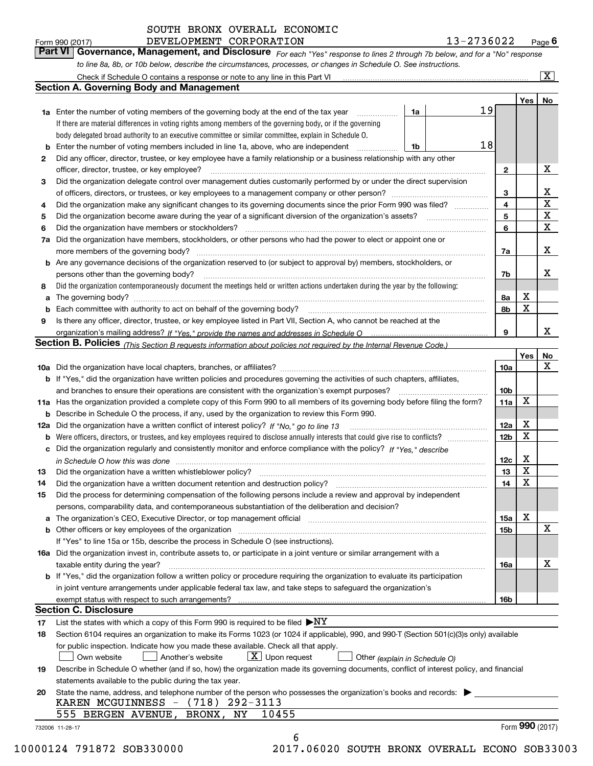Form 990 (2017) **13–2736022** DEVELOPMENT CORPORATION **13–2736022** Page 6<br>**Part VI Governance, Management, and Disclosure** For each "Yes" response to lines 2 through 7b below, and for a "No" response

DEVELOPMENT CORPORATION 13-2736022

*to line 8a, 8b, or 10b below, describe the circumstances, processes, or changes in Schedule O. See instructions.*

*For each "Yes" response to lines 2 through 7b below, and for a "No" response*

|    |                                                                                                                                                                               |                               |    |                         | Yes             | No                      |
|----|-------------------------------------------------------------------------------------------------------------------------------------------------------------------------------|-------------------------------|----|-------------------------|-----------------|-------------------------|
|    | <b>1a</b> Enter the number of voting members of the governing body at the end of the tax year                                                                                 | 1a                            | 19 |                         |                 |                         |
|    | If there are material differences in voting rights among members of the governing body, or if the governing                                                                   |                               |    |                         |                 |                         |
|    | body delegated broad authority to an executive committee or similar committee, explain in Schedule O.                                                                         |                               |    |                         |                 |                         |
|    | <b>b</b> Enter the number of voting members included in line 1a, above, who are independent <i>manumum</i>                                                                    | 1b                            | 18 |                         |                 |                         |
| 2  | Did any officer, director, trustee, or key employee have a family relationship or a business relationship with any other                                                      |                               |    |                         |                 |                         |
|    | officer, director, trustee, or key employee?                                                                                                                                  |                               |    | $\mathbf{2}$            |                 | X                       |
| 3  | Did the organization delegate control over management duties customarily performed by or under the direct supervision                                                         |                               |    |                         |                 |                         |
|    |                                                                                                                                                                               |                               |    | 3                       |                 | X                       |
| 4  | Did the organization make any significant changes to its governing documents since the prior Form 990 was filed?                                                              |                               |    | $\overline{\mathbf{4}}$ |                 | $\overline{\textbf{X}}$ |
| 5  | Did the organization become aware during the year of a significant diversion of the organization's assets? <i>marrouum</i> match                                              |                               |    | 5                       |                 | $\mathbf X$             |
| 6  |                                                                                                                                                                               |                               |    | 6                       |                 | $\mathbf x$             |
|    | 7a Did the organization have members, stockholders, or other persons who had the power to elect or appoint one or                                                             |                               |    |                         |                 |                         |
|    |                                                                                                                                                                               |                               |    | 7a                      |                 | x                       |
|    | <b>b</b> Are any governance decisions of the organization reserved to (or subject to approval by) members, stockholders, or                                                   |                               |    |                         |                 |                         |
|    |                                                                                                                                                                               |                               |    |                         |                 | х                       |
|    | persons other than the governing body?                                                                                                                                        |                               |    | 7b                      |                 |                         |
| 8  | Did the organization contemporaneously document the meetings held or written actions undertaken during the year by the following:                                             |                               |    |                         |                 |                         |
| a  |                                                                                                                                                                               |                               |    | 8a                      | X               |                         |
|    |                                                                                                                                                                               |                               |    | 8b                      | X               |                         |
| 9  | Is there any officer, director, trustee, or key employee listed in Part VII, Section A, who cannot be reached at the                                                          |                               |    |                         |                 |                         |
|    |                                                                                                                                                                               |                               |    | 9                       |                 | х                       |
|    | Section B. Policies (This Section B requests information about policies not required by the Internal Revenue Code.)                                                           |                               |    |                         |                 |                         |
|    |                                                                                                                                                                               |                               |    |                         | Yes             | No                      |
|    |                                                                                                                                                                               |                               |    | 10a                     |                 | X                       |
|    | <b>b</b> If "Yes," did the organization have written policies and procedures governing the activities of such chapters, affiliates,                                           |                               |    |                         |                 |                         |
|    |                                                                                                                                                                               |                               |    | 10 <sub>b</sub>         |                 |                         |
|    | 11a Has the organization provided a complete copy of this Form 990 to all members of its governing body before filing the form?                                               |                               |    | 11a                     | X               |                         |
|    | <b>b</b> Describe in Schedule O the process, if any, used by the organization to review this Form 990.                                                                        |                               |    |                         |                 |                         |
|    |                                                                                                                                                                               |                               |    | 12a                     | X               |                         |
| b  |                                                                                                                                                                               |                               |    | 12b                     | X               |                         |
|    | c Did the organization regularly and consistently monitor and enforce compliance with the policy? If "Yes," describe                                                          |                               |    |                         |                 |                         |
|    | in Schedule O how this was done manufactured and continuum control of the Schedule O how this was done manufactured and continuum control of the Schedule O how this was done |                               |    | 12c                     | х               |                         |
| 13 |                                                                                                                                                                               |                               |    | 13                      | X               |                         |
| 14 | Did the organization have a written document retention and destruction policy? manufactured and the organization have a written document retention and destruction policy?    |                               |    | 14                      | X               |                         |
| 15 |                                                                                                                                                                               |                               |    |                         |                 |                         |
|    | Did the process for determining compensation of the following persons include a review and approval by independent                                                            |                               |    |                         |                 |                         |
|    | persons, comparability data, and contemporaneous substantiation of the deliberation and decision?                                                                             |                               |    |                         | X               |                         |
|    |                                                                                                                                                                               |                               |    | 15a                     |                 | X                       |
|    |                                                                                                                                                                               |                               |    | 15 <sub>b</sub>         |                 |                         |
|    | If "Yes" to line 15a or 15b, describe the process in Schedule O (see instructions).                                                                                           |                               |    |                         |                 |                         |
|    | 16a Did the organization invest in, contribute assets to, or participate in a joint venture or similar arrangement with a                                                     |                               |    |                         |                 |                         |
|    | taxable entity during the year?                                                                                                                                               |                               |    | 16a                     |                 | X                       |
|    | b If "Yes," did the organization follow a written policy or procedure requiring the organization to evaluate its participation                                                |                               |    |                         |                 |                         |
|    | in joint venture arrangements under applicable federal tax law, and take steps to safequard the organization's                                                                |                               |    |                         |                 |                         |
|    | exempt status with respect to such arrangements?                                                                                                                              |                               |    | 16b                     |                 |                         |
|    | <b>Section C. Disclosure</b>                                                                                                                                                  |                               |    |                         |                 |                         |
| 17 | List the states with which a copy of this Form 990 is required to be filed $\blacktriangleright$ NY                                                                           |                               |    |                         |                 |                         |
| 18 | Section 6104 requires an organization to make its Forms 1023 (or 1024 if applicable), 990, and 990-T (Section 501(c)(3)s only) available                                      |                               |    |                         |                 |                         |
|    | for public inspection. Indicate how you made these available. Check all that apply.                                                                                           |                               |    |                         |                 |                         |
|    | $X$ Upon request<br>Another's website<br>Own website                                                                                                                          | Other (explain in Schedule O) |    |                         |                 |                         |
| 19 | Describe in Schedule O whether (and if so, how) the organization made its governing documents, conflict of interest policy, and financial                                     |                               |    |                         |                 |                         |
|    | statements available to the public during the tax year.                                                                                                                       |                               |    |                         |                 |                         |
| 20 | State the name, address, and telephone number of the person who possesses the organization's books and records:                                                               |                               |    |                         |                 |                         |
|    | KAREN MCGUINNESS - (718) 292-3113                                                                                                                                             |                               |    |                         |                 |                         |
|    | 555 BERGEN AVENUE, BRONX, NY<br>10455                                                                                                                                         |                               |    |                         |                 |                         |
|    |                                                                                                                                                                               |                               |    |                         | Form 990 (2017) |                         |
|    | 732006 11-28-17                                                                                                                                                               |                               |    |                         |                 |                         |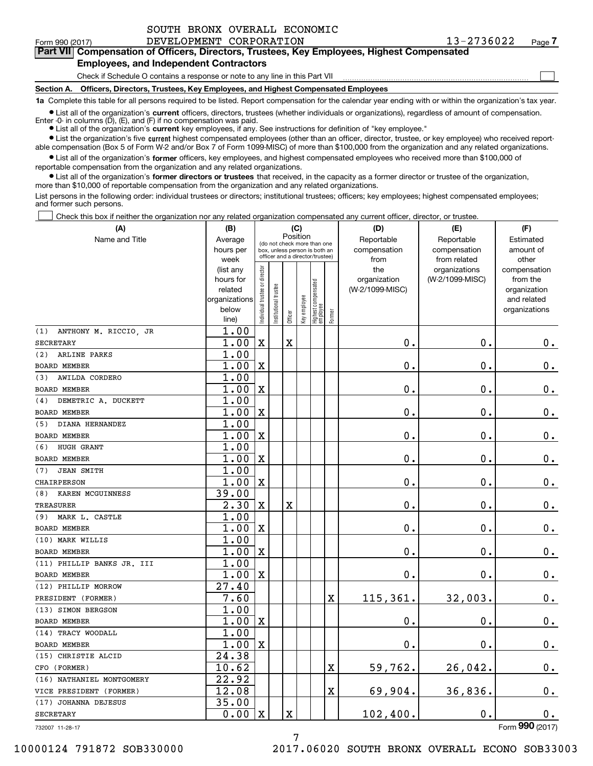|  | SOUTH BRONX OVERALL ECONOMIC |
|--|------------------------------|
|  |                              |

 $\mathcal{L}^{\text{max}}$ 

# **7Part VII Compensation of Officers, Directors, Trustees, Key Employees, Highest Compensated Employees, and Independent Contractors**

Check if Schedule O contains a response or note to any line in this Part VII

**Section A. Officers, Directors, Trustees, Key Employees, and Highest Compensated Employees**

**1a**  Complete this table for all persons required to be listed. Report compensation for the calendar year ending with or within the organization's tax year.

**•** List all of the organization's current officers, directors, trustees (whether individuals or organizations), regardless of amount of compensation.

● List all of the organization's **current** key employees, if any. See instructions for definition of "key employee." Enter -0- in columns  $(D)$ ,  $(E)$ , and  $(F)$  if no compensation was paid.

**•** List the organization's five current highest compensated employees (other than an officer, director, trustee, or key employee) who received report-

 $\bullet$  List all of the organization's **former** officers, key employees, and highest compensated employees who received more than \$100,000 of able compensation (Box 5 of Form W-2 and/or Box 7 of Form 1099-MISC) of more than \$100,000 from the organization and any related organizations.

reportable compensation from the organization and any related organizations.

**•** List all of the organization's former directors or trustees that received, in the capacity as a former director or trustee of the organization, more than \$10,000 of reportable compensation from the organization and any related organizations.

List persons in the following order: individual trustees or directors; institutional trustees; officers; key employees; highest compensated employees; and former such persons.

Check this box if neither the organization nor any related organization compensated any current officer, director, or trustee.  $\mathcal{L}^{\text{max}}$ 

| (A)                                     | (B)               |                                |                      | (C)      |              |                                                                  |                         | (D)             | (E)                           | (F)                   |
|-----------------------------------------|-------------------|--------------------------------|----------------------|----------|--------------|------------------------------------------------------------------|-------------------------|-----------------|-------------------------------|-----------------------|
| Name and Title                          | Average           |                                |                      | Position |              | (do not check more than one                                      |                         | Reportable      | Reportable                    | Estimated             |
|                                         | hours per         |                                |                      |          |              | box, unless person is both an<br>officer and a director/trustee) |                         | compensation    | compensation                  | amount of             |
|                                         | week<br>(list any |                                |                      |          |              |                                                                  |                         | from<br>the     | from related<br>organizations | other<br>compensation |
|                                         | hours for         |                                |                      |          |              |                                                                  |                         | organization    | (W-2/1099-MISC)               | from the              |
|                                         | related           |                                |                      |          |              |                                                                  |                         | (W-2/1099-MISC) |                               | organization          |
|                                         | organizations     |                                |                      |          |              |                                                                  |                         |                 |                               | and related           |
|                                         | below             | Individual trustee or director | nstitutional trustee | Officer  | key employee | Highest compensated<br> employee                                 | Former                  |                 |                               | organizations         |
|                                         | line)             |                                |                      |          |              |                                                                  |                         |                 |                               |                       |
| ANTHONY M. RICCIO, JR<br>(1)            | 1.00              |                                |                      |          |              |                                                                  |                         |                 |                               |                       |
| <b>SECRETARY</b><br>ARLINE PARKS<br>(2) | 1.00              | $\mathbf X$                    |                      | Χ        |              |                                                                  |                         | $\mathbf 0$ .   | $\mathbf 0$ .                 | $\mathbf 0$ .         |
|                                         | 1.00              |                                |                      |          |              |                                                                  |                         |                 |                               |                       |
| <b>BOARD MEMBER</b>                     | 1.00              | $\mathbf X$                    |                      |          |              |                                                                  |                         | $\mathbf 0$ .   | $\mathbf 0$ .                 | $\mathbf 0$ .         |
| (3)<br>AWILDA CORDERO                   | 1.00              |                                |                      |          |              |                                                                  |                         |                 |                               |                       |
| <b>BOARD MEMBER</b>                     | 1.00              | $\mathbf X$                    |                      |          |              |                                                                  |                         | $\mathbf 0$ .   | $\mathbf 0$ .                 | $0_{.}$               |
| DEMETRIC A. DUCKETT<br>(4)              | 1.00              |                                |                      |          |              |                                                                  |                         |                 |                               |                       |
| <b>BOARD MEMBER</b>                     | 1.00              | $\mathbf X$                    |                      |          |              |                                                                  |                         | $\mathbf 0$ .   | $\mathbf 0$ .                 | $0_{.}$               |
| DIANA HERNANDEZ<br>(5)                  | 1.00              |                                |                      |          |              |                                                                  |                         |                 |                               |                       |
| <b>BOARD MEMBER</b>                     | 1.00              | $\mathbf X$                    |                      |          |              |                                                                  |                         | 0.              | $\mathbf 0$ .                 | $0_{.}$               |
| HUGH GRANT<br>(6)                       | 1.00              |                                |                      |          |              |                                                                  |                         |                 |                               |                       |
| <b>BOARD MEMBER</b>                     | 1.00              | $\mathbf X$                    |                      |          |              |                                                                  |                         | $\mathbf 0$ .   | $\mathbf 0$ .                 | $\mathbf 0$ .         |
| <b>JEAN SMITH</b><br>(7)                | 1.00              |                                |                      |          |              |                                                                  |                         |                 |                               |                       |
| <b>CHAIRPERSON</b>                      | 1.00              | $\mathbf X$                    |                      |          |              |                                                                  |                         | $\mathbf 0$ .   | $\mathbf 0$ .                 | $0_{.}$               |
| KAREN MCGUINNESS<br>(8)                 | 39.00             |                                |                      |          |              |                                                                  |                         |                 |                               |                       |
| <b>TREASURER</b>                        | 2.30              | $\mathbf X$                    |                      | X        |              |                                                                  |                         | 0.              | 0.                            | $\mathbf 0$ .         |
| MARK L. CASTLE<br>(9)                   | 1.00              |                                |                      |          |              |                                                                  |                         |                 |                               |                       |
| <b>BOARD MEMBER</b>                     | 1.00              | $\mathbf X$                    |                      |          |              |                                                                  |                         | 0.              | 0.                            | $\mathbf 0$ .         |
| (10) MARK WILLIS                        | 1.00              |                                |                      |          |              |                                                                  |                         |                 |                               |                       |
| <b>BOARD MEMBER</b>                     | 1.00              | $\mathbf X$                    |                      |          |              |                                                                  |                         | $\mathbf 0$ .   | $\mathbf 0$ .                 | $\mathbf 0$ .         |
| (11) PHILLIP BANKS JR. III              | 1.00              |                                |                      |          |              |                                                                  |                         |                 |                               |                       |
| BOARD MEMBER                            | 1.00              | $\mathbf X$                    |                      |          |              |                                                                  |                         | $\mathbf 0$ .   | $\mathbf 0$ .                 | $\mathbf 0$ .         |
| (12) PHILLIP MORROW                     | 27.40             |                                |                      |          |              |                                                                  |                         |                 |                               |                       |
| PRESIDENT (FORMER)                      | 7.60              |                                |                      |          |              |                                                                  | X                       | 115,361.        | 32,003.                       | $\mathbf 0$ .         |
| (13) SIMON BERGSON                      | 1.00              |                                |                      |          |              |                                                                  |                         |                 |                               |                       |
| BOARD MEMBER                            | 1.00              | $\mathbf X$                    |                      |          |              |                                                                  |                         | $\mathbf 0$ .   | $\mathbf 0$ .                 | $\mathbf 0$ .         |
| (14) TRACY WOODALL                      | 1.00              |                                |                      |          |              |                                                                  |                         |                 |                               |                       |
| <b>BOARD MEMBER</b>                     | 1.00              | $\mathbf X$                    |                      |          |              |                                                                  |                         | $\mathbf 0$ .   | $\mathbf 0$ .                 | $0_{.}$               |
| (15) CHRISTIE ALCID                     | 24.38             |                                |                      |          |              |                                                                  |                         |                 |                               |                       |
| CFO (FORMER)                            | 10.62             |                                |                      |          |              |                                                                  | $\mathbf X$             | 59,762.         | 26,042.                       | $0_{.}$               |
| (16) NATHANIEL MONTGOMERY               | 22.92             |                                |                      |          |              |                                                                  |                         |                 |                               |                       |
| VICE PRESIDENT (FORMER)                 | 12.08             |                                |                      |          |              |                                                                  | $\overline{\textbf{X}}$ | 69,904.         | 36,836.                       | $0_{.}$               |
| (17) JOHANNA DEJESUS                    | 35.00             |                                |                      |          |              |                                                                  |                         |                 |                               |                       |
| <b>SECRETARY</b>                        | 0.00              | $\mathbf X$                    |                      | X        |              |                                                                  |                         | 102,400.        | $\mathbf 0$ .                 | $0_{.}$               |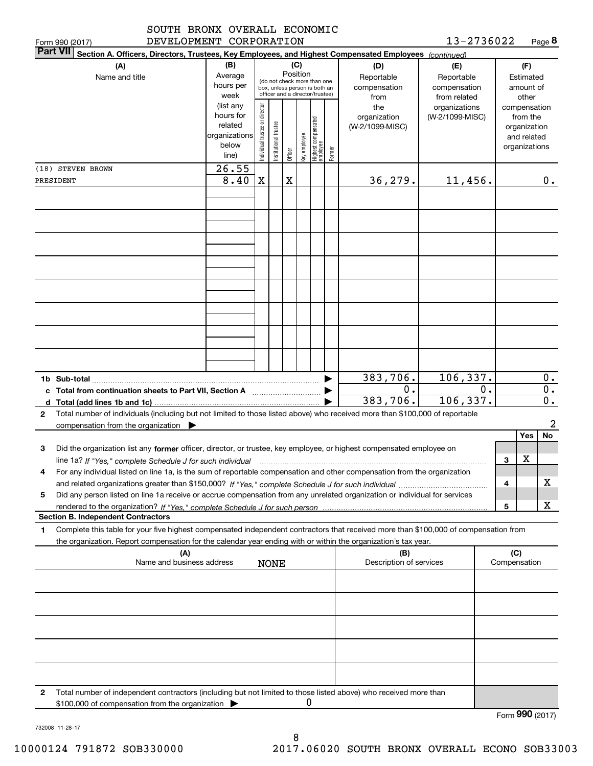| SOUTH BRONX OVERALL ECONOMIC                                                                                                                                                                                                                                                                             |                                                                      |                                |                       |          |              |                                                                                                 |        |                                           |                                                   |    |                     |                                                                          |                              |
|----------------------------------------------------------------------------------------------------------------------------------------------------------------------------------------------------------------------------------------------------------------------------------------------------------|----------------------------------------------------------------------|--------------------------------|-----------------------|----------|--------------|-------------------------------------------------------------------------------------------------|--------|-------------------------------------------|---------------------------------------------------|----|---------------------|--------------------------------------------------------------------------|------------------------------|
| DEVELOPMENT CORPORATION<br>Form 990 (2017)<br><b>Part VII</b>                                                                                                                                                                                                                                            |                                                                      |                                |                       |          |              |                                                                                                 |        |                                           | 13-2736022                                        |    |                     |                                                                          | Page 8                       |
| Section A. Officers, Directors, Trustees, Key Employees, and Highest Compensated Employees (continued)<br>(A)<br>Name and title                                                                                                                                                                          | (B)<br>Average<br>hours per<br>week                                  |                                |                       | Position | (C)          | (do not check more than one<br>box, unless person is both an<br>officer and a director/trustee) |        | (D)<br>Reportable<br>compensation<br>from | (E)<br>Reportable<br>compensation<br>from related |    |                     | (F)<br>Estimated<br>amount of<br>other                                   |                              |
|                                                                                                                                                                                                                                                                                                          | (list any<br>hours for<br>related<br>organizations<br>below<br>line) | Individual trustee or director | Institutional trustee | Officer  | Key employee | Highest compensated<br>employee                                                                 | Former | the<br>organization<br>(W-2/1099-MISC)    | organizations<br>(W-2/1099-MISC)                  |    |                     | compensation<br>from the<br>organization<br>and related<br>organizations |                              |
| (18) STEVEN BROWN<br>PRESIDENT                                                                                                                                                                                                                                                                           | 26.55<br>8.40                                                        | X                              |                       | X        |              |                                                                                                 |        | 36, 279.                                  | 11,456.                                           |    |                     |                                                                          | $0$ .                        |
|                                                                                                                                                                                                                                                                                                          |                                                                      |                                |                       |          |              |                                                                                                 |        |                                           |                                                   |    |                     |                                                                          |                              |
|                                                                                                                                                                                                                                                                                                          |                                                                      |                                |                       |          |              |                                                                                                 |        |                                           |                                                   |    |                     |                                                                          |                              |
|                                                                                                                                                                                                                                                                                                          |                                                                      |                                |                       |          |              |                                                                                                 |        |                                           |                                                   |    |                     |                                                                          |                              |
|                                                                                                                                                                                                                                                                                                          |                                                                      |                                |                       |          |              |                                                                                                 |        |                                           |                                                   |    |                     |                                                                          |                              |
|                                                                                                                                                                                                                                                                                                          |                                                                      |                                |                       |          |              |                                                                                                 |        |                                           |                                                   |    |                     |                                                                          |                              |
| Total from continuation sheets to Part VII, Section A [111] [12] Total from continuation sheets to Part VII, Section A                                                                                                                                                                                   |                                                                      |                                |                       |          |              |                                                                                                 |        | 383,706.<br>0.<br>383,706.                | 106, 337.<br>106, 337.                            | 0. |                     |                                                                          | 0.<br>0.<br>$\overline{0}$ . |
| Total number of individuals (including but not limited to those listed above) who received more than \$100,000 of reportable<br>2<br>compensation from the organization $\blacktriangleright$                                                                                                            |                                                                      |                                |                       |          |              |                                                                                                 |        |                                           |                                                   |    |                     | Yes                                                                      | $\boldsymbol{2}$<br>No       |
| Did the organization list any former officer, director, or trustee, key employee, or highest compensated employee on<br>з<br>line 1a? If "Yes," complete Schedule J for such individual                                                                                                                  |                                                                      |                                |                       |          |              |                                                                                                 |        |                                           |                                                   |    | з                   | X                                                                        |                              |
| For any individual listed on line 1a, is the sum of reportable compensation and other compensation from the organization<br>4<br>Did any person listed on line 1a receive or accrue compensation from any unrelated organization or individual for services<br>5                                         |                                                                      |                                |                       |          |              |                                                                                                 |        |                                           |                                                   |    | 4                   |                                                                          | x                            |
|                                                                                                                                                                                                                                                                                                          |                                                                      |                                |                       |          |              |                                                                                                 |        |                                           |                                                   |    | 5                   |                                                                          | X.                           |
| <b>Section B. Independent Contractors</b><br>Complete this table for your five highest compensated independent contractors that received more than \$100,000 of compensation from<br>1<br>the organization. Report compensation for the calendar year ending with or within the organization's tax year. |                                                                      |                                |                       |          |              |                                                                                                 |        |                                           |                                                   |    |                     |                                                                          |                              |
| (A)<br>Name and business address                                                                                                                                                                                                                                                                         |                                                                      |                                | <b>NONE</b>           |          |              |                                                                                                 |        | (B)<br>Description of services            |                                                   |    | (C)<br>Compensation |                                                                          |                              |
|                                                                                                                                                                                                                                                                                                          |                                                                      |                                |                       |          |              |                                                                                                 |        |                                           |                                                   |    |                     |                                                                          |                              |
|                                                                                                                                                                                                                                                                                                          |                                                                      |                                |                       |          |              |                                                                                                 |        |                                           |                                                   |    |                     |                                                                          |                              |
|                                                                                                                                                                                                                                                                                                          |                                                                      |                                |                       |          |              |                                                                                                 |        |                                           |                                                   |    |                     |                                                                          |                              |
|                                                                                                                                                                                                                                                                                                          |                                                                      |                                |                       |          |              |                                                                                                 |        |                                           |                                                   |    |                     |                                                                          |                              |
| Total number of independent contractors (including but not limited to those listed above) who received more than<br>2<br>\$100,000 of compensation from the organization                                                                                                                                 |                                                                      |                                |                       |          | 0            |                                                                                                 |        |                                           |                                                   |    |                     |                                                                          |                              |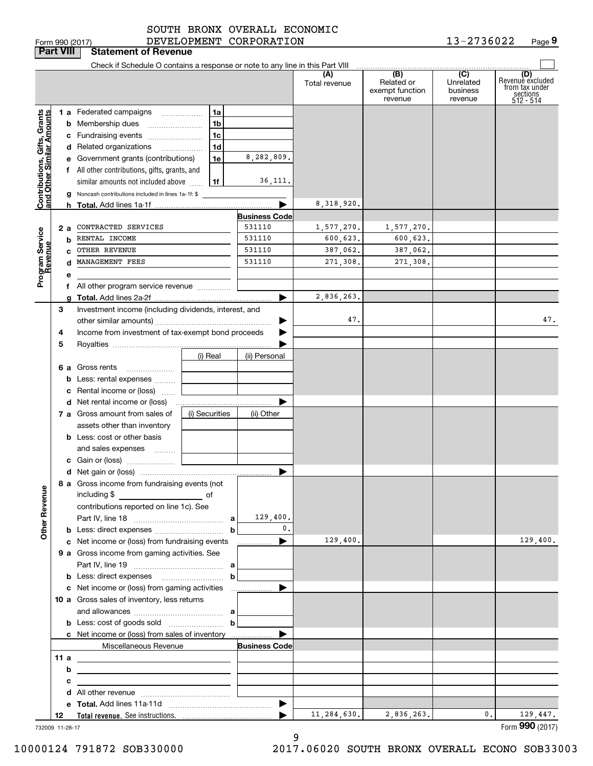Form 990 (2017) DEVELOPMENT CORPORATION 13-2736022 Page **9** 13-2736022

| Check if Schedule O contains a response or note to any line in this Part VIII<br>$\overline{(B)}$<br>(C)<br>(D)<br>(A)<br>Revenuè excluded<br>Related or<br>Unrelated<br>Total revenue<br>from tax under<br>exempt function<br>business<br>sections<br>512 - 514<br>revenue<br>revenue<br>1a<br>Contributions, Gifts, Grants<br>and Other Similar Amounts<br>1 a Federated campaigns<br>1 <sub>b</sub><br>1c<br>c Fundraising events<br>1 <sub>d</sub><br>d Related organizations<br>8,282,809.<br>1e<br>e Government grants (contributions)<br>f All other contributions, gifts, grants, and<br>36,111.<br>1f<br>similar amounts not included above<br><b>g</b> Noncash contributions included in lines 1a-1f: \$<br>8,318,920.<br><b>Business Code</b><br>531110<br>CONTRACTED SERVICES<br>1,577,270.<br>1,577,270.<br>2а<br>Program Service<br>Revenue<br>531110<br>600,623.<br>RENTAL INCOME<br>600,623.<br>b<br>531110<br>OTHER REVENUE<br>387,062.<br>387,062.<br>MANAGEMENT FEES<br>531110<br>271,308.<br>271,308.<br>d<br>е<br>f All other program service revenue<br>2,836,263.<br>Investment income (including dividends, interest, and<br>З<br>47.<br>47.<br>▶<br>Income from investment of tax-exempt bond proceeds<br>4<br>5<br>(i) Real<br>(ii) Personal<br>6 a Gross rents<br><b>b</b> Less: rental expenses<br>c Rental income or (loss)<br>▶<br>(i) Securities<br>7 a Gross amount from sales of<br>(ii) Other<br>assets other than inventory<br><b>b</b> Less: cost or other basis<br>and sales expenses<br>▶<br>8 a Gross income from fundraising events (not<br><b>Other Revenue</b><br>including \$<br><u>and the second second of</u><br>contributions reported on line 1c). See<br>129,400.<br>0.<br>129,400.<br>129,400.<br>c Net income or (loss) from fundraising events<br>9 a Gross income from gaming activities. See<br><b>b</b> Less: direct expenses <b>contained</b> b<br>c Net income or (loss) from gaming activities<br>▶<br>10 a Gross sales of inventory, less returns<br><b>b</b> Less: cost of goods sold $\ldots$ <b>b</b><br>c Net income or (loss) from sales of inventory<br>Miscellaneous Revenue<br><b>Business Code</b><br>b<br>c<br>▶<br>11,284,630.<br>2,836,263.<br>0.<br>129,447.<br>12<br>732009 11-28-17 |  | <b>Part VIII</b> | <b>Statement of Revenue</b> |  |  |  |                 |
|---------------------------------------------------------------------------------------------------------------------------------------------------------------------------------------------------------------------------------------------------------------------------------------------------------------------------------------------------------------------------------------------------------------------------------------------------------------------------------------------------------------------------------------------------------------------------------------------------------------------------------------------------------------------------------------------------------------------------------------------------------------------------------------------------------------------------------------------------------------------------------------------------------------------------------------------------------------------------------------------------------------------------------------------------------------------------------------------------------------------------------------------------------------------------------------------------------------------------------------------------------------------------------------------------------------------------------------------------------------------------------------------------------------------------------------------------------------------------------------------------------------------------------------------------------------------------------------------------------------------------------------------------------------------------------------------------------------------------------------------------------------------------------------------------------------------------------------------------------------------------------------------------------------------------------------------------------------------------------------------------------------------------------------------------------------------------------------------------------------------------------------------------------------------------------------------------------------------------------------------------------------|--|------------------|-----------------------------|--|--|--|-----------------|
|                                                                                                                                                                                                                                                                                                                                                                                                                                                                                                                                                                                                                                                                                                                                                                                                                                                                                                                                                                                                                                                                                                                                                                                                                                                                                                                                                                                                                                                                                                                                                                                                                                                                                                                                                                                                                                                                                                                                                                                                                                                                                                                                                                                                                                                               |  |                  |                             |  |  |  |                 |
|                                                                                                                                                                                                                                                                                                                                                                                                                                                                                                                                                                                                                                                                                                                                                                                                                                                                                                                                                                                                                                                                                                                                                                                                                                                                                                                                                                                                                                                                                                                                                                                                                                                                                                                                                                                                                                                                                                                                                                                                                                                                                                                                                                                                                                                               |  |                  |                             |  |  |  |                 |
|                                                                                                                                                                                                                                                                                                                                                                                                                                                                                                                                                                                                                                                                                                                                                                                                                                                                                                                                                                                                                                                                                                                                                                                                                                                                                                                                                                                                                                                                                                                                                                                                                                                                                                                                                                                                                                                                                                                                                                                                                                                                                                                                                                                                                                                               |  |                  |                             |  |  |  |                 |
|                                                                                                                                                                                                                                                                                                                                                                                                                                                                                                                                                                                                                                                                                                                                                                                                                                                                                                                                                                                                                                                                                                                                                                                                                                                                                                                                                                                                                                                                                                                                                                                                                                                                                                                                                                                                                                                                                                                                                                                                                                                                                                                                                                                                                                                               |  |                  |                             |  |  |  |                 |
|                                                                                                                                                                                                                                                                                                                                                                                                                                                                                                                                                                                                                                                                                                                                                                                                                                                                                                                                                                                                                                                                                                                                                                                                                                                                                                                                                                                                                                                                                                                                                                                                                                                                                                                                                                                                                                                                                                                                                                                                                                                                                                                                                                                                                                                               |  |                  |                             |  |  |  |                 |
|                                                                                                                                                                                                                                                                                                                                                                                                                                                                                                                                                                                                                                                                                                                                                                                                                                                                                                                                                                                                                                                                                                                                                                                                                                                                                                                                                                                                                                                                                                                                                                                                                                                                                                                                                                                                                                                                                                                                                                                                                                                                                                                                                                                                                                                               |  |                  |                             |  |  |  |                 |
|                                                                                                                                                                                                                                                                                                                                                                                                                                                                                                                                                                                                                                                                                                                                                                                                                                                                                                                                                                                                                                                                                                                                                                                                                                                                                                                                                                                                                                                                                                                                                                                                                                                                                                                                                                                                                                                                                                                                                                                                                                                                                                                                                                                                                                                               |  |                  |                             |  |  |  |                 |
|                                                                                                                                                                                                                                                                                                                                                                                                                                                                                                                                                                                                                                                                                                                                                                                                                                                                                                                                                                                                                                                                                                                                                                                                                                                                                                                                                                                                                                                                                                                                                                                                                                                                                                                                                                                                                                                                                                                                                                                                                                                                                                                                                                                                                                                               |  |                  |                             |  |  |  |                 |
|                                                                                                                                                                                                                                                                                                                                                                                                                                                                                                                                                                                                                                                                                                                                                                                                                                                                                                                                                                                                                                                                                                                                                                                                                                                                                                                                                                                                                                                                                                                                                                                                                                                                                                                                                                                                                                                                                                                                                                                                                                                                                                                                                                                                                                                               |  |                  |                             |  |  |  |                 |
|                                                                                                                                                                                                                                                                                                                                                                                                                                                                                                                                                                                                                                                                                                                                                                                                                                                                                                                                                                                                                                                                                                                                                                                                                                                                                                                                                                                                                                                                                                                                                                                                                                                                                                                                                                                                                                                                                                                                                                                                                                                                                                                                                                                                                                                               |  |                  |                             |  |  |  |                 |
|                                                                                                                                                                                                                                                                                                                                                                                                                                                                                                                                                                                                                                                                                                                                                                                                                                                                                                                                                                                                                                                                                                                                                                                                                                                                                                                                                                                                                                                                                                                                                                                                                                                                                                                                                                                                                                                                                                                                                                                                                                                                                                                                                                                                                                                               |  |                  |                             |  |  |  |                 |
|                                                                                                                                                                                                                                                                                                                                                                                                                                                                                                                                                                                                                                                                                                                                                                                                                                                                                                                                                                                                                                                                                                                                                                                                                                                                                                                                                                                                                                                                                                                                                                                                                                                                                                                                                                                                                                                                                                                                                                                                                                                                                                                                                                                                                                                               |  |                  |                             |  |  |  |                 |
|                                                                                                                                                                                                                                                                                                                                                                                                                                                                                                                                                                                                                                                                                                                                                                                                                                                                                                                                                                                                                                                                                                                                                                                                                                                                                                                                                                                                                                                                                                                                                                                                                                                                                                                                                                                                                                                                                                                                                                                                                                                                                                                                                                                                                                                               |  |                  |                             |  |  |  |                 |
|                                                                                                                                                                                                                                                                                                                                                                                                                                                                                                                                                                                                                                                                                                                                                                                                                                                                                                                                                                                                                                                                                                                                                                                                                                                                                                                                                                                                                                                                                                                                                                                                                                                                                                                                                                                                                                                                                                                                                                                                                                                                                                                                                                                                                                                               |  |                  |                             |  |  |  |                 |
|                                                                                                                                                                                                                                                                                                                                                                                                                                                                                                                                                                                                                                                                                                                                                                                                                                                                                                                                                                                                                                                                                                                                                                                                                                                                                                                                                                                                                                                                                                                                                                                                                                                                                                                                                                                                                                                                                                                                                                                                                                                                                                                                                                                                                                                               |  |                  |                             |  |  |  |                 |
|                                                                                                                                                                                                                                                                                                                                                                                                                                                                                                                                                                                                                                                                                                                                                                                                                                                                                                                                                                                                                                                                                                                                                                                                                                                                                                                                                                                                                                                                                                                                                                                                                                                                                                                                                                                                                                                                                                                                                                                                                                                                                                                                                                                                                                                               |  |                  |                             |  |  |  |                 |
|                                                                                                                                                                                                                                                                                                                                                                                                                                                                                                                                                                                                                                                                                                                                                                                                                                                                                                                                                                                                                                                                                                                                                                                                                                                                                                                                                                                                                                                                                                                                                                                                                                                                                                                                                                                                                                                                                                                                                                                                                                                                                                                                                                                                                                                               |  |                  |                             |  |  |  |                 |
|                                                                                                                                                                                                                                                                                                                                                                                                                                                                                                                                                                                                                                                                                                                                                                                                                                                                                                                                                                                                                                                                                                                                                                                                                                                                                                                                                                                                                                                                                                                                                                                                                                                                                                                                                                                                                                                                                                                                                                                                                                                                                                                                                                                                                                                               |  |                  |                             |  |  |  |                 |
|                                                                                                                                                                                                                                                                                                                                                                                                                                                                                                                                                                                                                                                                                                                                                                                                                                                                                                                                                                                                                                                                                                                                                                                                                                                                                                                                                                                                                                                                                                                                                                                                                                                                                                                                                                                                                                                                                                                                                                                                                                                                                                                                                                                                                                                               |  |                  |                             |  |  |  |                 |
|                                                                                                                                                                                                                                                                                                                                                                                                                                                                                                                                                                                                                                                                                                                                                                                                                                                                                                                                                                                                                                                                                                                                                                                                                                                                                                                                                                                                                                                                                                                                                                                                                                                                                                                                                                                                                                                                                                                                                                                                                                                                                                                                                                                                                                                               |  |                  |                             |  |  |  |                 |
|                                                                                                                                                                                                                                                                                                                                                                                                                                                                                                                                                                                                                                                                                                                                                                                                                                                                                                                                                                                                                                                                                                                                                                                                                                                                                                                                                                                                                                                                                                                                                                                                                                                                                                                                                                                                                                                                                                                                                                                                                                                                                                                                                                                                                                                               |  |                  |                             |  |  |  |                 |
|                                                                                                                                                                                                                                                                                                                                                                                                                                                                                                                                                                                                                                                                                                                                                                                                                                                                                                                                                                                                                                                                                                                                                                                                                                                                                                                                                                                                                                                                                                                                                                                                                                                                                                                                                                                                                                                                                                                                                                                                                                                                                                                                                                                                                                                               |  |                  |                             |  |  |  |                 |
|                                                                                                                                                                                                                                                                                                                                                                                                                                                                                                                                                                                                                                                                                                                                                                                                                                                                                                                                                                                                                                                                                                                                                                                                                                                                                                                                                                                                                                                                                                                                                                                                                                                                                                                                                                                                                                                                                                                                                                                                                                                                                                                                                                                                                                                               |  |                  |                             |  |  |  |                 |
|                                                                                                                                                                                                                                                                                                                                                                                                                                                                                                                                                                                                                                                                                                                                                                                                                                                                                                                                                                                                                                                                                                                                                                                                                                                                                                                                                                                                                                                                                                                                                                                                                                                                                                                                                                                                                                                                                                                                                                                                                                                                                                                                                                                                                                                               |  |                  |                             |  |  |  |                 |
|                                                                                                                                                                                                                                                                                                                                                                                                                                                                                                                                                                                                                                                                                                                                                                                                                                                                                                                                                                                                                                                                                                                                                                                                                                                                                                                                                                                                                                                                                                                                                                                                                                                                                                                                                                                                                                                                                                                                                                                                                                                                                                                                                                                                                                                               |  |                  |                             |  |  |  |                 |
|                                                                                                                                                                                                                                                                                                                                                                                                                                                                                                                                                                                                                                                                                                                                                                                                                                                                                                                                                                                                                                                                                                                                                                                                                                                                                                                                                                                                                                                                                                                                                                                                                                                                                                                                                                                                                                                                                                                                                                                                                                                                                                                                                                                                                                                               |  |                  |                             |  |  |  |                 |
|                                                                                                                                                                                                                                                                                                                                                                                                                                                                                                                                                                                                                                                                                                                                                                                                                                                                                                                                                                                                                                                                                                                                                                                                                                                                                                                                                                                                                                                                                                                                                                                                                                                                                                                                                                                                                                                                                                                                                                                                                                                                                                                                                                                                                                                               |  |                  |                             |  |  |  |                 |
|                                                                                                                                                                                                                                                                                                                                                                                                                                                                                                                                                                                                                                                                                                                                                                                                                                                                                                                                                                                                                                                                                                                                                                                                                                                                                                                                                                                                                                                                                                                                                                                                                                                                                                                                                                                                                                                                                                                                                                                                                                                                                                                                                                                                                                                               |  |                  |                             |  |  |  |                 |
|                                                                                                                                                                                                                                                                                                                                                                                                                                                                                                                                                                                                                                                                                                                                                                                                                                                                                                                                                                                                                                                                                                                                                                                                                                                                                                                                                                                                                                                                                                                                                                                                                                                                                                                                                                                                                                                                                                                                                                                                                                                                                                                                                                                                                                                               |  |                  |                             |  |  |  |                 |
|                                                                                                                                                                                                                                                                                                                                                                                                                                                                                                                                                                                                                                                                                                                                                                                                                                                                                                                                                                                                                                                                                                                                                                                                                                                                                                                                                                                                                                                                                                                                                                                                                                                                                                                                                                                                                                                                                                                                                                                                                                                                                                                                                                                                                                                               |  |                  |                             |  |  |  |                 |
|                                                                                                                                                                                                                                                                                                                                                                                                                                                                                                                                                                                                                                                                                                                                                                                                                                                                                                                                                                                                                                                                                                                                                                                                                                                                                                                                                                                                                                                                                                                                                                                                                                                                                                                                                                                                                                                                                                                                                                                                                                                                                                                                                                                                                                                               |  |                  |                             |  |  |  |                 |
|                                                                                                                                                                                                                                                                                                                                                                                                                                                                                                                                                                                                                                                                                                                                                                                                                                                                                                                                                                                                                                                                                                                                                                                                                                                                                                                                                                                                                                                                                                                                                                                                                                                                                                                                                                                                                                                                                                                                                                                                                                                                                                                                                                                                                                                               |  |                  |                             |  |  |  |                 |
|                                                                                                                                                                                                                                                                                                                                                                                                                                                                                                                                                                                                                                                                                                                                                                                                                                                                                                                                                                                                                                                                                                                                                                                                                                                                                                                                                                                                                                                                                                                                                                                                                                                                                                                                                                                                                                                                                                                                                                                                                                                                                                                                                                                                                                                               |  |                  |                             |  |  |  |                 |
|                                                                                                                                                                                                                                                                                                                                                                                                                                                                                                                                                                                                                                                                                                                                                                                                                                                                                                                                                                                                                                                                                                                                                                                                                                                                                                                                                                                                                                                                                                                                                                                                                                                                                                                                                                                                                                                                                                                                                                                                                                                                                                                                                                                                                                                               |  |                  |                             |  |  |  |                 |
|                                                                                                                                                                                                                                                                                                                                                                                                                                                                                                                                                                                                                                                                                                                                                                                                                                                                                                                                                                                                                                                                                                                                                                                                                                                                                                                                                                                                                                                                                                                                                                                                                                                                                                                                                                                                                                                                                                                                                                                                                                                                                                                                                                                                                                                               |  |                  |                             |  |  |  |                 |
|                                                                                                                                                                                                                                                                                                                                                                                                                                                                                                                                                                                                                                                                                                                                                                                                                                                                                                                                                                                                                                                                                                                                                                                                                                                                                                                                                                                                                                                                                                                                                                                                                                                                                                                                                                                                                                                                                                                                                                                                                                                                                                                                                                                                                                                               |  |                  |                             |  |  |  |                 |
|                                                                                                                                                                                                                                                                                                                                                                                                                                                                                                                                                                                                                                                                                                                                                                                                                                                                                                                                                                                                                                                                                                                                                                                                                                                                                                                                                                                                                                                                                                                                                                                                                                                                                                                                                                                                                                                                                                                                                                                                                                                                                                                                                                                                                                                               |  |                  |                             |  |  |  |                 |
|                                                                                                                                                                                                                                                                                                                                                                                                                                                                                                                                                                                                                                                                                                                                                                                                                                                                                                                                                                                                                                                                                                                                                                                                                                                                                                                                                                                                                                                                                                                                                                                                                                                                                                                                                                                                                                                                                                                                                                                                                                                                                                                                                                                                                                                               |  |                  |                             |  |  |  |                 |
|                                                                                                                                                                                                                                                                                                                                                                                                                                                                                                                                                                                                                                                                                                                                                                                                                                                                                                                                                                                                                                                                                                                                                                                                                                                                                                                                                                                                                                                                                                                                                                                                                                                                                                                                                                                                                                                                                                                                                                                                                                                                                                                                                                                                                                                               |  |                  |                             |  |  |  |                 |
|                                                                                                                                                                                                                                                                                                                                                                                                                                                                                                                                                                                                                                                                                                                                                                                                                                                                                                                                                                                                                                                                                                                                                                                                                                                                                                                                                                                                                                                                                                                                                                                                                                                                                                                                                                                                                                                                                                                                                                                                                                                                                                                                                                                                                                                               |  |                  |                             |  |  |  |                 |
|                                                                                                                                                                                                                                                                                                                                                                                                                                                                                                                                                                                                                                                                                                                                                                                                                                                                                                                                                                                                                                                                                                                                                                                                                                                                                                                                                                                                                                                                                                                                                                                                                                                                                                                                                                                                                                                                                                                                                                                                                                                                                                                                                                                                                                                               |  |                  |                             |  |  |  |                 |
|                                                                                                                                                                                                                                                                                                                                                                                                                                                                                                                                                                                                                                                                                                                                                                                                                                                                                                                                                                                                                                                                                                                                                                                                                                                                                                                                                                                                                                                                                                                                                                                                                                                                                                                                                                                                                                                                                                                                                                                                                                                                                                                                                                                                                                                               |  |                  |                             |  |  |  |                 |
|                                                                                                                                                                                                                                                                                                                                                                                                                                                                                                                                                                                                                                                                                                                                                                                                                                                                                                                                                                                                                                                                                                                                                                                                                                                                                                                                                                                                                                                                                                                                                                                                                                                                                                                                                                                                                                                                                                                                                                                                                                                                                                                                                                                                                                                               |  |                  |                             |  |  |  |                 |
|                                                                                                                                                                                                                                                                                                                                                                                                                                                                                                                                                                                                                                                                                                                                                                                                                                                                                                                                                                                                                                                                                                                                                                                                                                                                                                                                                                                                                                                                                                                                                                                                                                                                                                                                                                                                                                                                                                                                                                                                                                                                                                                                                                                                                                                               |  |                  |                             |  |  |  |                 |
|                                                                                                                                                                                                                                                                                                                                                                                                                                                                                                                                                                                                                                                                                                                                                                                                                                                                                                                                                                                                                                                                                                                                                                                                                                                                                                                                                                                                                                                                                                                                                                                                                                                                                                                                                                                                                                                                                                                                                                                                                                                                                                                                                                                                                                                               |  |                  |                             |  |  |  |                 |
|                                                                                                                                                                                                                                                                                                                                                                                                                                                                                                                                                                                                                                                                                                                                                                                                                                                                                                                                                                                                                                                                                                                                                                                                                                                                                                                                                                                                                                                                                                                                                                                                                                                                                                                                                                                                                                                                                                                                                                                                                                                                                                                                                                                                                                                               |  |                  |                             |  |  |  |                 |
|                                                                                                                                                                                                                                                                                                                                                                                                                                                                                                                                                                                                                                                                                                                                                                                                                                                                                                                                                                                                                                                                                                                                                                                                                                                                                                                                                                                                                                                                                                                                                                                                                                                                                                                                                                                                                                                                                                                                                                                                                                                                                                                                                                                                                                                               |  |                  |                             |  |  |  |                 |
|                                                                                                                                                                                                                                                                                                                                                                                                                                                                                                                                                                                                                                                                                                                                                                                                                                                                                                                                                                                                                                                                                                                                                                                                                                                                                                                                                                                                                                                                                                                                                                                                                                                                                                                                                                                                                                                                                                                                                                                                                                                                                                                                                                                                                                                               |  |                  |                             |  |  |  |                 |
|                                                                                                                                                                                                                                                                                                                                                                                                                                                                                                                                                                                                                                                                                                                                                                                                                                                                                                                                                                                                                                                                                                                                                                                                                                                                                                                                                                                                                                                                                                                                                                                                                                                                                                                                                                                                                                                                                                                                                                                                                                                                                                                                                                                                                                                               |  |                  |                             |  |  |  |                 |
|                                                                                                                                                                                                                                                                                                                                                                                                                                                                                                                                                                                                                                                                                                                                                                                                                                                                                                                                                                                                                                                                                                                                                                                                                                                                                                                                                                                                                                                                                                                                                                                                                                                                                                                                                                                                                                                                                                                                                                                                                                                                                                                                                                                                                                                               |  |                  |                             |  |  |  |                 |
|                                                                                                                                                                                                                                                                                                                                                                                                                                                                                                                                                                                                                                                                                                                                                                                                                                                                                                                                                                                                                                                                                                                                                                                                                                                                                                                                                                                                                                                                                                                                                                                                                                                                                                                                                                                                                                                                                                                                                                                                                                                                                                                                                                                                                                                               |  |                  |                             |  |  |  |                 |
|                                                                                                                                                                                                                                                                                                                                                                                                                                                                                                                                                                                                                                                                                                                                                                                                                                                                                                                                                                                                                                                                                                                                                                                                                                                                                                                                                                                                                                                                                                                                                                                                                                                                                                                                                                                                                                                                                                                                                                                                                                                                                                                                                                                                                                                               |  |                  |                             |  |  |  | Form 990 (2017) |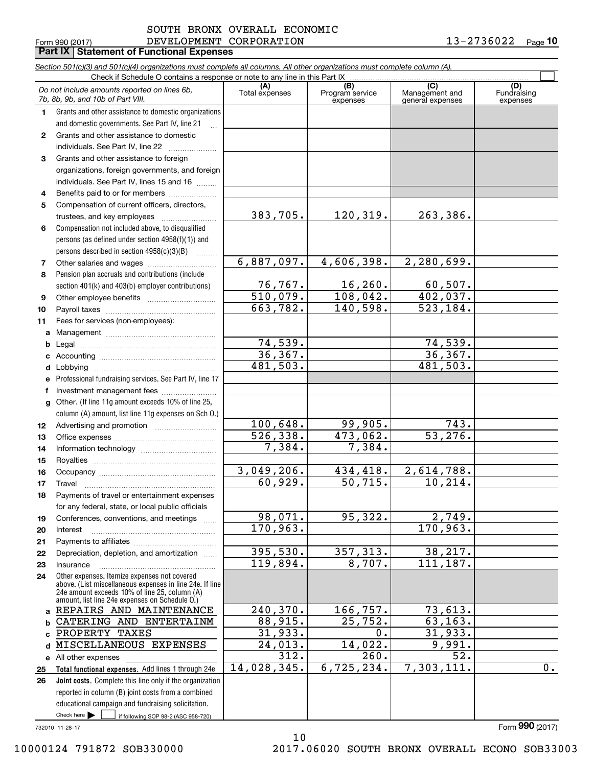Form 990 (2017) DEVELOPMENT CORPORATION 1 3 –  $27\,3\,6\,0\,2\,2$  <sub>Page</sub> SOUTH BRONX OVERALL ECONOMIC

|          | Part IX   Statement of Functional Expenses                                                                                 |                       |                                    |                                           |                                |  |  |  |  |
|----------|----------------------------------------------------------------------------------------------------------------------------|-----------------------|------------------------------------|-------------------------------------------|--------------------------------|--|--|--|--|
|          | Section 501(c)(3) and 501(c)(4) organizations must complete all columns. All other organizations must complete column (A). |                       |                                    |                                           |                                |  |  |  |  |
|          | Check if Schedule O contains a response or note to any line in this Part IX                                                |                       |                                    |                                           |                                |  |  |  |  |
|          | Do not include amounts reported on lines 6b,<br>7b, 8b, 9b, and 10b of Part VIII.                                          | (A)<br>Total expenses | (B)<br>Program service<br>expenses | (C)<br>Management and<br>general expenses | (D)<br>Fundraising<br>expenses |  |  |  |  |
| 1.       | Grants and other assistance to domestic organizations                                                                      |                       |                                    |                                           |                                |  |  |  |  |
|          | and domestic governments. See Part IV, line 21                                                                             |                       |                                    |                                           |                                |  |  |  |  |
| 2        | Grants and other assistance to domestic                                                                                    |                       |                                    |                                           |                                |  |  |  |  |
|          | individuals. See Part IV, line 22                                                                                          |                       |                                    |                                           |                                |  |  |  |  |
| 3        | Grants and other assistance to foreign                                                                                     |                       |                                    |                                           |                                |  |  |  |  |
|          | organizations, foreign governments, and foreign                                                                            |                       |                                    |                                           |                                |  |  |  |  |
|          | individuals. See Part IV, lines 15 and 16                                                                                  |                       |                                    |                                           |                                |  |  |  |  |
| 4        | Benefits paid to or for members                                                                                            |                       |                                    |                                           |                                |  |  |  |  |
| 5        | Compensation of current officers, directors,                                                                               |                       |                                    |                                           |                                |  |  |  |  |
|          | trustees, and key employees                                                                                                | 383,705.              | 120,319.                           | 263,386.                                  |                                |  |  |  |  |
| 6        | Compensation not included above, to disqualified                                                                           |                       |                                    |                                           |                                |  |  |  |  |
|          | persons (as defined under section 4958(f)(1)) and                                                                          |                       |                                    |                                           |                                |  |  |  |  |
|          | persons described in section 4958(c)(3)(B)                                                                                 | 6,887,097.            | 4,606,398.                         | 2,280,699.                                |                                |  |  |  |  |
| 7<br>8   | Pension plan accruals and contributions (include                                                                           |                       |                                    |                                           |                                |  |  |  |  |
|          | section 401(k) and 403(b) employer contributions)                                                                          | 76, 767.              | 16,260.                            | 60, 507.                                  |                                |  |  |  |  |
| 9        |                                                                                                                            | 510,079.              | 108,042.                           | 402,037.                                  |                                |  |  |  |  |
| 10       |                                                                                                                            | 663,782.              | 140,598.                           | 523, 184.                                 |                                |  |  |  |  |
| 11       | Fees for services (non-employees):                                                                                         |                       |                                    |                                           |                                |  |  |  |  |
| a        |                                                                                                                            |                       |                                    |                                           |                                |  |  |  |  |
|          |                                                                                                                            | 74,539.               |                                    | 74,539.                                   |                                |  |  |  |  |
| c        |                                                                                                                            | 36,367.               |                                    | 36, 367.                                  |                                |  |  |  |  |
|          |                                                                                                                            | 481,503.              |                                    | 481,503.                                  |                                |  |  |  |  |
| е        | Professional fundraising services. See Part IV, line 17                                                                    |                       |                                    |                                           |                                |  |  |  |  |
| f        | Investment management fees                                                                                                 |                       |                                    |                                           |                                |  |  |  |  |
| g        | Other. (If line 11g amount exceeds 10% of line 25,                                                                         |                       |                                    |                                           |                                |  |  |  |  |
|          | column (A) amount, list line 11g expenses on Sch O.)                                                                       |                       |                                    |                                           |                                |  |  |  |  |
| 12       |                                                                                                                            | 100,648.              | 99,905.                            | 743.                                      |                                |  |  |  |  |
| 13       |                                                                                                                            | 526, 338.             | 473,062.                           | 53,276.                                   |                                |  |  |  |  |
| 14       |                                                                                                                            | 7,384.                | 7,384.                             |                                           |                                |  |  |  |  |
| 15       |                                                                                                                            |                       |                                    |                                           |                                |  |  |  |  |
| 16       |                                                                                                                            | 3,049,206.            | 434,418.                           | 2,614,788.                                |                                |  |  |  |  |
| 17       | Travel                                                                                                                     | 60,929.               | 50, 715.                           | 10, 214.                                  |                                |  |  |  |  |
| 18       | Payments of travel or entertainment expenses                                                                               |                       |                                    |                                           |                                |  |  |  |  |
|          | for any federal, state, or local public officials                                                                          | 98,071.               | 95,322.                            |                                           |                                |  |  |  |  |
| 19       | Conferences, conventions, and meetings                                                                                     | 170,963.              |                                    | 2,749.<br>170,963.                        |                                |  |  |  |  |
| 20       | Interest                                                                                                                   |                       |                                    |                                           |                                |  |  |  |  |
| 21<br>22 | Depreciation, depletion, and amortization                                                                                  | 395,530.              | 357, 313.                          | 38, 217.                                  |                                |  |  |  |  |
| 23       | Insurance                                                                                                                  | 119,894.              | 8,707.                             | 111,187.                                  |                                |  |  |  |  |
| 24       | Other expenses. Itemize expenses not covered                                                                               |                       |                                    |                                           |                                |  |  |  |  |
|          | above. (List miscellaneous expenses in line 24e. If line                                                                   |                       |                                    |                                           |                                |  |  |  |  |
|          | 24e amount exceeds 10% of line 25, column (A)<br>amount, list line 24e expenses on Schedule O.)                            |                       |                                    |                                           |                                |  |  |  |  |
|          | a REPAIRS AND MAINTENANCE                                                                                                  | 240, 370.             | 166,757.                           | 73,613.                                   |                                |  |  |  |  |
|          | CATERING AND ENTERTAINM                                                                                                    | 88,915.               | 25,752.                            | 63, 163.                                  |                                |  |  |  |  |
| c        | PROPERTY TAXES                                                                                                             | 31,933.               | 0.                                 | 31,933.                                   |                                |  |  |  |  |
| d        | MISCELLANEOUS EXPENSES                                                                                                     | 24,013.               | 14,022.                            | 9,991.                                    |                                |  |  |  |  |
|          | e All other expenses                                                                                                       | 312.                  | 260.                               | 52.                                       |                                |  |  |  |  |
| 25       | Total functional expenses. Add lines 1 through 24e                                                                         | 14,028,345.           | 6,725,234.                         | 7,303,111.                                | 0.                             |  |  |  |  |
| 26       | Joint costs. Complete this line only if the organization                                                                   |                       |                                    |                                           |                                |  |  |  |  |
|          | reported in column (B) joint costs from a combined                                                                         |                       |                                    |                                           |                                |  |  |  |  |
|          | educational campaign and fundraising solicitation.                                                                         |                       |                                    |                                           |                                |  |  |  |  |
|          | Check here $\blacktriangleright$<br>if following SOP 98-2 (ASC 958-720)                                                    |                       |                                    |                                           |                                |  |  |  |  |

10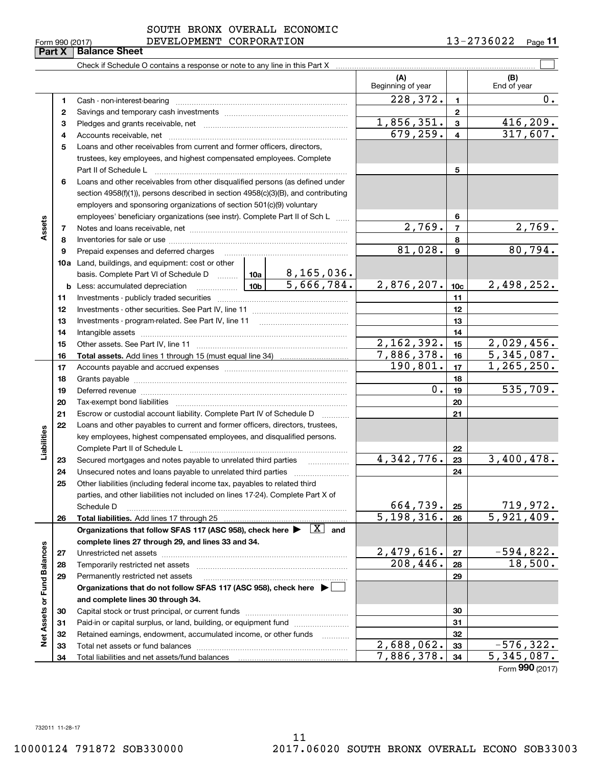Form (2017) **990**

# Form 990 (2017) DEVELOPMENT CORPORATION 1 3 –  $27\,3\,6\,0\,2\,2$  <sub>Page</sub> SOUTH BRONX OVERALL ECONOMIC

13-2736022 <sub>Page</sub> 11

 $\mathcal{L}^{\text{max}}$ Check if Schedule O contains a response or note to any line in this Part X **(A) (B)** Beginning of year | | End of year  $228,372.$  | 1 | 0. **11**Cash - non-interest-bearing ~~~~~~~~~~~~~~~~~~~~~~~~~ **22**Savings and temporary cash investments ~~~~~~~~~~~~~~~~~~1,856,351. 416,209. **33** Pledges and grants receivable, net  $\ldots$  **multimes contained and grants receivable**, net **multimes contained and grants receivable**, net **multimes contained and grants receivable** 679,259. 317,607. Accounts receivable, net ~~~~~~~~~~~~~~~~~~~~~~~~~~ **445**Loans and other receivables from current and former officers, directors, trustees, key employees, and highest compensated employees. Complete Part II of Schedule L ~~~~~~~~~~~~~~~~~~~~~~~~~~~~ **5**Loans and other receivables from other disqualified persons (as defined under **6**section 4958(f)(1)), persons described in section 4958(c)(3)(B), and contributing employers and sponsoring organizations of section 501(c)(9) voluntary employees' beneficiary organizations (see instr). Complete Part II of Sch L ...... **6Assets**  $2,769.$   $7$   $2,769.$ **77**Notes and loans receivable, net ~~~~~~~~~~~~~~~~~~~~~~~ **88**Inventories for sale or use ~~~~~~~~~~~~~~~~~~~~~~~~~~  $81,028.$  9  $80,794.$ **9**Prepaid expenses and deferred charges **910a**Land, buildings, and equipment: cost or other 8,165,036. basis. Complete Part VI of Schedule D will aller  $5,666,784.$  2,876,207. 10c 2,498,252. **10cb** Less: accumulated depreciation \_\_\_\_\_\_\_\_\_\_\_\_\_\_\_ Lub **1111**Investments - publicly traded securities ~~~~~~~~~~~~~~~~~~~ **1212**Investments - other securities. See Part IV, line 11 ~~~~~~~~~~~~~~**13**Investments - program-related. See Part IV, line 11 **131414**Intangible assets ……………………………………………………………………………………  $2,162,392.$   $15$   $2,029,456.$ Other assets. See Part IV, line 11 ~~~~~~~~~~~~~~~~~~~~~~ **1515** $7,886,378.$   $16$  5,345,087. **1616Total assets.**  Add lines 1 through 15 (must equal line 34)  $190,801.$  17  $1,265,250.$ **1717**Accounts payable and accrued expenses ~~~~~~~~~~~~~~~~~~**1818**Grants payable ~~~~~~~~~~~~~~~~~~~~~~~~~~~~~~~  $0.$  19 535,709. **1919**Deferred revenue et al. and the state of the state of the state of the state of the state of the state of the state of the state of the state of the state of the state of the state of the state of the state of the state of **2020**Tax-exempt bond liabilities …………………………………………………………… **21**Escrow or custodial account liability. Complete Part IV of Schedule D **21**Loans and other payables to current and former officers, directors, trustees, **22**Liabilities **Liabilities** key employees, highest compensated employees, and disqualified persons. Complete Part II of Schedule L <sub>…………………………………………………………</sub> **22** $4,342,776$ .  $23$  3,400,478. **23**Secured mortgages and notes payable to unrelated third parties **23**Unsecured notes and loans payable to unrelated third parties ~~~~~~~~~~~~~~~~~~~~ **242425**Other liabilities (including federal income tax, payables to related third parties, and other liabilities not included on lines 17-24). Complete Part X of  $664,739. |25 | 719,972.$ Schedule D ~~~~~~~~~~~~~~~~~~~~~~~~~~~~~~~~ **25** $5,198,316. |26 | 5,921,409.$ **2626Total liabilities.**  Add lines 17 through 25 Organizations that follow SFAS 117 (ASC 958), check here  $\blacktriangleright$   $\boxed{\text{X}}$  and **complete lines 27 through 29, and lines 33 and 34. Net Assets or Fund Balances Net Assets or Fund Balances**  $2,479,616$ .  $27$   $-594,822$ . **2727**Unrestricted net assets ~~~~~~~~~~~~~~~~~~~~~~~~~~~  $208,446. |28| 18,500.$ **2828**Temporarily restricted net assets ~~~~~~~~~~~~~~~~~~~~~~ **29**Permanently restricted net assets  $~\cdot$   $~\cdot$   $~\cdot$   $~\cdot$   $~\cdot$   $~\cdot$   $~\cdot$   $~\cdot$   $~\cdot$   $~\cdot$   $~\cdot$   $~\cdot$   $~\cdot$   $~\cdot$   $~\cdot$   $~\cdot$   $~\cdot$   $~\cdot$   $~\cdot$   $~\cdot$   $~\cdot$   $~\cdot$   $~\cdot$   $~\cdot$   $~\cdot$   $~\cdot$   $~\cdot$   $~\cdot$   $~\cdot$   $~\cdot$   $~\cdot$   $~\cdot$   $~\cdot$   $~\cdot$   $~\cdot$   $~\cdot$   $~\cdot$ **29Organizations that do not follow SFAS 117 (ASC 958), check here** | **and complete lines 30 through 34. 3030**Capital stock or trust principal, or current funds ~~~~~~~~~~~~~~~ **3131**Paid-in or capital surplus, or land, building, or equipment fund will concurred. **3232**Retained earnings, endowment, accumulated income, or other funds www.com  $2,688,062.$  33 - 576,322. **33**Total net assets or fund balances ~~~~~~~~~~~~~~~~~~~~~~ **33** $7,886,378.$   $34$  5,345,087. **34**Total liabilities and net assets/fund balances **34**

**Part X** Balance Sheet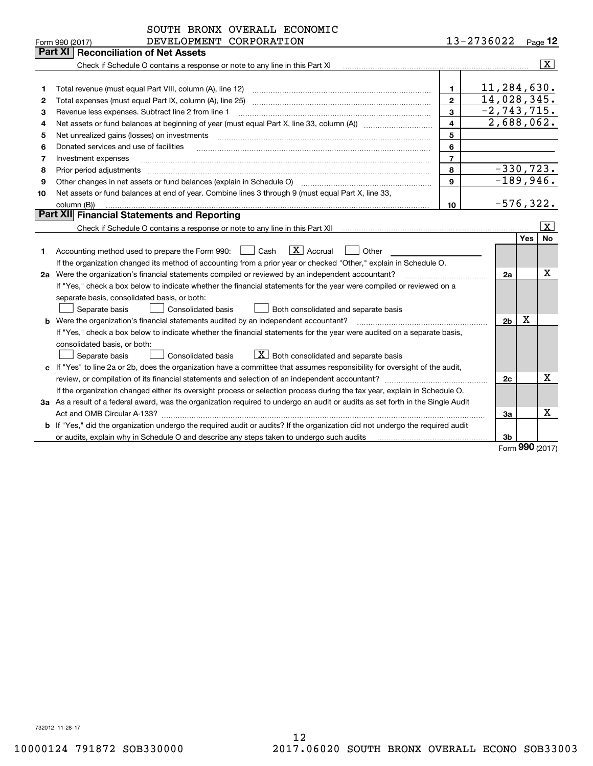|    | SOUTH BRONX OVERALL ECONOMIC                                                                                                         |                |                                   |     |                       |
|----|--------------------------------------------------------------------------------------------------------------------------------------|----------------|-----------------------------------|-----|-----------------------|
|    | DEVELOPMENT CORPORATION<br>Form 990 (2017)                                                                                           |                | 13-2736022                        |     | Page 12               |
|    | Part XI<br><b>Reconciliation of Net Assets</b>                                                                                       |                |                                   |     |                       |
|    | Check if Schedule O contains a response or note to any line in this Part XI                                                          |                |                                   |     | $\overline{\text{X}}$ |
|    |                                                                                                                                      |                |                                   |     |                       |
| 1  | Total revenue (must equal Part VIII, column (A), line 12)                                                                            | 1              | 11,284,630.                       |     |                       |
| 2  | Total expenses (must equal Part IX, column (A), line 25)                                                                             | $\mathbf{2}$   | 14,028,345.                       |     |                       |
| з  | Revenue less expenses. Subtract line 2 from line 1                                                                                   | 3              | $-2, 743, 715.$                   |     |                       |
| 4  |                                                                                                                                      | 4              | 2,688,062.                        |     |                       |
| 5  | Net unrealized gains (losses) on investments                                                                                         | 5              |                                   |     |                       |
| 6  | Donated services and use of facilities                                                                                               | 6              |                                   |     |                       |
| 7  | Investment expenses                                                                                                                  | $\overline{7}$ |                                   |     |                       |
| 8  | Prior period adjustments                                                                                                             | 8              | $-330, 723.$                      |     |                       |
| 9  | Other changes in net assets or fund balances (explain in Schedule O)                                                                 | 9              | $-189,946.$                       |     |                       |
| 10 | Net assets or fund balances at end of year. Combine lines 3 through 9 (must equal Part X, line 33,                                   |                |                                   |     |                       |
|    | column (B))                                                                                                                          | 10             | $-576, 322.$                      |     |                       |
|    | <b>Part XII</b> Financial Statements and Reporting                                                                                   |                |                                   |     |                       |
|    | Check if Schedule O contains a response or note to any line in this Part XII musules contains all the Contains                       |                |                                   |     | x                     |
|    |                                                                                                                                      |                |                                   | Yes | No                    |
| 1. | $\boxed{\mathbf{X}}$ Accrual<br>Cash<br>Accounting method used to prepare the Form 990:<br>Other                                     |                |                                   |     |                       |
|    | If the organization changed its method of accounting from a prior year or checked "Other," explain in Schedule O.                    |                |                                   |     |                       |
|    | 2a Were the organization's financial statements compiled or reviewed by an independent accountant?                                   |                | 2a                                |     | х                     |
|    | If "Yes," check a box below to indicate whether the financial statements for the year were compiled or reviewed on a                 |                |                                   |     |                       |
|    | separate basis, consolidated basis, or both:                                                                                         |                |                                   |     |                       |
|    | Separate basis<br>Consolidated basis<br>Both consolidated and separate basis                                                         |                |                                   |     |                       |
|    | <b>b</b> Were the organization's financial statements audited by an independent accountant?                                          |                | 2 <sub>b</sub>                    | Χ   |                       |
|    | If "Yes," check a box below to indicate whether the financial statements for the year were audited on a separate basis,              |                |                                   |     |                       |
|    | consolidated basis, or both:                                                                                                         |                |                                   |     |                       |
|    | $X$ Both consolidated and separate basis<br>Consolidated basis<br>Separate basis                                                     |                |                                   |     |                       |
|    | c If "Yes" to line 2a or 2b, does the organization have a committee that assumes responsibility for oversight of the audit,          |                |                                   |     |                       |
|    |                                                                                                                                      |                | 2c                                |     | х                     |
|    | If the organization changed either its oversight process or selection process during the tax year, explain in Schedule O.            |                |                                   |     |                       |
|    | 3a As a result of a federal award, was the organization required to undergo an audit or audits as set forth in the Single Audit      |                |                                   |     |                       |
|    |                                                                                                                                      |                | За                                |     | x                     |
|    | <b>b</b> If "Yes," did the organization undergo the required audit or audits? If the organization did not undergo the required audit |                |                                   |     |                       |
|    | or audits, explain why in Schedule O and describe any steps taken to undergo such audits                                             |                | 3b<br>$F_{\text{Orm}}$ 990 (2017) |     |                       |
|    |                                                                                                                                      |                |                                   |     |                       |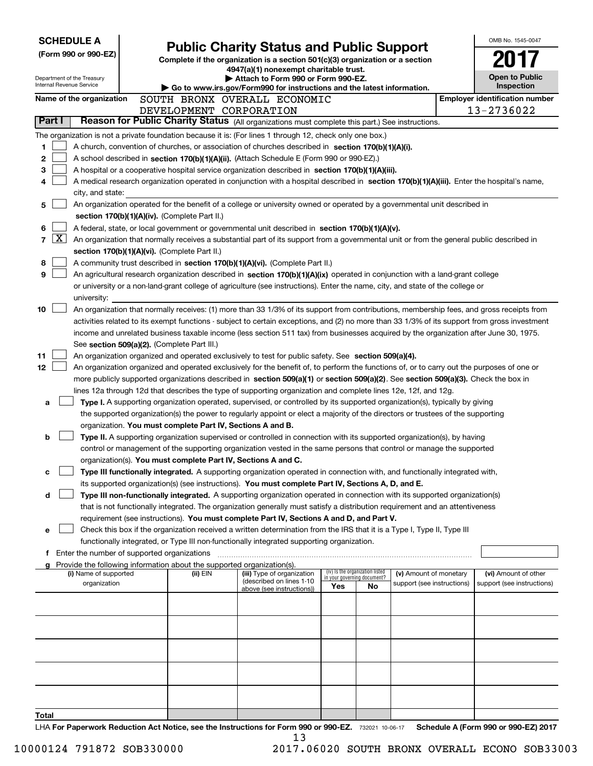| <b>SCHEDULE A</b><br>(Form 990 or 990-EZ)<br>Department of the Treasury                                                                                                                                                                              | <b>Public Charity Status and Public Support</b><br>Complete if the organization is a section 501(c)(3) organization or a section<br>4947(a)(1) nonexempt charitable trust.<br>Attach to Form 990 or Form 990-EZ. |                                                                        |                                                                |    |                            |  |                                       |  |
|------------------------------------------------------------------------------------------------------------------------------------------------------------------------------------------------------------------------------------------------------|------------------------------------------------------------------------------------------------------------------------------------------------------------------------------------------------------------------|------------------------------------------------------------------------|----------------------------------------------------------------|----|----------------------------|--|---------------------------------------|--|
| Internal Revenue Service                                                                                                                                                                                                                             |                                                                                                                                                                                                                  | Go to www.irs.gov/Form990 for instructions and the latest information. |                                                                |    |                            |  | <b>Open to Public</b><br>Inspection   |  |
| Name of the organization                                                                                                                                                                                                                             |                                                                                                                                                                                                                  | SOUTH BRONX OVERALL ECONOMIC                                           |                                                                |    |                            |  | <b>Employer identification number</b> |  |
|                                                                                                                                                                                                                                                      | DEVELOPMENT CORPORATION                                                                                                                                                                                          |                                                                        |                                                                |    |                            |  | 13-2736022                            |  |
| Part I<br>Reason for Public Charity Status (All organizations must complete this part.) See instructions.                                                                                                                                            |                                                                                                                                                                                                                  |                                                                        |                                                                |    |                            |  |                                       |  |
| The organization is not a private foundation because it is: (For lines 1 through 12, check only one box.)                                                                                                                                            |                                                                                                                                                                                                                  |                                                                        |                                                                |    |                            |  |                                       |  |
| 1<br>A church, convention of churches, or association of churches described in section 170(b)(1)(A)(i).                                                                                                                                              |                                                                                                                                                                                                                  |                                                                        |                                                                |    |                            |  |                                       |  |
| 2<br>A school described in section 170(b)(1)(A)(ii). (Attach Schedule E (Form 990 or 990-EZ).)<br>3                                                                                                                                                  |                                                                                                                                                                                                                  |                                                                        |                                                                |    |                            |  |                                       |  |
| A hospital or a cooperative hospital service organization described in section 170(b)(1)(A)(iii).<br>A medical research organization operated in conjunction with a hospital described in section 170(b)(1)(A)(iii). Enter the hospital's name,<br>4 |                                                                                                                                                                                                                  |                                                                        |                                                                |    |                            |  |                                       |  |
| city, and state:                                                                                                                                                                                                                                     |                                                                                                                                                                                                                  |                                                                        |                                                                |    |                            |  |                                       |  |
| An organization operated for the benefit of a college or university owned or operated by a governmental unit described in<br>5                                                                                                                       |                                                                                                                                                                                                                  |                                                                        |                                                                |    |                            |  |                                       |  |
| section 170(b)(1)(A)(iv). (Complete Part II.)                                                                                                                                                                                                        |                                                                                                                                                                                                                  |                                                                        |                                                                |    |                            |  |                                       |  |
| 6<br>A federal, state, or local government or governmental unit described in section 170(b)(1)(A)(v).                                                                                                                                                |                                                                                                                                                                                                                  |                                                                        |                                                                |    |                            |  |                                       |  |
| $\lfloor x \rfloor$<br>7<br>An organization that normally receives a substantial part of its support from a governmental unit or from the general public described in                                                                                |                                                                                                                                                                                                                  |                                                                        |                                                                |    |                            |  |                                       |  |
| section 170(b)(1)(A)(vi). (Complete Part II.)                                                                                                                                                                                                        |                                                                                                                                                                                                                  |                                                                        |                                                                |    |                            |  |                                       |  |
| 8<br>A community trust described in section 170(b)(1)(A)(vi). (Complete Part II.)                                                                                                                                                                    |                                                                                                                                                                                                                  |                                                                        |                                                                |    |                            |  |                                       |  |
| 9<br>An agricultural research organization described in section 170(b)(1)(A)(ix) operated in conjunction with a land-grant college                                                                                                                   |                                                                                                                                                                                                                  |                                                                        |                                                                |    |                            |  |                                       |  |
| or university or a non-land-grant college of agriculture (see instructions). Enter the name, city, and state of the college or                                                                                                                       |                                                                                                                                                                                                                  |                                                                        |                                                                |    |                            |  |                                       |  |
| university:<br>10<br>An organization that normally receives: (1) more than 33 1/3% of its support from contributions, membership fees, and gross receipts from                                                                                       |                                                                                                                                                                                                                  |                                                                        |                                                                |    |                            |  |                                       |  |
| activities related to its exempt functions - subject to certain exceptions, and (2) no more than 33 1/3% of its support from gross investment                                                                                                        |                                                                                                                                                                                                                  |                                                                        |                                                                |    |                            |  |                                       |  |
| income and unrelated business taxable income (less section 511 tax) from businesses acquired by the organization after June 30, 1975.                                                                                                                |                                                                                                                                                                                                                  |                                                                        |                                                                |    |                            |  |                                       |  |
| See section 509(a)(2). (Complete Part III.)                                                                                                                                                                                                          |                                                                                                                                                                                                                  |                                                                        |                                                                |    |                            |  |                                       |  |
| 11<br>An organization organized and operated exclusively to test for public safety. See section 509(a)(4).                                                                                                                                           |                                                                                                                                                                                                                  |                                                                        |                                                                |    |                            |  |                                       |  |
| 12<br>An organization organized and operated exclusively for the benefit of, to perform the functions of, or to carry out the purposes of one or                                                                                                     |                                                                                                                                                                                                                  |                                                                        |                                                                |    |                            |  |                                       |  |
| more publicly supported organizations described in section 509(a)(1) or section 509(a)(2). See section 509(a)(3). Check the box in                                                                                                                   |                                                                                                                                                                                                                  |                                                                        |                                                                |    |                            |  |                                       |  |
| lines 12a through 12d that describes the type of supporting organization and complete lines 12e, 12f, and 12g.                                                                                                                                       |                                                                                                                                                                                                                  |                                                                        |                                                                |    |                            |  |                                       |  |
| Type I. A supporting organization operated, supervised, or controlled by its supported organization(s), typically by giving<br>a                                                                                                                     |                                                                                                                                                                                                                  |                                                                        |                                                                |    |                            |  |                                       |  |
| the supported organization(s) the power to regularly appoint or elect a majority of the directors or trustees of the supporting                                                                                                                      |                                                                                                                                                                                                                  |                                                                        |                                                                |    |                            |  |                                       |  |
| organization. You must complete Part IV, Sections A and B.<br>Type II. A supporting organization supervised or controlled in connection with its supported organization(s), by having<br>b                                                           |                                                                                                                                                                                                                  |                                                                        |                                                                |    |                            |  |                                       |  |
| control or management of the supporting organization vested in the same persons that control or manage the supported                                                                                                                                 |                                                                                                                                                                                                                  |                                                                        |                                                                |    |                            |  |                                       |  |
| organization(s). You must complete Part IV, Sections A and C.                                                                                                                                                                                        |                                                                                                                                                                                                                  |                                                                        |                                                                |    |                            |  |                                       |  |
| Type III functionally integrated. A supporting organization operated in connection with, and functionally integrated with,                                                                                                                           |                                                                                                                                                                                                                  |                                                                        |                                                                |    |                            |  |                                       |  |
| its supported organization(s) (see instructions). You must complete Part IV, Sections A, D, and E.                                                                                                                                                   |                                                                                                                                                                                                                  |                                                                        |                                                                |    |                            |  |                                       |  |
| Type III non-functionally integrated. A supporting organization operated in connection with its supported organization(s)<br>d                                                                                                                       |                                                                                                                                                                                                                  |                                                                        |                                                                |    |                            |  |                                       |  |
| that is not functionally integrated. The organization generally must satisfy a distribution requirement and an attentiveness                                                                                                                         |                                                                                                                                                                                                                  |                                                                        |                                                                |    |                            |  |                                       |  |
| requirement (see instructions). You must complete Part IV, Sections A and D, and Part V.                                                                                                                                                             |                                                                                                                                                                                                                  |                                                                        |                                                                |    |                            |  |                                       |  |
| Check this box if the organization received a written determination from the IRS that it is a Type I, Type II, Type III<br>е                                                                                                                         |                                                                                                                                                                                                                  |                                                                        |                                                                |    |                            |  |                                       |  |
| functionally integrated, or Type III non-functionally integrated supporting organization.<br><b>f</b> Enter the number of supported organizations                                                                                                    |                                                                                                                                                                                                                  |                                                                        |                                                                |    |                            |  |                                       |  |
| g Provide the following information about the supported organization(s).                                                                                                                                                                             |                                                                                                                                                                                                                  |                                                                        |                                                                |    |                            |  |                                       |  |
| (i) Name of supported                                                                                                                                                                                                                                | (ii) EIN                                                                                                                                                                                                         | (iii) Type of organization                                             | (iv) Is the organization listed<br>in your governing document? |    | (v) Amount of monetary     |  | (vi) Amount of other                  |  |
| organization                                                                                                                                                                                                                                         |                                                                                                                                                                                                                  | (described on lines 1-10<br>above (see instructions))                  | Yes                                                            | No | support (see instructions) |  | support (see instructions)            |  |
|                                                                                                                                                                                                                                                      |                                                                                                                                                                                                                  |                                                                        |                                                                |    |                            |  |                                       |  |
|                                                                                                                                                                                                                                                      |                                                                                                                                                                                                                  |                                                                        |                                                                |    |                            |  |                                       |  |
|                                                                                                                                                                                                                                                      |                                                                                                                                                                                                                  |                                                                        |                                                                |    |                            |  |                                       |  |
|                                                                                                                                                                                                                                                      |                                                                                                                                                                                                                  |                                                                        |                                                                |    |                            |  |                                       |  |
|                                                                                                                                                                                                                                                      |                                                                                                                                                                                                                  |                                                                        |                                                                |    |                            |  |                                       |  |
|                                                                                                                                                                                                                                                      |                                                                                                                                                                                                                  |                                                                        |                                                                |    |                            |  |                                       |  |
|                                                                                                                                                                                                                                                      |                                                                                                                                                                                                                  |                                                                        |                                                                |    |                            |  |                                       |  |
|                                                                                                                                                                                                                                                      |                                                                                                                                                                                                                  |                                                                        |                                                                |    |                            |  |                                       |  |
|                                                                                                                                                                                                                                                      |                                                                                                                                                                                                                  |                                                                        |                                                                |    |                            |  |                                       |  |
| Total                                                                                                                                                                                                                                                |                                                                                                                                                                                                                  |                                                                        |                                                                |    |                            |  |                                       |  |
| $1 H\Delta$ For Panerwork Reduction Act Notice, see the Instructions for Form 990 or 990-FZ $7222221100647$ Schedule A (Form 990 or 990-FZ) 2017                                                                                                     |                                                                                                                                                                                                                  |                                                                        |                                                                |    |                            |  |                                       |  |

732021 10-06-17<br><mark>7</mark>32021 10-06 **For Paperwork Reduction Act Notice, see the Instructions for Form 990 or 990-EZ. Schedule A (Form 990 or 990-EZ) 2017** LHA 13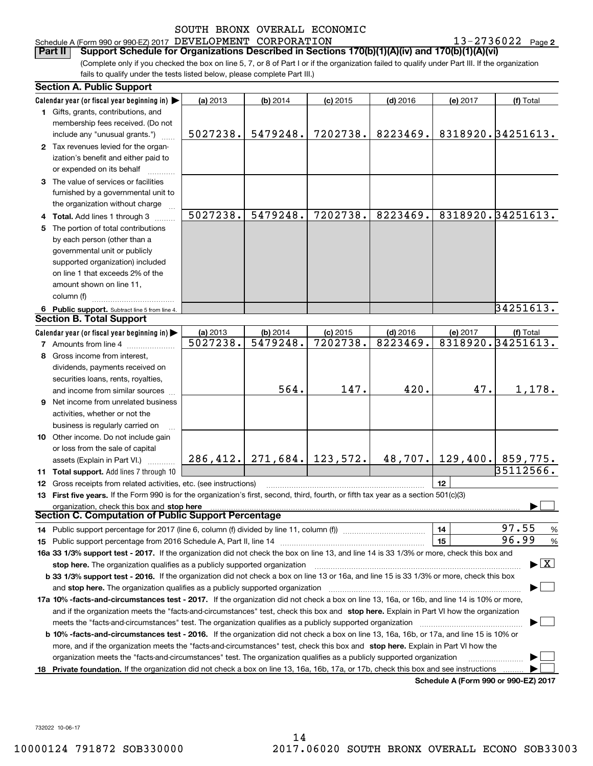# Schedule A (Form 990 or 990-EZ) 2017 Page DEVELOPMENT CORPORATION 13-2736022

**2**

(Complete only if you checked the box on line 5, 7, or 8 of Part I or if the organization failed to qualify under Part III. If the organization fails to qualify under the tests listed below, please complete Part III.) **Part II Support Schedule for Organizations Described in Sections 170(b)(1)(A)(iv) and 170(b)(1)(A)(vi)**

|    | <b>Section A. Public Support</b>                                                                                                           |          |          |                                 |            |          |                                         |
|----|--------------------------------------------------------------------------------------------------------------------------------------------|----------|----------|---------------------------------|------------|----------|-----------------------------------------|
|    | Calendar year (or fiscal year beginning in)                                                                                                | (a) 2013 | (b) 2014 | $(c)$ 2015                      | $(d)$ 2016 | (e) 2017 | (f) Total                               |
|    | 1 Gifts, grants, contributions, and                                                                                                        |          |          |                                 |            |          |                                         |
|    | membership fees received. (Do not                                                                                                          |          |          |                                 |            |          |                                         |
|    | include any "unusual grants.")                                                                                                             | 5027238. | 5479248. | 7202738.                        | 8223469.   |          | 8318920. 34251613.                      |
|    | 2 Tax revenues levied for the organ-                                                                                                       |          |          |                                 |            |          |                                         |
|    | ization's benefit and either paid to                                                                                                       |          |          |                                 |            |          |                                         |
|    | or expended on its behalf                                                                                                                  |          |          |                                 |            |          |                                         |
|    | 3 The value of services or facilities                                                                                                      |          |          |                                 |            |          |                                         |
|    | furnished by a governmental unit to                                                                                                        |          |          |                                 |            |          |                                         |
|    | the organization without charge                                                                                                            |          |          |                                 |            |          |                                         |
|    | Total. Add lines 1 through 3                                                                                                               | 5027238. | 5479248. | 7202738.                        | 8223469.   |          | 8318920.34251613.                       |
| 5. | The portion of total contributions                                                                                                         |          |          |                                 |            |          |                                         |
|    | by each person (other than a                                                                                                               |          |          |                                 |            |          |                                         |
|    | governmental unit or publicly                                                                                                              |          |          |                                 |            |          |                                         |
|    | supported organization) included                                                                                                           |          |          |                                 |            |          |                                         |
|    | on line 1 that exceeds 2% of the                                                                                                           |          |          |                                 |            |          |                                         |
|    | amount shown on line 11,                                                                                                                   |          |          |                                 |            |          |                                         |
|    | column (f)                                                                                                                                 |          |          |                                 |            |          |                                         |
|    | 6 Public support. Subtract line 5 from line 4.                                                                                             |          |          |                                 |            |          | 34251613.                               |
|    | <b>Section B. Total Support</b>                                                                                                            |          |          |                                 |            |          |                                         |
|    | Calendar year (or fiscal year beginning in)                                                                                                | (a) 2013 | (b) 2014 | $(c)$ 2015                      | $(d)$ 2016 | (e) 2017 | (f) Total                               |
|    | 7 Amounts from line 4                                                                                                                      | 5027238. | 5479248. | 7202738.                        | 8223469.   |          | 8318920.34251613.                       |
|    | 8 Gross income from interest,                                                                                                              |          |          |                                 |            |          |                                         |
|    | dividends, payments received on                                                                                                            |          |          |                                 |            |          |                                         |
|    | securities loans, rents, royalties,                                                                                                        |          |          |                                 |            |          |                                         |
|    | and income from similar sources                                                                                                            |          | 564.     | 147.                            | 420.       | 47.      | 1,178.                                  |
| 9. | Net income from unrelated business                                                                                                         |          |          |                                 |            |          |                                         |
|    | activities, whether or not the                                                                                                             |          |          |                                 |            |          |                                         |
|    | business is regularly carried on                                                                                                           |          |          |                                 |            |          |                                         |
|    | 10 Other income. Do not include gain                                                                                                       |          |          |                                 |            |          |                                         |
|    | or loss from the sale of capital                                                                                                           |          |          |                                 |            |          |                                         |
|    | assets (Explain in Part VI.)                                                                                                               |          |          | $286, 412.$ 271, 684. 123, 572. |            |          | $48,707.$ 129, 400. 859, 775.           |
|    | 11 Total support. Add lines 7 through 10                                                                                                   |          |          |                                 |            |          | 35112566.                               |
| 12 | Gross receipts from related activities, etc. (see instructions)                                                                            |          |          |                                 |            | 12       |                                         |
|    | 13 First five years. If the Form 990 is for the organization's first, second, third, fourth, or fifth tax year as a section 501(c)(3)      |          |          |                                 |            |          |                                         |
|    | organization, check this box and stop here                                                                                                 |          |          |                                 |            |          |                                         |
|    | Section C. Computation of Public Support Percentage                                                                                        |          |          |                                 |            |          |                                         |
|    |                                                                                                                                            |          |          |                                 |            | 14       | 97.55<br>%                              |
|    |                                                                                                                                            |          |          |                                 |            | 15       | 96.99<br>%                              |
|    | 16a 33 1/3% support test - 2017. If the organization did not check the box on line 13, and line 14 is 33 1/3% or more, check this box and  |          |          |                                 |            |          |                                         |
|    | stop here. The organization qualifies as a publicly supported organization                                                                 |          |          |                                 |            |          | $\blacktriangleright$ $\vert$ X $\vert$ |
|    | b 33 1/3% support test - 2016. If the organization did not check a box on line 13 or 16a, and line 15 is 33 1/3% or more, check this box   |          |          |                                 |            |          |                                         |
|    | and stop here. The organization qualifies as a publicly supported organization                                                             |          |          |                                 |            |          |                                         |
|    | 17a 10% -facts-and-circumstances test - 2017. If the organization did not check a box on line 13, 16a, or 16b, and line 14 is 10% or more, |          |          |                                 |            |          |                                         |
|    | and if the organization meets the "facts-and-circumstances" test, check this box and stop here. Explain in Part VI how the organization    |          |          |                                 |            |          |                                         |
|    | meets the "facts-and-circumstances" test. The organization qualifies as a publicly supported organization                                  |          |          |                                 |            |          |                                         |
|    | b 10% -facts-and-circumstances test - 2016. If the organization did not check a box on line 13, 16a, 16b, or 17a, and line 15 is 10% or    |          |          |                                 |            |          |                                         |
|    | more, and if the organization meets the "facts-and-circumstances" test, check this box and stop here. Explain in Part VI how the           |          |          |                                 |            |          |                                         |
|    | organization meets the "facts-and-circumstances" test. The organization qualifies as a publicly supported organization                     |          |          |                                 |            |          |                                         |
| 18 | Private foundation. If the organization did not check a box on line 13, 16a, 16b, 17a, or 17b, check this box and see instructions         |          |          |                                 |            |          |                                         |
|    |                                                                                                                                            |          |          |                                 |            |          | Schedule A (Form 990 or 990-EZ) 2017    |

732022 10-06-17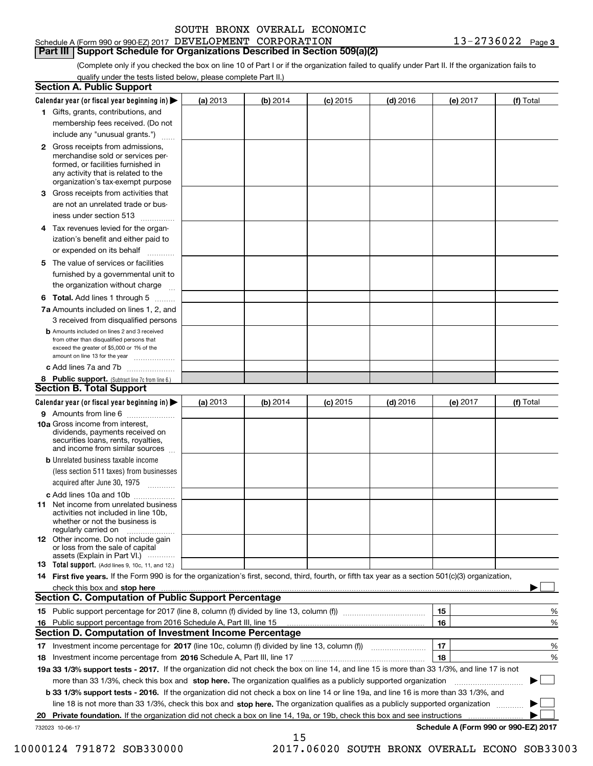|  | SOUTH BRONX OVERALL ECONOMIC |
|--|------------------------------|
|  |                              |

# **Part III Support Schedule for Organizations Described in Section 509(a)(2)**

(Complete only if you checked the box on line 10 of Part I or if the organization failed to qualify under Part II. If the organization fails to qualify under the tests listed below, please complete Part II.)

|    | <b>Section A. Public Support</b>                                                                                                                                                                                                     |          |          |            |            |                                      |           |
|----|--------------------------------------------------------------------------------------------------------------------------------------------------------------------------------------------------------------------------------------|----------|----------|------------|------------|--------------------------------------|-----------|
|    | Calendar year (or fiscal year beginning in) $\blacktriangleright$                                                                                                                                                                    | (a) 2013 | (b) 2014 | $(c)$ 2015 | $(d)$ 2016 | (e) 2017                             | (f) Total |
|    | 1 Gifts, grants, contributions, and                                                                                                                                                                                                  |          |          |            |            |                                      |           |
|    | membership fees received. (Do not                                                                                                                                                                                                    |          |          |            |            |                                      |           |
|    | include any "unusual grants.")                                                                                                                                                                                                       |          |          |            |            |                                      |           |
|    | 2 Gross receipts from admissions,<br>merchandise sold or services per-<br>formed, or facilities furnished in<br>any activity that is related to the<br>organization's tax-exempt purpose                                             |          |          |            |            |                                      |           |
|    | 3 Gross receipts from activities that<br>are not an unrelated trade or bus-<br>iness under section 513                                                                                                                               |          |          |            |            |                                      |           |
|    | 4 Tax revenues levied for the organ-                                                                                                                                                                                                 |          |          |            |            |                                      |           |
|    | ization's benefit and either paid to                                                                                                                                                                                                 |          |          |            |            |                                      |           |
|    | or expended on its behalf<br>.                                                                                                                                                                                                       |          |          |            |            |                                      |           |
|    | 5 The value of services or facilities<br>furnished by a governmental unit to<br>the organization without charge                                                                                                                      |          |          |            |            |                                      |           |
|    | <b>6 Total.</b> Add lines 1 through 5                                                                                                                                                                                                |          |          |            |            |                                      |           |
|    | 7a Amounts included on lines 1, 2, and                                                                                                                                                                                               |          |          |            |            |                                      |           |
|    | 3 received from disqualified persons                                                                                                                                                                                                 |          |          |            |            |                                      |           |
|    | <b>b</b> Amounts included on lines 2 and 3 received<br>from other than disqualified persons that<br>exceed the greater of \$5,000 or 1% of the                                                                                       |          |          |            |            |                                      |           |
|    | amount on line 13 for the year<br>c Add lines 7a and 7b                                                                                                                                                                              |          |          |            |            |                                      |           |
|    | 8 Public support. (Subtract line 7c from line 6.)                                                                                                                                                                                    |          |          |            |            |                                      |           |
|    | <b>Section B. Total Support</b>                                                                                                                                                                                                      |          |          |            |            |                                      |           |
|    | Calendar year (or fiscal year beginning in)                                                                                                                                                                                          | (a) 2013 | (b) 2014 | $(c)$ 2015 | $(d)$ 2016 | (e) 2017                             | (f) Total |
|    | 9 Amounts from line 6                                                                                                                                                                                                                |          |          |            |            |                                      |           |
|    | 10a Gross income from interest,<br>dividends, payments received on<br>securities loans, rents, royalties,<br>and income from similar sources                                                                                         |          |          |            |            |                                      |           |
|    | <b>b</b> Unrelated business taxable income                                                                                                                                                                                           |          |          |            |            |                                      |           |
|    | (less section 511 taxes) from businesses<br>acquired after June 30, 1975                                                                                                                                                             |          |          |            |            |                                      |           |
|    | c Add lines 10a and 10b                                                                                                                                                                                                              |          |          |            |            |                                      |           |
|    | <b>11</b> Net income from unrelated business<br>activities not included in line 10b.<br>whether or not the business is<br>regularly carried on                                                                                       |          |          |            |            |                                      |           |
|    | <b>12</b> Other income. Do not include gain<br>or loss from the sale of capital<br>assets (Explain in Part VI.)                                                                                                                      |          |          |            |            |                                      |           |
|    | <b>13 Total support.</b> (Add lines 9, 10c, 11, and 12.)                                                                                                                                                                             |          |          |            |            |                                      |           |
|    | 14 First five years. If the Form 990 is for the organization's first, second, third, fourth, or fifth tax year as a section 501(c)(3) organization,                                                                                  |          |          |            |            |                                      |           |
|    | check this box and stop here <b>with the contract of the contract of the state of the state of the state of the state of the state of the state of the state of the state of the state of the state of the state of the state of</b> |          |          |            |            |                                      |           |
|    | Section C. Computation of Public Support Percentage                                                                                                                                                                                  |          |          |            |            |                                      |           |
|    |                                                                                                                                                                                                                                      |          |          |            |            | 15                                   | %         |
|    | 16 Public support percentage from 2016 Schedule A, Part III, line 15                                                                                                                                                                 |          |          |            |            | 16                                   | %         |
|    | <b>Section D. Computation of Investment Income Percentage</b>                                                                                                                                                                        |          |          |            |            |                                      |           |
|    | 17 Investment income percentage for 2017 (line 10c, column (f) divided by line 13, column (f))                                                                                                                                       |          |          |            |            | 17                                   | %         |
|    | 18 Investment income percentage from 2016 Schedule A, Part III, line 17                                                                                                                                                              |          |          |            |            | 18                                   | %         |
|    | 19a 33 1/3% support tests - 2017. If the organization did not check the box on line 14, and line 15 is more than 33 1/3%, and line 17 is not                                                                                         |          |          |            |            |                                      |           |
|    | more than 33 1/3%, check this box and stop here. The organization qualifies as a publicly supported organization                                                                                                                     |          |          |            |            |                                      | ▶         |
|    | b 33 1/3% support tests - 2016. If the organization did not check a box on line 14 or line 19a, and line 16 is more than 33 1/3%, and                                                                                                |          |          |            |            |                                      |           |
|    | line 18 is not more than 33 1/3%, check this box and stop here. The organization qualifies as a publicly supported organization <i>machi</i> on                                                                                      |          |          |            |            |                                      |           |
| 20 | Private foundation. If the organization did not check a box on line 14, 19a, or 19b, check this box and see instructions                                                                                                             |          |          |            |            | .                                    |           |
|    | 732023 10-06-17                                                                                                                                                                                                                      |          |          |            |            | Schedule A (Form 990 or 990-EZ) 2017 |           |

15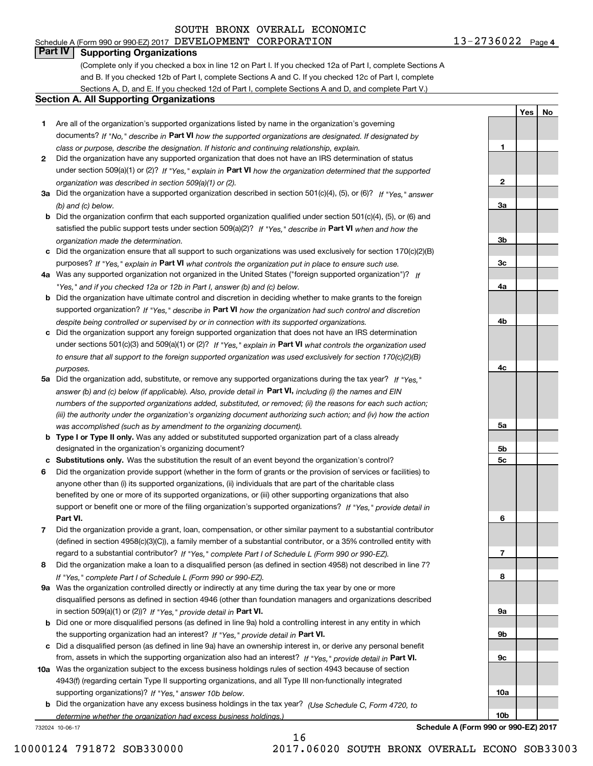Schedule A (Form 990 or 990-EZ) 2017 Page DEVELOPMENT CORPORATION 13-2736022

**1**

**2**

**3a**

**3b**

**3c**

**4a**

**4b**

**4c**

**5a**

**5b5c**

**6**

**7**

**8**

**9a**

**9b**

**9c**

**10a**

**10b**

**YesNo**

# **Part IV Supporting Organizations**

(Complete only if you checked a box in line 12 on Part I. If you checked 12a of Part I, complete Sections A and B. If you checked 12b of Part I, complete Sections A and C. If you checked 12c of Part I, complete Sections A, D, and E. If you checked 12d of Part I, complete Sections A and D, and complete Part V.)

### **Section A. All Supporting Organizations**

- **1** Are all of the organization's supported organizations listed by name in the organization's governing documents? If "No," describe in **Part VI** how the supported organizations are designated. If designated by *class or purpose, describe the designation. If historic and continuing relationship, explain.*
- **2** Did the organization have any supported organization that does not have an IRS determination of status under section 509(a)(1) or (2)? If "Yes," explain in Part VI how the organization determined that the supported *organization was described in section 509(a)(1) or (2).*
- **3a** Did the organization have a supported organization described in section 501(c)(4), (5), or (6)? If "Yes," answer *(b) and (c) below.*
- **b** Did the organization confirm that each supported organization qualified under section 501(c)(4), (5), or (6) and satisfied the public support tests under section 509(a)(2)? If "Yes," describe in **Part VI** when and how the *organization made the determination.*
- **c**Did the organization ensure that all support to such organizations was used exclusively for section 170(c)(2)(B) purposes? If "Yes," explain in **Part VI** what controls the organization put in place to ensure such use.
- **4a***If* Was any supported organization not organized in the United States ("foreign supported organization")? *"Yes," and if you checked 12a or 12b in Part I, answer (b) and (c) below.*
- **b** Did the organization have ultimate control and discretion in deciding whether to make grants to the foreign supported organization? If "Yes," describe in **Part VI** how the organization had such control and discretion *despite being controlled or supervised by or in connection with its supported organizations.*
- **c** Did the organization support any foreign supported organization that does not have an IRS determination under sections 501(c)(3) and 509(a)(1) or (2)? If "Yes," explain in **Part VI** what controls the organization used *to ensure that all support to the foreign supported organization was used exclusively for section 170(c)(2)(B) purposes.*
- **5a** Did the organization add, substitute, or remove any supported organizations during the tax year? If "Yes," answer (b) and (c) below (if applicable). Also, provide detail in **Part VI,** including (i) the names and EIN *numbers of the supported organizations added, substituted, or removed; (ii) the reasons for each such action; (iii) the authority under the organization's organizing document authorizing such action; and (iv) how the action was accomplished (such as by amendment to the organizing document).*
- **b** Type I or Type II only. Was any added or substituted supported organization part of a class already designated in the organization's organizing document?
- **cSubstitutions only.**  Was the substitution the result of an event beyond the organization's control?
- **6** Did the organization provide support (whether in the form of grants or the provision of services or facilities) to **Part VI.** *If "Yes," provide detail in* support or benefit one or more of the filing organization's supported organizations? anyone other than (i) its supported organizations, (ii) individuals that are part of the charitable class benefited by one or more of its supported organizations, or (iii) other supporting organizations that also
- **7**Did the organization provide a grant, loan, compensation, or other similar payment to a substantial contributor *If "Yes," complete Part I of Schedule L (Form 990 or 990-EZ).* regard to a substantial contributor? (defined in section 4958(c)(3)(C)), a family member of a substantial contributor, or a 35% controlled entity with
- **8** Did the organization make a loan to a disqualified person (as defined in section 4958) not described in line 7? *If "Yes," complete Part I of Schedule L (Form 990 or 990-EZ).*
- **9a** Was the organization controlled directly or indirectly at any time during the tax year by one or more in section 509(a)(1) or (2))? If "Yes," *provide detail in* <code>Part VI.</code> disqualified persons as defined in section 4946 (other than foundation managers and organizations described
- **b** Did one or more disqualified persons (as defined in line 9a) hold a controlling interest in any entity in which the supporting organization had an interest? If "Yes," provide detail in P**art VI**.
- **c**Did a disqualified person (as defined in line 9a) have an ownership interest in, or derive any personal benefit from, assets in which the supporting organization also had an interest? If "Yes," provide detail in P**art VI.**
- **10a** Was the organization subject to the excess business holdings rules of section 4943 because of section supporting organizations)? If "Yes," answer 10b below. 4943(f) (regarding certain Type II supporting organizations, and all Type III non-functionally integrated
- **b** Did the organization have any excess business holdings in the tax year? (Use Schedule C, Form 4720, to *determine whether the organization had excess business holdings.)*

16

732024 10-06-17

**Schedule A (Form 990 or 990-EZ) 2017**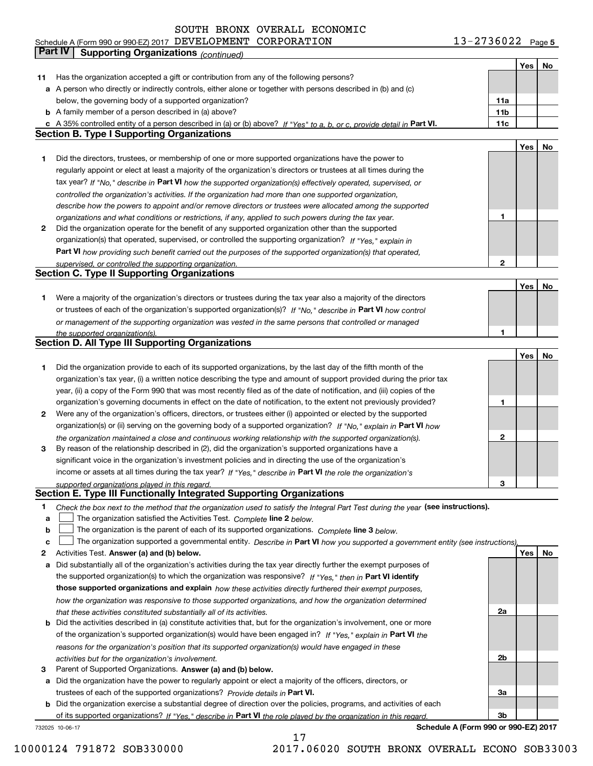**5** Schedule A (Form 990 or 990-EZ) 2017 Page DEVELOPMENT CORPORATION 13-2736022

|    | Part IV<br><b>Supporting Organizations (continued)</b>                                                                            |     |     |    |
|----|-----------------------------------------------------------------------------------------------------------------------------------|-----|-----|----|
|    |                                                                                                                                   |     | Yes | No |
| 11 | Has the organization accepted a gift or contribution from any of the following persons?                                           |     |     |    |
|    | a A person who directly or indirectly controls, either alone or together with persons described in (b) and (c)                    |     |     |    |
|    | below, the governing body of a supported organization?                                                                            | 11a |     |    |
|    | <b>b</b> A family member of a person described in (a) above?                                                                      | 11b |     |    |
|    | c A 35% controlled entity of a person described in (a) or (b) above? If "Yes" to a, b, or c, provide detail in Part VI.           | 11c |     |    |
|    | <b>Section B. Type I Supporting Organizations</b>                                                                                 |     |     |    |
|    |                                                                                                                                   |     | Yes | No |
|    |                                                                                                                                   |     |     |    |
| 1  | Did the directors, trustees, or membership of one or more supported organizations have the power to                               |     |     |    |
|    | regularly appoint or elect at least a majority of the organization's directors or trustees at all times during the                |     |     |    |
|    | tax year? If "No," describe in Part VI how the supported organization(s) effectively operated, supervised, or                     |     |     |    |
|    | controlled the organization's activities. If the organization had more than one supported organization,                           |     |     |    |
|    | describe how the powers to appoint and/or remove directors or trustees were allocated among the supported                         |     |     |    |
|    | organizations and what conditions or restrictions, if any, applied to such powers during the tax year.                            | 1   |     |    |
| 2  | Did the organization operate for the benefit of any supported organization other than the supported                               |     |     |    |
|    | organization(s) that operated, supervised, or controlled the supporting organization? If "Yes," explain in                        |     |     |    |
|    | Part VI how providing such benefit carried out the purposes of the supported organization(s) that operated,                       |     |     |    |
|    | supervised, or controlled the supporting organization.                                                                            | 2   |     |    |
|    | <b>Section C. Type II Supporting Organizations</b>                                                                                |     |     |    |
|    |                                                                                                                                   |     | Yes | No |
| 1  | Were a majority of the organization's directors or trustees during the tax year also a majority of the directors                  |     |     |    |
|    | or trustees of each of the organization's supported organization(s)? If "No," describe in Part VI how control                     |     |     |    |
|    | or management of the supporting organization was vested in the same persons that controlled or managed                            |     |     |    |
|    | the supported organization(s).                                                                                                    |     |     |    |
|    | <b>Section D. All Type III Supporting Organizations</b>                                                                           |     |     |    |
|    |                                                                                                                                   |     | Yes | No |
| 1  | Did the organization provide to each of its supported organizations, by the last day of the fifth month of the                    |     |     |    |
|    | organization's tax year, (i) a written notice describing the type and amount of support provided during the prior tax             |     |     |    |
|    | year, (ii) a copy of the Form 990 that was most recently filed as of the date of notification, and (iii) copies of the            |     |     |    |
|    | organization's governing documents in effect on the date of notification, to the extent not previously provided?                  | 1   |     |    |
|    |                                                                                                                                   |     |     |    |
| 2  | Were any of the organization's officers, directors, or trustees either (i) appointed or elected by the supported                  |     |     |    |
|    | organization(s) or (ii) serving on the governing body of a supported organization? If "No," explain in Part VI how                |     |     |    |
|    | the organization maintained a close and continuous working relationship with the supported organization(s).                       | 2   |     |    |
| з  | By reason of the relationship described in (2), did the organization's supported organizations have a                             |     |     |    |
|    | significant voice in the organization's investment policies and in directing the use of the organization's                        |     |     |    |
|    | income or assets at all times during the tax year? If "Yes," describe in Part VI the role the organization's                      |     |     |    |
|    | supported organizations played in this regard.                                                                                    | 3   |     |    |
|    | Section E. Type III Functionally Integrated Supporting Organizations                                                              |     |     |    |
| 1  | Check the box next to the method that the organization used to satisfy the Integral Part Test during the year (see instructions). |     |     |    |
| a  | The organization satisfied the Activities Test. Complete line 2 below.                                                            |     |     |    |
| b  | The organization is the parent of each of its supported organizations. Complete line 3 below.                                     |     |     |    |
| C  | The organization supported a governmental entity. Describe in Part VI how you supported a government entity (see instructions).   |     |     |    |
| 2  | Activities Test. Answer (a) and (b) below.                                                                                        |     | Yes | No |
| a  | Did substantially all of the organization's activities during the tax year directly further the exempt purposes of                |     |     |    |
|    | the supported organization(s) to which the organization was responsive? If "Yes," then in Part VI identify                        |     |     |    |
|    | those supported organizations and explain how these activities directly furthered their exempt purposes,                          |     |     |    |
|    | how the organization was responsive to those supported organizations, and how the organization determined                         |     |     |    |
|    | that these activities constituted substantially all of its activities.                                                            | 2a  |     |    |
|    | <b>b</b> Did the activities described in (a) constitute activities that, but for the organization's involvement, one or more      |     |     |    |
|    | of the organization's supported organization(s) would have been engaged in? If "Yes," explain in Part VI the                      |     |     |    |
|    |                                                                                                                                   |     |     |    |
|    | reasons for the organization's position that its supported organization(s) would have engaged in these                            | 2b  |     |    |
|    | activities but for the organization's involvement.                                                                                |     |     |    |
| з  | Parent of Supported Organizations. Answer (a) and (b) below.                                                                      |     |     |    |
| а  | Did the organization have the power to regularly appoint or elect a majority of the officers, directors, or                       |     |     |    |
|    | trustees of each of the supported organizations? Provide details in Part VI.                                                      | 3a  |     |    |
|    | <b>b</b> Did the organization exercise a substantial degree of direction over the policies, programs, and activities of each      |     |     |    |
|    | of its supported organizations? If "Yes," describe in Part VI the role played by the organization in this regard                  | Зb  |     |    |
|    | Schedule A (Form 990 or 990-EZ) 2017<br>732025 10-06-17                                                                           |     |     |    |

10000124 791872 SOB330000 2017.06020 SOUTH BRONX OVERALL ECONO SOB33003

17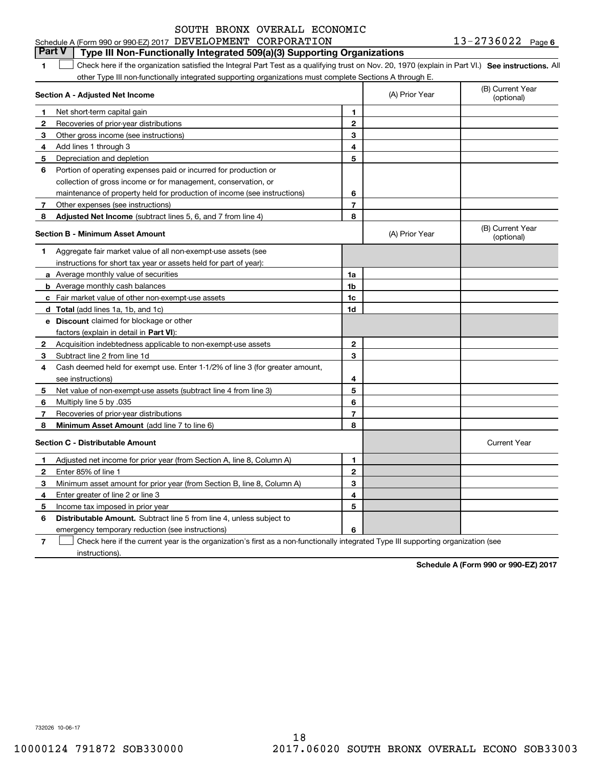#### $13 - 2736022$  Page 6 **1SEP 10. See instructions.** All antegral Part Test as a qualifying trust on Nov. 20, 1970 (explain in Part VI.) See instructions. All **Section A - Adjusted Net Income 123** Other gross income (see instructions) **4**Add lines 1 through 3 **56** Portion of operating expenses paid or incurred for production or **7** Other expenses (see instructions) **8** Adjusted Net Income (subtract lines 5, 6, and 7 from line 4) **8 8 1234567Section B - Minimum Asset Amount 1**Aggregate fair market value of all non-exempt-use assets (see **2**Acquisition indebtedness applicable to non-exempt-use assets **3** Subtract line 2 from line 1d **4**Cash deemed held for exempt use. Enter 1-1/2% of line 3 (for greater amount, **5** Net value of non-exempt-use assets (subtract line 4 from line 3) **678a** Average monthly value of securities **b** Average monthly cash balances **c**Fair market value of other non-exempt-use assets **dTotal**  (add lines 1a, 1b, and 1c) **eDiscount** claimed for blockage or other **1a1b1c1d2345678**factors (explain in detail in **Part VI**): **Minimum Asset Amount**  (add line 7 to line 6) **Section C - Distributable Amount 12345612345Distributable Amount.** Subtract line 5 from line 4, unless subject to Schedule A (Form 990 or 990-EZ) 2017 Page DEVELOPMENT CORPORATION 13-2736022 other Type III non-functionally integrated supporting organizations must complete Sections A through E. (B) Current Year (optional)(A) Prior Year Net short-term capital gain Recoveries of prior-year distributions Depreciation and depletion collection of gross income or for management, conservation, or maintenance of property held for production of income (see instructions) (B) Current Year (optional)(A) Prior Year instructions for short tax year or assets held for part of year): see instructions) Multiply line 5 by .035 Recoveries of prior-year distributions Current Year Adjusted net income for prior year (from Section A, line 8, Column A) Enter 85% of line 1 Minimum asset amount for prior year (from Section B, line 8, Column A) Enter greater of line 2 or line 3 Income tax imposed in prior year **Part V Type III Non-Functionally Integrated 509(a)(3) Supporting Organizations**   $\mathcal{L}^{\text{max}}$

emergency temporary reduction (see instructions)

**7**Check here if the current year is the organization's first as a non-functionally integrated Type III supporting organization (see instructions). $\mathcal{L}^{\text{max}}$ 

**6**

**Schedule A (Form 990 or 990-EZ) 2017**

732026 10-06-17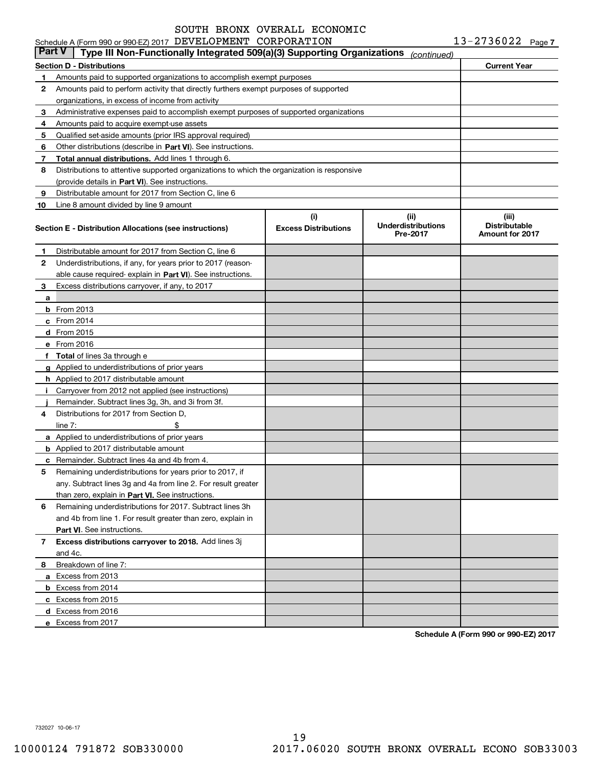|        | Schedule A (Form 990 or 990-EZ) 2017 DEVELOPMENT CORPORATION                               |                                    |                                                | $13 - 2736022$ Page 7                                   |  |
|--------|--------------------------------------------------------------------------------------------|------------------------------------|------------------------------------------------|---------------------------------------------------------|--|
| Part V | Type III Non-Functionally Integrated 509(a)(3) Supporting Organizations                    |                                    | (continued)                                    |                                                         |  |
|        | Section D - Distributions                                                                  | <b>Current Year</b>                |                                                |                                                         |  |
| 1.     | Amounts paid to supported organizations to accomplish exempt purposes                      |                                    |                                                |                                                         |  |
| 2      | Amounts paid to perform activity that directly furthers exempt purposes of supported       |                                    |                                                |                                                         |  |
|        | organizations, in excess of income from activity                                           |                                    |                                                |                                                         |  |
| 3      | Administrative expenses paid to accomplish exempt purposes of supported organizations      |                                    |                                                |                                                         |  |
| 4      | Amounts paid to acquire exempt-use assets                                                  |                                    |                                                |                                                         |  |
| 5      | Qualified set-aside amounts (prior IRS approval required)                                  |                                    |                                                |                                                         |  |
| 6      | Other distributions (describe in Part VI). See instructions.                               |                                    |                                                |                                                         |  |
| 7      | Total annual distributions. Add lines 1 through 6.                                         |                                    |                                                |                                                         |  |
| 8      | Distributions to attentive supported organizations to which the organization is responsive |                                    |                                                |                                                         |  |
|        | (provide details in Part VI). See instructions.                                            |                                    |                                                |                                                         |  |
| 9      | Distributable amount for 2017 from Section C, line 6                                       |                                    |                                                |                                                         |  |
| 10     | Line 8 amount divided by line 9 amount                                                     |                                    |                                                |                                                         |  |
|        | Section E - Distribution Allocations (see instructions)                                    | (i)<br><b>Excess Distributions</b> | (iii)<br><b>Underdistributions</b><br>Pre-2017 | (iii)<br><b>Distributable</b><br><b>Amount for 2017</b> |  |
| 1      | Distributable amount for 2017 from Section C, line 6                                       |                                    |                                                |                                                         |  |
| 2      | Underdistributions, if any, for years prior to 2017 (reason-                               |                                    |                                                |                                                         |  |
|        | able cause required-explain in Part VI). See instructions.                                 |                                    |                                                |                                                         |  |
| 3      | Excess distributions carryover, if any, to 2017                                            |                                    |                                                |                                                         |  |
| a      |                                                                                            |                                    |                                                |                                                         |  |
|        | $b$ From 2013                                                                              |                                    |                                                |                                                         |  |
|        | c From 2014                                                                                |                                    |                                                |                                                         |  |
|        | <b>d</b> From 2015                                                                         |                                    |                                                |                                                         |  |
|        | e From 2016                                                                                |                                    |                                                |                                                         |  |
|        | f Total of lines 3a through e                                                              |                                    |                                                |                                                         |  |
|        | g Applied to underdistributions of prior years                                             |                                    |                                                |                                                         |  |
|        | <b>h</b> Applied to 2017 distributable amount                                              |                                    |                                                |                                                         |  |
|        | i Carryover from 2012 not applied (see instructions)                                       |                                    |                                                |                                                         |  |
|        | Remainder. Subtract lines 3g, 3h, and 3i from 3f.                                          |                                    |                                                |                                                         |  |
| 4      | Distributions for 2017 from Section D.                                                     |                                    |                                                |                                                         |  |
|        | line $7:$<br>\$                                                                            |                                    |                                                |                                                         |  |
|        | a Applied to underdistributions of prior years                                             |                                    |                                                |                                                         |  |
|        | <b>b</b> Applied to 2017 distributable amount                                              |                                    |                                                |                                                         |  |
|        | <b>c</b> Remainder. Subtract lines 4a and 4b from 4.                                       |                                    |                                                |                                                         |  |
|        | Remaining underdistributions for years prior to 2017, if                                   |                                    |                                                |                                                         |  |
|        | any. Subtract lines 3g and 4a from line 2. For result greater                              |                                    |                                                |                                                         |  |
|        | than zero, explain in Part VI. See instructions.                                           |                                    |                                                |                                                         |  |
| 6      | Remaining underdistributions for 2017. Subtract lines 3h                                   |                                    |                                                |                                                         |  |
|        | and 4b from line 1. For result greater than zero, explain in                               |                                    |                                                |                                                         |  |
|        | <b>Part VI.</b> See instructions.                                                          |                                    |                                                |                                                         |  |
| 7      | Excess distributions carryover to 2018. Add lines 3j                                       |                                    |                                                |                                                         |  |
|        | and 4c.                                                                                    |                                    |                                                |                                                         |  |
| 8      | Breakdown of line 7:                                                                       |                                    |                                                |                                                         |  |
|        | a Excess from 2013                                                                         |                                    |                                                |                                                         |  |
|        | <b>b</b> Excess from 2014                                                                  |                                    |                                                |                                                         |  |
|        | c Excess from 2015                                                                         |                                    |                                                |                                                         |  |
|        | d Excess from 2016                                                                         |                                    |                                                |                                                         |  |
|        | e Excess from 2017                                                                         |                                    |                                                |                                                         |  |
|        |                                                                                            |                                    |                                                |                                                         |  |

**Schedule A (Form 990 or 990-EZ) 2017**

732027 10-06-17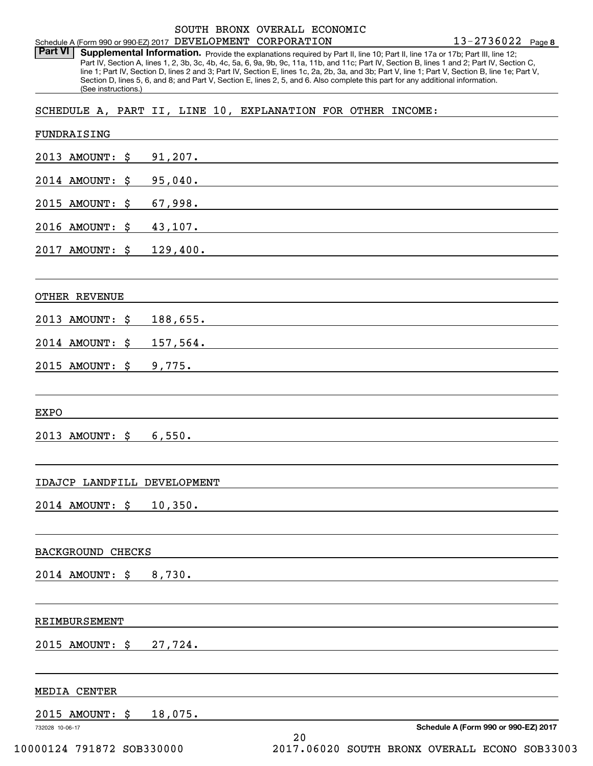**8** 13-2736022 Schedule A (Form 990 or 990-EZ) 2017 Page DEVELOPMENT CORPORATION

Part VI | Supplemental Information. Provide the explanations required by Part II, line 10; Part II, line 17a or 17b; Part III, line 12; Part IV, Section A, lines 1, 2, 3b, 3c, 4b, 4c, 5a, 6, 9a, 9b, 9c, 11a, 11b, and 11c; Part IV, Section B, lines 1 and 2; Part IV, Section C, line 1; Part IV, Section D, lines 2 and 3; Part IV, Section E, lines 1c, 2a, 2b, 3a, and 3b; Part V, line 1; Part V, Section B, line 1e; Part V, Section D, lines 5, 6, and 8; and Part V, Section E, lines 2, 5, and 6. Also complete this part for any additional information. (See instructions.)

SCHEDULE A, PART II, LINE 10, EXPLANATION FOR OTHER INCOME:

| FUNDRAISING                                  |             |                                                                                                                                                                                                                                      |
|----------------------------------------------|-------------|--------------------------------------------------------------------------------------------------------------------------------------------------------------------------------------------------------------------------------------|
| 2013 AMOUNT: \$                              | $91,207$ .  | <u> 1989 - John Stein, mars and de Britain and de Britain and de Britain and de Britain and de Britain and de Br</u>                                                                                                                 |
| 2014 AMOUNT:<br>\$                           | 95,040.     | <u> 1989 - Andrea Andrew Maria (h. 1989).</u>                                                                                                                                                                                        |
| 2015 AMOUNT:<br>\$                           | 67,998.     | <u> 1989 - Johann Barnett, fransk politiker (d. 1989)</u>                                                                                                                                                                            |
| 2016 AMOUNT:<br>\$                           | 43,107.     | <u> 1980 - Johann John Stein, markin film yn y brening yn y brening yn y brening yn y brening yn y brening yn y b</u>                                                                                                                |
| 2017 AMOUNT:<br>\$                           | 129,400.    |                                                                                                                                                                                                                                      |
| <b>OTHER REVENUE</b>                         |             |                                                                                                                                                                                                                                      |
| 2013 AMOUNT: \$                              | 188,655.    | <u> 1980 - Jan Samuel Barbara, martin a shekara tsara 1980 a Tarihin a Tarihin a Tarihin a Tarihin a Tarihin a T</u>                                                                                                                 |
| 2014 AMOUNT:<br>\$                           | $157,564$ . | <u> 1989 - Andrea State Barbara, amerikan personal di sebagai personal di sebagai personal di sebagai personal d</u>                                                                                                                 |
| $2015$ AMOUNT: $$$                           | 9,775.      | <u>and the state of the state of the state of the state of the state of the state of the state of the state of the state of the state of the state of the state of the state of the state of the state of the state of the state</u> |
| <b>EXPO</b>                                  |             |                                                                                                                                                                                                                                      |
| $2013$ AMOUNT: $$$                           | 6,550.      |                                                                                                                                                                                                                                      |
| IDAJCP LANDFILL DEVELOPMENT                  |             |                                                                                                                                                                                                                                      |
| $2014$ AMOUNT: $$$                           | 10,350.     | and the control of the control of the control of the control of the control of the control of the control of the                                                                                                                     |
| <b>BACKGROUND CHECKS</b>                     |             |                                                                                                                                                                                                                                      |
| 2014 AMOUNT: \$ 8,730.                       |             |                                                                                                                                                                                                                                      |
| REIMBURSEMENT                                |             |                                                                                                                                                                                                                                      |
| 2015 AMOUNT: \$                              | 27,724.     |                                                                                                                                                                                                                                      |
| MEDIA CENTER                                 |             |                                                                                                                                                                                                                                      |
| 2015 AMOUNT: \$                              | 18,075.     |                                                                                                                                                                                                                                      |
| 732028 10-06-17<br>10000124 791872 SOB330000 |             | Schedule A (Form 990 or 990-EZ) 2017<br>20<br>2017.06020 SOUTH BRONX OVERALL ECONO SOB33003                                                                                                                                          |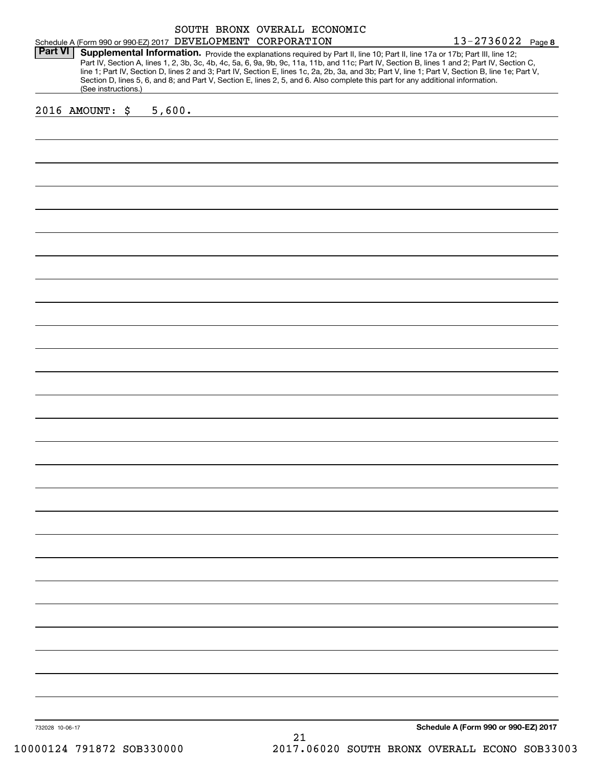|                 |                     |                                                                                                                                                                                                                                                                                                                                                                                                                                                                                                                                                                                                                                      |    | SOUTH BRONX OVERALL ECONOMIC |  | $13 - 2736022$ Page 8                |  |
|-----------------|---------------------|--------------------------------------------------------------------------------------------------------------------------------------------------------------------------------------------------------------------------------------------------------------------------------------------------------------------------------------------------------------------------------------------------------------------------------------------------------------------------------------------------------------------------------------------------------------------------------------------------------------------------------------|----|------------------------------|--|--------------------------------------|--|
| <b>Part VI</b>  | (See instructions.) | Schedule A (Form 990 or 990-EZ) 2017 DEVELOPMENT CORPORATION<br>Supplemental Information. Provide the explanations required by Part II, line 10; Part II, line 17a or 17b; Part III, line 12;<br>Part IV, Section A, lines 1, 2, 3b, 3c, 4b, 4c, 5a, 6, 9a, 9b, 9c, 11a, 11b, and 11c; Part IV, Section B, lines 1 and 2; Part IV, Section C,<br>line 1; Part IV, Section D, lines 2 and 3; Part IV, Section E, lines 1c, 2a, 2b, 3a, and 3b; Part V, line 1; Part V, Section B, line 1e; Part V,<br>Section D, lines 5, 6, and 8; and Part V, Section E, lines 2, 5, and 6. Also complete this part for any additional information. |    |                              |  |                                      |  |
|                 | 2016 AMOUNT: \$     | 5,600.                                                                                                                                                                                                                                                                                                                                                                                                                                                                                                                                                                                                                               |    |                              |  |                                      |  |
|                 |                     |                                                                                                                                                                                                                                                                                                                                                                                                                                                                                                                                                                                                                                      |    |                              |  |                                      |  |
|                 |                     |                                                                                                                                                                                                                                                                                                                                                                                                                                                                                                                                                                                                                                      |    |                              |  |                                      |  |
|                 |                     |                                                                                                                                                                                                                                                                                                                                                                                                                                                                                                                                                                                                                                      |    |                              |  |                                      |  |
|                 |                     |                                                                                                                                                                                                                                                                                                                                                                                                                                                                                                                                                                                                                                      |    |                              |  |                                      |  |
|                 |                     |                                                                                                                                                                                                                                                                                                                                                                                                                                                                                                                                                                                                                                      |    |                              |  |                                      |  |
|                 |                     |                                                                                                                                                                                                                                                                                                                                                                                                                                                                                                                                                                                                                                      |    |                              |  |                                      |  |
|                 |                     |                                                                                                                                                                                                                                                                                                                                                                                                                                                                                                                                                                                                                                      |    |                              |  |                                      |  |
|                 |                     |                                                                                                                                                                                                                                                                                                                                                                                                                                                                                                                                                                                                                                      |    |                              |  |                                      |  |
|                 |                     |                                                                                                                                                                                                                                                                                                                                                                                                                                                                                                                                                                                                                                      |    |                              |  |                                      |  |
|                 |                     |                                                                                                                                                                                                                                                                                                                                                                                                                                                                                                                                                                                                                                      |    |                              |  |                                      |  |
|                 |                     |                                                                                                                                                                                                                                                                                                                                                                                                                                                                                                                                                                                                                                      |    |                              |  |                                      |  |
|                 |                     |                                                                                                                                                                                                                                                                                                                                                                                                                                                                                                                                                                                                                                      |    |                              |  |                                      |  |
|                 |                     |                                                                                                                                                                                                                                                                                                                                                                                                                                                                                                                                                                                                                                      |    |                              |  |                                      |  |
|                 |                     |                                                                                                                                                                                                                                                                                                                                                                                                                                                                                                                                                                                                                                      |    |                              |  |                                      |  |
|                 |                     |                                                                                                                                                                                                                                                                                                                                                                                                                                                                                                                                                                                                                                      |    |                              |  |                                      |  |
|                 |                     |                                                                                                                                                                                                                                                                                                                                                                                                                                                                                                                                                                                                                                      |    |                              |  |                                      |  |
|                 |                     |                                                                                                                                                                                                                                                                                                                                                                                                                                                                                                                                                                                                                                      |    |                              |  |                                      |  |
|                 |                     |                                                                                                                                                                                                                                                                                                                                                                                                                                                                                                                                                                                                                                      |    |                              |  |                                      |  |
|                 |                     |                                                                                                                                                                                                                                                                                                                                                                                                                                                                                                                                                                                                                                      |    |                              |  |                                      |  |
|                 |                     |                                                                                                                                                                                                                                                                                                                                                                                                                                                                                                                                                                                                                                      |    |                              |  |                                      |  |
|                 |                     |                                                                                                                                                                                                                                                                                                                                                                                                                                                                                                                                                                                                                                      |    |                              |  |                                      |  |
|                 |                     |                                                                                                                                                                                                                                                                                                                                                                                                                                                                                                                                                                                                                                      |    |                              |  |                                      |  |
|                 |                     |                                                                                                                                                                                                                                                                                                                                                                                                                                                                                                                                                                                                                                      |    |                              |  |                                      |  |
|                 |                     |                                                                                                                                                                                                                                                                                                                                                                                                                                                                                                                                                                                                                                      |    |                              |  |                                      |  |
|                 |                     |                                                                                                                                                                                                                                                                                                                                                                                                                                                                                                                                                                                                                                      |    |                              |  |                                      |  |
|                 |                     |                                                                                                                                                                                                                                                                                                                                                                                                                                                                                                                                                                                                                                      |    |                              |  |                                      |  |
|                 |                     |                                                                                                                                                                                                                                                                                                                                                                                                                                                                                                                                                                                                                                      |    |                              |  |                                      |  |
|                 |                     |                                                                                                                                                                                                                                                                                                                                                                                                                                                                                                                                                                                                                                      |    |                              |  |                                      |  |
|                 |                     |                                                                                                                                                                                                                                                                                                                                                                                                                                                                                                                                                                                                                                      |    |                              |  |                                      |  |
| 732028 10-06-17 |                     |                                                                                                                                                                                                                                                                                                                                                                                                                                                                                                                                                                                                                                      | 21 |                              |  | Schedule A (Form 990 or 990-EZ) 2017 |  |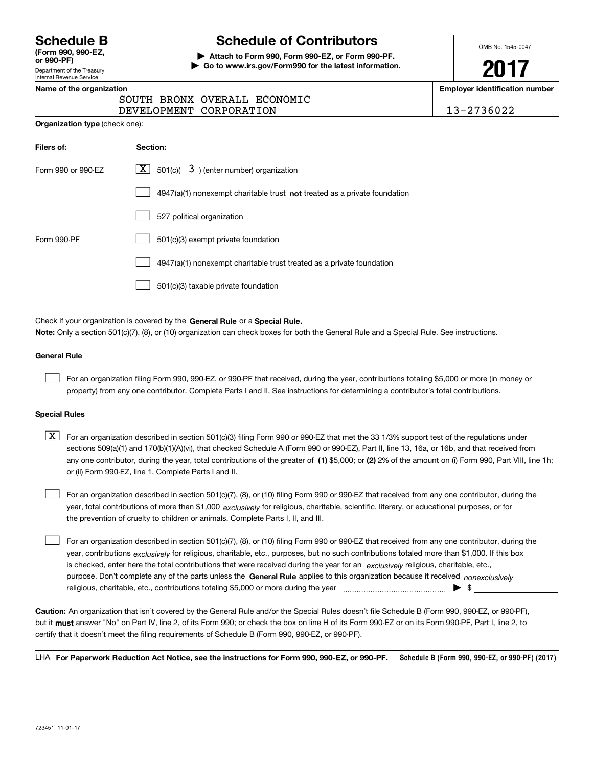| <b>Schedule B</b>  |  |
|--------------------|--|
| (Form 990, 990-EZ, |  |

Department of the Treasury Internal Revenue Service **or 990-PF)**

# **Schedule of Contributors**

**| Attach to Form 990, Form 990-EZ, or Form 990-PF. | Go to www.irs.gov/Form990 for the latest information.** OMB No. 1545-0047

**2017**

**Name of the organization Employer identification number**

|  | Name of the organization |  |  |
|--|--------------------------|--|--|
|  |                          |  |  |

|                                       |                         | SOUTH BRONX OVERALL ECONOMIC |
|---------------------------------------|-------------------------|------------------------------|
|                                       | DEVELOPMENT CORPORATION |                              |
| <b>Organization type</b> (check one): |                         |                              |

DEVELOPMENT CORPORATION 13-2736022

| Filers of:         | Section:                                                                    |
|--------------------|-----------------------------------------------------------------------------|
| Form 990 or 990-EZ | $\lfloor x \rfloor$ 501(c)( 3) (enter number) organization                  |
|                    | $4947(a)(1)$ nonexempt charitable trust not treated as a private foundation |
|                    | 527 political organization                                                  |
| Form 990-PF        | 501(c)(3) exempt private foundation                                         |
|                    | 4947(a)(1) nonexempt charitable trust treated as a private foundation       |
|                    | 501(c)(3) taxable private foundation                                        |

Check if your organization is covered by the **General Rule** or a **Special Rule. Note:**  Only a section 501(c)(7), (8), or (10) organization can check boxes for both the General Rule and a Special Rule. See instructions.

### **General Rule**

 $\mathcal{L}^{\text{max}}$ 

For an organization filing Form 990, 990-EZ, or 990-PF that received, during the year, contributions totaling \$5,000 or more (in money or property) from any one contributor. Complete Parts I and II. See instructions for determining a contributor's total contributions.

### **Special Rules**

 $\mathcal{L}^{\text{max}}$ 

any one contributor, during the year, total contributions of the greater of  $\,$  (1) \$5,000; or **(2)** 2% of the amount on (i) Form 990, Part VIII, line 1h;  $\boxed{\textbf{X}}$  For an organization described in section 501(c)(3) filing Form 990 or 990-EZ that met the 33 1/3% support test of the regulations under sections 509(a)(1) and 170(b)(1)(A)(vi), that checked Schedule A (Form 990 or 990-EZ), Part II, line 13, 16a, or 16b, and that received from or (ii) Form 990-EZ, line 1. Complete Parts I and II.

year, total contributions of more than \$1,000 *exclusively* for religious, charitable, scientific, literary, or educational purposes, or for For an organization described in section 501(c)(7), (8), or (10) filing Form 990 or 990-EZ that received from any one contributor, during the the prevention of cruelty to children or animals. Complete Parts I, II, and III.  $\mathcal{L}^{\text{max}}$ 

purpose. Don't complete any of the parts unless the **General Rule** applies to this organization because it received *nonexclusively* year, contributions <sub>exclusively</sub> for religious, charitable, etc., purposes, but no such contributions totaled more than \$1,000. If this box is checked, enter here the total contributions that were received during the year for an *exclusively* religious, charitable, etc., For an organization described in section 501(c)(7), (8), or (10) filing Form 990 or 990-EZ that received from any one contributor, during the religious, charitable, etc., contributions totaling \$5,000 or more during the year  $\ldots$  $\ldots$  $\ldots$  $\ldots$  $\ldots$  $\ldots$  $\ldots$ 

**Caution:**  An organization that isn't covered by the General Rule and/or the Special Rules doesn't file Schedule B (Form 990, 990-EZ, or 990-PF),  **must** but it answer "No" on Part IV, line 2, of its Form 990; or check the box on line H of its Form 990-EZ or on its Form 990-PF, Part I, line 2, to certify that it doesn't meet the filing requirements of Schedule B (Form 990, 990-EZ, or 990-PF).

**Schedule B (Form 990, 990-EZ, or 990-PF) (2017) For Paperwork Reduction Act Notice, see the instructions for Form 990, 990-EZ, or 990-PF.** LHA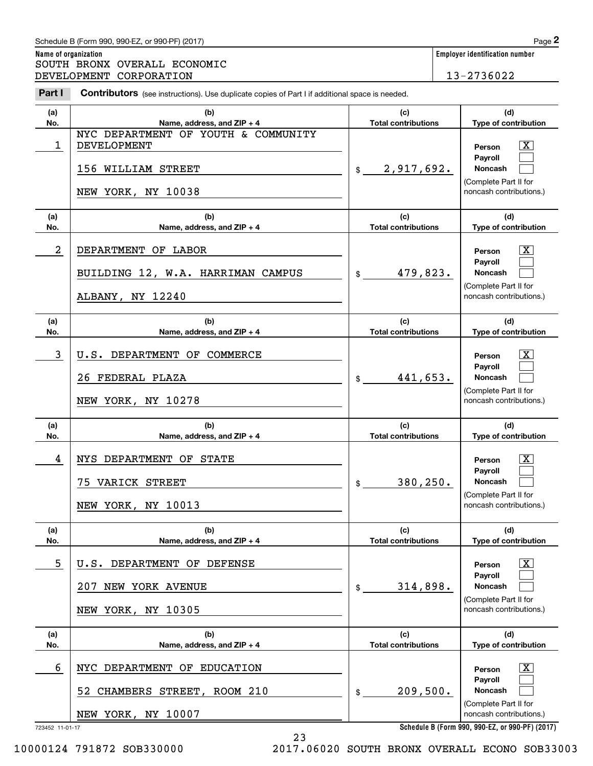# Schedule B (Form 990, 990-EZ, or 990-PF) (2017) **Page 2**

|                      | Schedule B (Form 990, 990-EZ, or 990-PF) (2017)                                                       |                                   |                                                                                                  | Page 2                                                                                                  |  |  |
|----------------------|-------------------------------------------------------------------------------------------------------|-----------------------------------|--------------------------------------------------------------------------------------------------|---------------------------------------------------------------------------------------------------------|--|--|
| Name of organization | SOUTH BRONX OVERALL ECONOMIC<br>DEVELOPMENT CORPORATION                                               |                                   |                                                                                                  | <b>Employer identification number</b><br>13-2736022                                                     |  |  |
| Part I               | <b>Contributors</b> (see instructions). Use duplicate copies of Part I if additional space is needed. |                                   |                                                                                                  |                                                                                                         |  |  |
| (a)<br>No.           | (b)<br>Name, address, and ZIP + 4                                                                     | (c)<br><b>Total contributions</b> |                                                                                                  | (d)<br>Type of contribution                                                                             |  |  |
| 1                    | NYC DEPARTMENT OF YOUTH & COMMUNITY<br>DEVELOPMENT<br>156 WILLIAM STREET<br>NEW YORK, NY 10038        | 2,917,692.<br>\$                  |                                                                                                  | $\mathbf{X}$<br>Person<br>Payroll<br>Noncash<br>(Complete Part II for<br>noncash contributions.)        |  |  |
| (a)<br>No.           | (b)<br>Name, address, and ZIP + 4                                                                     | (c)<br><b>Total contributions</b> |                                                                                                  | (d)<br>Type of contribution                                                                             |  |  |
| 2                    | DEPARTMENT OF LABOR<br>BUILDING 12, W.A. HARRIMAN CAMPUS<br>ALBANY, NY 12240                          | 479,823.                          | $\mathbf{X}$<br>Person<br>Payroll<br>Noncash<br>(Complete Part II for<br>noncash contributions.) |                                                                                                         |  |  |
| (a)<br>No.           | (b)<br>Name, address, and ZIP + 4                                                                     | (c)<br><b>Total contributions</b> | (d)<br>Type of contribution                                                                      |                                                                                                         |  |  |
| 3                    | U.S. DEPARTMENT OF COMMERCE<br>26 FEDERAL PLAZA<br>NEW YORK, NY 10278                                 | 441,653.<br>\$                    |                                                                                                  | $\mathbf{X}$<br>Person<br>Payroll<br>Noncash<br>(Complete Part II for<br>noncash contributions.)        |  |  |
| (a)<br>No.           | (b)<br>Name, address, and ZIP + 4                                                                     | (c)<br><b>Total contributions</b> |                                                                                                  | (d)<br>Type of contribution                                                                             |  |  |
| 4                    | NYS DEPARTMENT OF STATE<br>75 VARICK STREET<br>NEW YORK, NY 10013                                     | 380,250.<br>\$                    |                                                                                                  | $\mathbf{X}$<br>Person<br><b>Payroll</b><br>Noncash<br>(Complete Part II for<br>noncash contributions.) |  |  |
| (a)<br>No.           | (b)<br>Name, address, and ZIP + 4                                                                     | (c)<br><b>Total contributions</b> |                                                                                                  | (d)<br>Type of contribution                                                                             |  |  |
| 5                    | U.S. DEPARTMENT OF DEFENSE<br>207 NEW YORK AVENUE<br>NEW YORK, NY 10305                               | 314,898.<br>\$                    |                                                                                                  | $\boxed{\text{X}}$<br>Person<br>Payroll<br>Noncash<br>(Complete Part II for<br>noncash contributions.)  |  |  |
| (a)<br>No.           | (b)<br>Name, address, and ZIP + 4                                                                     | (c)<br><b>Total contributions</b> |                                                                                                  | (d)<br>Type of contribution                                                                             |  |  |
| 6                    | NYC DEPARTMENT OF EDUCATION<br>CHAMBERS STREET, ROOM 210<br>52<br>NEW YORK, NY 10007                  | 209,500.<br>\$                    |                                                                                                  | $\boxed{\text{X}}$<br>Person<br>Payroll<br>Noncash<br>(Complete Part II for<br>noncash contributions.)  |  |  |

23

**Schedule B (Form 990, 990-EZ, or 990-PF) (2017)**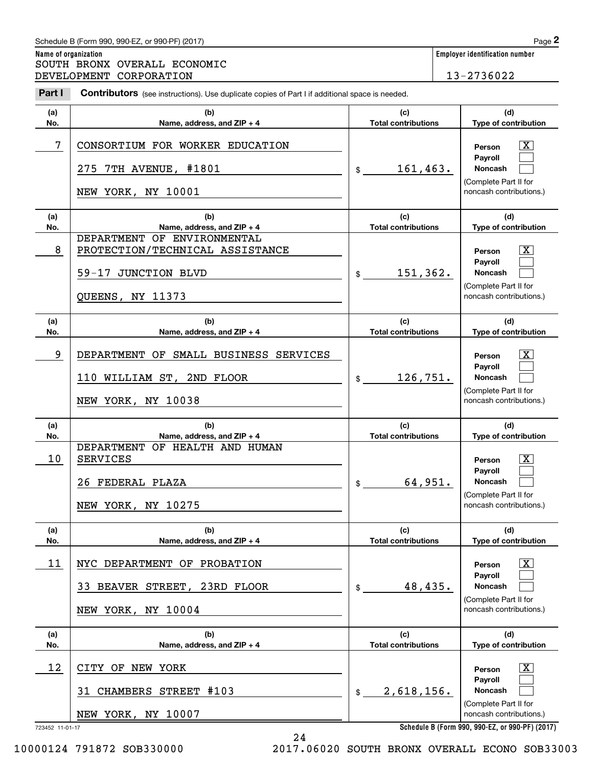#### **Name of organization Employer identification number (a)No.(b) Name, address, and ZIP + 4 (c)Total contributions (d)Type of contribution PersonPayrollNoncash (a)No.(b)Name, address, and ZIP + 4 (c)Total contributions (d)Type of contribution PersonPayrollNoncash (a)No.(b)Name, address, and ZIP + 4 (c)Total contributions (d)Type of contribution PersonPayrollNoncash (a) No.(b)Name, address, and ZIP + 4 (c) Total contributions (d)Type of contribution PersonPayrollNoncash (a) No.(b)Name, address, and ZIP + 4 (c)Total contributions (d)Type of contribution PersonPayrollNoncash(a)No.(b)Name, address, and ZIP + 4 (c)Total contributions (d)Type of contribution PersonPayrollNoncash Contributors** (see instructions). Use duplicate copies of Part I if additional space is needed. \$(Complete Part II for noncash contributions.) \$(Complete Part II for noncash contributions.) \$(Complete Part II for noncash contributions.) \$(Complete Part II for noncash contributions.) \$(Complete Part II for noncash contributions.) \$(Complete Part II for noncash contributions.) Chedule B (Form 990, 990-EZ, or 990-PF) (2017)<br> **2Part I 2Part I CONOMIC**<br> **2Part I Contributors** (see instructions). Use duplicate copies of Part I if additional space is needed.<br> **2Part I Contributors** (see instr  $\lceil \text{X} \rceil$  $\mathcal{L}^{\text{max}}$  $\mathcal{L}^{\text{max}}$  $\boxed{\text{X}}$  $\mathcal{L}^{\text{max}}$  $\mathcal{L}^{\text{max}}$  $|X|$  $\mathcal{L}^{\text{max}}$  $\mathcal{L}^{\text{max}}$  $|X|$  $\mathcal{L}^{\text{max}}$  $\mathcal{L}^{\text{max}}$  $|X|$  $\mathcal{L}^{\text{max}}$  $\mathcal{L}^{\text{max}}$  $\boxed{\text{X}}$  $\mathcal{L}^{\text{max}}$  $\mathcal{L}^{\text{max}}$ 7 CONSORTIUM FOR WORKER EDUCATION THE RESERVING RESONAL RESONAL TO RESONAL RESONAL T 161,463. 275 7TH AVENUE, #1801 NEW YORK, NY 10001 8 PROTECTION/TECHNICAL ASSISTANCE THE RESOLUTION OF RESOLUTION 151,362. DEPARTMENT OF ENVIRONMENTAL 59-17 JUNCTION BLVD QUEENS, NY 11373 9 X DEPARTMENT OF SMALL BUSINESS SERVICES 126,751. 110 WILLIAM ST, 2ND FLOOR NEW YORK, NY 10038 10 X SERVICES 64,951. DEPARTMENT OF HEALTH AND HUMAN 26 FEDERAL PLAZA NEW YORK, NY 10275 11 X NYC DEPARTMENT OF PROBATION 48,435. 33 BEAVER STREET, 23RD FLOOR NEW YORK, NY 10004  $12$  | CITY OF NEW YORK  $\overline{\text{X}}$ 2,618,156. 31 CHAMBERS STREET #103 NEW YORK, NY 10007 SOUTH BRONX OVERALL ECONOMIC DEVELOPMENT CORPORATION 13-2736022

723452 11-01-17

**Schedule B (Form 990, 990-EZ, or 990-PF) (2017)**

10000124 791872 SOB330000 2017.06020 SOUTH BRONX OVERALL ECONO SOB33003

24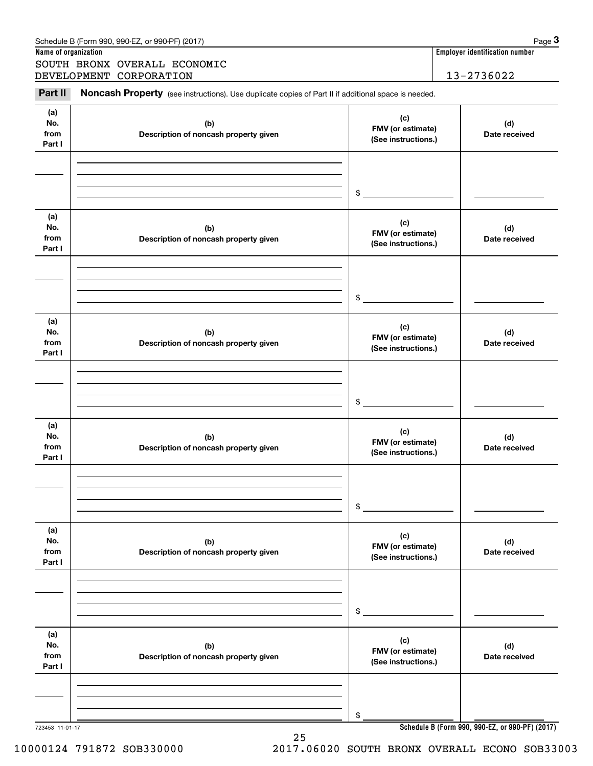|                              | Schedule B (Form 990, 990-EZ, or 990-PF) (2017)                                                     |                                                 | Page 3                                |
|------------------------------|-----------------------------------------------------------------------------------------------------|-------------------------------------------------|---------------------------------------|
| Name of organization         |                                                                                                     |                                                 | <b>Employer identification number</b> |
|                              | SOUTH BRONX OVERALL ECONOMIC<br>DEVELOPMENT CORPORATION                                             |                                                 | 13-2736022                            |
| Part II                      | Noncash Property (see instructions). Use duplicate copies of Part II if additional space is needed. |                                                 |                                       |
|                              |                                                                                                     |                                                 |                                       |
| (a)<br>No.<br>from<br>Part I | (b)<br>Description of noncash property given                                                        | (c)<br>FMV (or estimate)<br>(See instructions.) | (d)<br>Date received                  |
|                              |                                                                                                     |                                                 |                                       |
|                              |                                                                                                     | \$                                              |                                       |
| (a)<br>No.<br>from<br>Part I | (b)<br>Description of noncash property given                                                        | (c)<br>FMV (or estimate)<br>(See instructions.) | (d)<br>Date received                  |
|                              |                                                                                                     |                                                 |                                       |
|                              |                                                                                                     | \$                                              |                                       |
| (a)<br>No.<br>from<br>Part I | (b)<br>Description of noncash property given                                                        | (c)<br>FMV (or estimate)<br>(See instructions.) | (d)<br>Date received                  |
|                              |                                                                                                     |                                                 |                                       |
|                              |                                                                                                     | \$                                              |                                       |
| (a)<br>No.<br>from<br>Part I | (b)<br>Description of noncash property given                                                        | (c)<br>FMV (or estimate)<br>(See instructions.) | (d)<br>Date received                  |
|                              |                                                                                                     |                                                 |                                       |
|                              |                                                                                                     | \$                                              |                                       |
| (a)<br>No.<br>from<br>Part I | (b)<br>Description of noncash property given                                                        | (c)<br>FMV (or estimate)<br>(See instructions.) | (d)<br>Date received                  |
|                              |                                                                                                     |                                                 |                                       |
|                              |                                                                                                     | \$                                              |                                       |
| (a)<br>No.<br>from<br>Part I | (b)<br>Description of noncash property given                                                        | (c)<br>FMV (or estimate)<br>(See instructions.) | (d)<br>Date received                  |
|                              |                                                                                                     |                                                 |                                       |
|                              |                                                                                                     | \$                                              |                                       |

25

**Schedule B (Form 990, 990-EZ, or 990-PF) (2017)**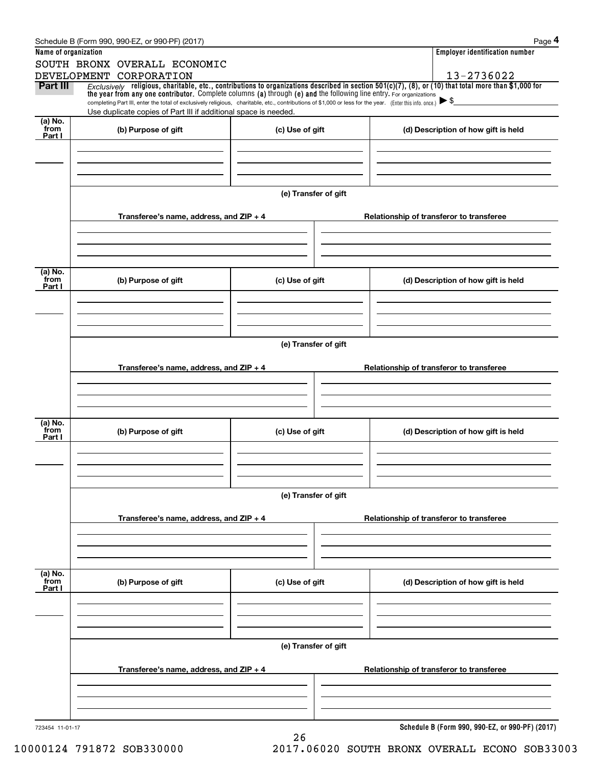|                           | Schedule B (Form 990, 990-EZ, or 990-PF) (2017)                                                                                                                              |                      | Page 4                                                                                                                                                   |  |  |  |  |  |  |
|---------------------------|------------------------------------------------------------------------------------------------------------------------------------------------------------------------------|----------------------|----------------------------------------------------------------------------------------------------------------------------------------------------------|--|--|--|--|--|--|
| Name of organization      |                                                                                                                                                                              |                      | <b>Employer identification number</b>                                                                                                                    |  |  |  |  |  |  |
|                           | SOUTH BRONX OVERALL ECONOMIC                                                                                                                                                 |                      |                                                                                                                                                          |  |  |  |  |  |  |
|                           | DEVELOPMENT CORPORATION                                                                                                                                                      |                      | 13-2736022                                                                                                                                               |  |  |  |  |  |  |
| <b>Part III</b>           | the year from any one contributor. Complete columns (a) through (e) and the following line entry. For organizations                                                          |                      | Exclusively religious, charitable, etc., contributions to organizations described in section $501(c)(7)$ , (8), or (10) that total more than \$1,000 for |  |  |  |  |  |  |
|                           | completing Part III, enter the total of exclusively religious, charitable, etc., contributions of \$1,000 or less for the year. (Enter this info. once.) $\triangleright$ \$ |                      |                                                                                                                                                          |  |  |  |  |  |  |
|                           | Use duplicate copies of Part III if additional space is needed.                                                                                                              |                      |                                                                                                                                                          |  |  |  |  |  |  |
| (a) No.<br>from<br>Part I | (b) Purpose of gift                                                                                                                                                          | (c) Use of gift      | (d) Description of how gift is held                                                                                                                      |  |  |  |  |  |  |
|                           |                                                                                                                                                                              |                      |                                                                                                                                                          |  |  |  |  |  |  |
|                           |                                                                                                                                                                              |                      |                                                                                                                                                          |  |  |  |  |  |  |
|                           |                                                                                                                                                                              |                      |                                                                                                                                                          |  |  |  |  |  |  |
|                           |                                                                                                                                                                              |                      |                                                                                                                                                          |  |  |  |  |  |  |
|                           |                                                                                                                                                                              | (e) Transfer of gift |                                                                                                                                                          |  |  |  |  |  |  |
|                           |                                                                                                                                                                              |                      |                                                                                                                                                          |  |  |  |  |  |  |
|                           | Transferee's name, address, and ZIP + 4                                                                                                                                      |                      | Relationship of transferor to transferee                                                                                                                 |  |  |  |  |  |  |
|                           |                                                                                                                                                                              |                      |                                                                                                                                                          |  |  |  |  |  |  |
|                           |                                                                                                                                                                              |                      |                                                                                                                                                          |  |  |  |  |  |  |
|                           |                                                                                                                                                                              |                      |                                                                                                                                                          |  |  |  |  |  |  |
| (a) No.<br>from           |                                                                                                                                                                              |                      |                                                                                                                                                          |  |  |  |  |  |  |
| Part I                    | (b) Purpose of gift                                                                                                                                                          | (c) Use of gift      | (d) Description of how gift is held                                                                                                                      |  |  |  |  |  |  |
|                           |                                                                                                                                                                              |                      |                                                                                                                                                          |  |  |  |  |  |  |
|                           |                                                                                                                                                                              |                      |                                                                                                                                                          |  |  |  |  |  |  |
|                           |                                                                                                                                                                              |                      |                                                                                                                                                          |  |  |  |  |  |  |
|                           |                                                                                                                                                                              | (e) Transfer of gift |                                                                                                                                                          |  |  |  |  |  |  |
|                           |                                                                                                                                                                              |                      |                                                                                                                                                          |  |  |  |  |  |  |
|                           | Transferee's name, address, and $ZIP + 4$                                                                                                                                    |                      | Relationship of transferor to transferee                                                                                                                 |  |  |  |  |  |  |
|                           |                                                                                                                                                                              |                      |                                                                                                                                                          |  |  |  |  |  |  |
|                           |                                                                                                                                                                              |                      |                                                                                                                                                          |  |  |  |  |  |  |
|                           |                                                                                                                                                                              |                      |                                                                                                                                                          |  |  |  |  |  |  |
| (a) No.                   |                                                                                                                                                                              |                      |                                                                                                                                                          |  |  |  |  |  |  |
| from<br>Part I            | (b) Purpose of gift                                                                                                                                                          | (c) Use of gift      | (d) Description of how gift is held                                                                                                                      |  |  |  |  |  |  |
|                           |                                                                                                                                                                              |                      |                                                                                                                                                          |  |  |  |  |  |  |
|                           |                                                                                                                                                                              |                      |                                                                                                                                                          |  |  |  |  |  |  |
|                           |                                                                                                                                                                              |                      |                                                                                                                                                          |  |  |  |  |  |  |
|                           |                                                                                                                                                                              |                      |                                                                                                                                                          |  |  |  |  |  |  |
|                           | (e) Transfer of gift                                                                                                                                                         |                      |                                                                                                                                                          |  |  |  |  |  |  |
|                           | Transferee's name, address, and ZIP + 4                                                                                                                                      |                      | Relationship of transferor to transferee                                                                                                                 |  |  |  |  |  |  |
|                           |                                                                                                                                                                              |                      |                                                                                                                                                          |  |  |  |  |  |  |
|                           |                                                                                                                                                                              |                      |                                                                                                                                                          |  |  |  |  |  |  |
|                           |                                                                                                                                                                              |                      |                                                                                                                                                          |  |  |  |  |  |  |
|                           |                                                                                                                                                                              |                      |                                                                                                                                                          |  |  |  |  |  |  |
| (a) No.<br>from           | (b) Purpose of gift                                                                                                                                                          | (c) Use of gift      | (d) Description of how gift is held                                                                                                                      |  |  |  |  |  |  |
| Part I                    |                                                                                                                                                                              |                      |                                                                                                                                                          |  |  |  |  |  |  |
|                           |                                                                                                                                                                              |                      |                                                                                                                                                          |  |  |  |  |  |  |
|                           |                                                                                                                                                                              |                      |                                                                                                                                                          |  |  |  |  |  |  |
|                           |                                                                                                                                                                              |                      |                                                                                                                                                          |  |  |  |  |  |  |
|                           |                                                                                                                                                                              | (e) Transfer of gift |                                                                                                                                                          |  |  |  |  |  |  |
|                           |                                                                                                                                                                              |                      |                                                                                                                                                          |  |  |  |  |  |  |
|                           | Transferee's name, address, and ZIP + 4                                                                                                                                      |                      | Relationship of transferor to transferee                                                                                                                 |  |  |  |  |  |  |
|                           |                                                                                                                                                                              |                      |                                                                                                                                                          |  |  |  |  |  |  |
|                           |                                                                                                                                                                              |                      |                                                                                                                                                          |  |  |  |  |  |  |
|                           |                                                                                                                                                                              |                      |                                                                                                                                                          |  |  |  |  |  |  |
| 723454 11-01-17           |                                                                                                                                                                              |                      | Schedule B (Form 990, 990-EZ, or 990-PF) (2017)                                                                                                          |  |  |  |  |  |  |
|                           |                                                                                                                                                                              | 26                   |                                                                                                                                                          |  |  |  |  |  |  |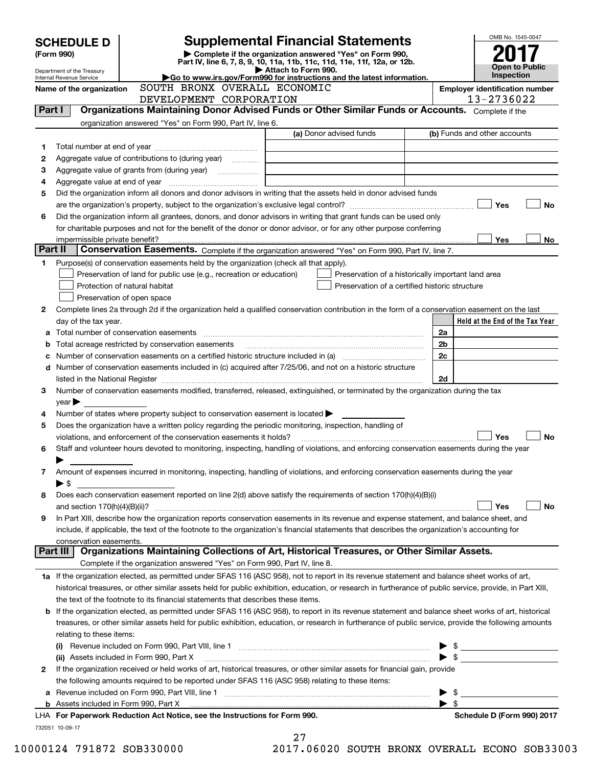|         | <b>SCHEDULE D</b>                                                                                 |                               |                                                                           |  |                     |                                                                        | <b>Supplemental Financial Statements</b>                                                                                                                                                                                       |  |                         | OMB No. 1545-0047                                                                                                                                                                                                                                                                                                   |    |
|---------|---------------------------------------------------------------------------------------------------|-------------------------------|---------------------------------------------------------------------------|--|---------------------|------------------------------------------------------------------------|--------------------------------------------------------------------------------------------------------------------------------------------------------------------------------------------------------------------------------|--|-------------------------|---------------------------------------------------------------------------------------------------------------------------------------------------------------------------------------------------------------------------------------------------------------------------------------------------------------------|----|
|         | (Form 990)                                                                                        |                               |                                                                           |  |                     |                                                                        | Complete if the organization answered "Yes" on Form 990,                                                                                                                                                                       |  |                         |                                                                                                                                                                                                                                                                                                                     |    |
|         | Department of the Treasury                                                                        |                               |                                                                           |  | Attach to Form 990. |                                                                        | Part IV, line 6, 7, 8, 9, 10, 11a, 11b, 11c, 11d, 11e, 11f, 12a, or 12b.                                                                                                                                                       |  |                         | <b>Open to Public</b><br><b>Inspection</b>                                                                                                                                                                                                                                                                          |    |
|         | Internal Revenue Service                                                                          |                               | SOUTH BRONX OVERALL ECONOMIC                                              |  |                     | Go to www.irs.gov/Form990 for instructions and the latest information. |                                                                                                                                                                                                                                |  |                         |                                                                                                                                                                                                                                                                                                                     |    |
|         | Name of the organization                                                                          |                               | DEVELOPMENT CORPORATION                                                   |  |                     |                                                                        |                                                                                                                                                                                                                                |  |                         | <b>Employer identification number</b><br>13-2736022                                                                                                                                                                                                                                                                 |    |
| Part I  |                                                                                                   |                               |                                                                           |  |                     |                                                                        | Organizations Maintaining Donor Advised Funds or Other Similar Funds or Accounts. Complete if the                                                                                                                              |  |                         |                                                                                                                                                                                                                                                                                                                     |    |
|         |                                                                                                   |                               | organization answered "Yes" on Form 990, Part IV, line 6.                 |  |                     |                                                                        |                                                                                                                                                                                                                                |  |                         |                                                                                                                                                                                                                                                                                                                     |    |
|         |                                                                                                   |                               |                                                                           |  |                     |                                                                        | (a) Donor advised funds                                                                                                                                                                                                        |  |                         | (b) Funds and other accounts                                                                                                                                                                                                                                                                                        |    |
| 1       |                                                                                                   |                               |                                                                           |  |                     |                                                                        |                                                                                                                                                                                                                                |  |                         |                                                                                                                                                                                                                                                                                                                     |    |
| 2       | Aggregate value of contributions to (during year)                                                 |                               |                                                                           |  |                     |                                                                        |                                                                                                                                                                                                                                |  |                         |                                                                                                                                                                                                                                                                                                                     |    |
| З       |                                                                                                   |                               |                                                                           |  |                     |                                                                        |                                                                                                                                                                                                                                |  |                         |                                                                                                                                                                                                                                                                                                                     |    |
| 4       |                                                                                                   |                               |                                                                           |  |                     |                                                                        | Did the organization inform all donors and donor advisors in writing that the assets held in donor advised funds                                                                                                               |  |                         |                                                                                                                                                                                                                                                                                                                     |    |
| 5       |                                                                                                   |                               |                                                                           |  |                     |                                                                        |                                                                                                                                                                                                                                |  |                         | Yes                                                                                                                                                                                                                                                                                                                 | No |
| 6       |                                                                                                   |                               |                                                                           |  |                     |                                                                        | Did the organization inform all grantees, donors, and donor advisors in writing that grant funds can be used only                                                                                                              |  |                         |                                                                                                                                                                                                                                                                                                                     |    |
|         |                                                                                                   |                               |                                                                           |  |                     |                                                                        | for charitable purposes and not for the benefit of the donor or donor advisor, or for any other purpose conferring                                                                                                             |  |                         |                                                                                                                                                                                                                                                                                                                     |    |
|         |                                                                                                   |                               |                                                                           |  |                     |                                                                        |                                                                                                                                                                                                                                |  |                         | Yes                                                                                                                                                                                                                                                                                                                 | No |
| Part II |                                                                                                   |                               |                                                                           |  |                     |                                                                        | Conservation Easements. Complete if the organization answered "Yes" on Form 990, Part IV, line 7.                                                                                                                              |  |                         |                                                                                                                                                                                                                                                                                                                     |    |
| 1       | Purpose(s) of conservation easements held by the organization (check all that apply).             |                               |                                                                           |  |                     |                                                                        |                                                                                                                                                                                                                                |  |                         |                                                                                                                                                                                                                                                                                                                     |    |
|         |                                                                                                   |                               | Preservation of land for public use (e.g., recreation or education)       |  |                     |                                                                        | Preservation of a historically important land area                                                                                                                                                                             |  |                         |                                                                                                                                                                                                                                                                                                                     |    |
|         |                                                                                                   | Protection of natural habitat |                                                                           |  |                     |                                                                        | Preservation of a certified historic structure                                                                                                                                                                                 |  |                         |                                                                                                                                                                                                                                                                                                                     |    |
|         |                                                                                                   | Preservation of open space    |                                                                           |  |                     |                                                                        |                                                                                                                                                                                                                                |  |                         |                                                                                                                                                                                                                                                                                                                     |    |
| 2       | day of the tax year.                                                                              |                               |                                                                           |  |                     |                                                                        | Complete lines 2a through 2d if the organization held a qualified conservation contribution in the form of a conservation easement on the last                                                                                 |  |                         | Held at the End of the Tax Year                                                                                                                                                                                                                                                                                     |    |
|         |                                                                                                   |                               |                                                                           |  |                     |                                                                        |                                                                                                                                                                                                                                |  | 2a                      |                                                                                                                                                                                                                                                                                                                     |    |
|         | Total acreage restricted by conservation easements                                                |                               |                                                                           |  |                     |                                                                        |                                                                                                                                                                                                                                |  | 2 <sub>b</sub>          |                                                                                                                                                                                                                                                                                                                     |    |
|         |                                                                                                   |                               |                                                                           |  |                     |                                                                        |                                                                                                                                                                                                                                |  | 2c                      |                                                                                                                                                                                                                                                                                                                     |    |
| d       |                                                                                                   |                               |                                                                           |  |                     |                                                                        | Number of conservation easements included in (c) acquired after 7/25/06, and not on a historic structure                                                                                                                       |  |                         |                                                                                                                                                                                                                                                                                                                     |    |
|         |                                                                                                   |                               |                                                                           |  |                     |                                                                        | listed in the National Register [111] increases: the National Register [11] increases: [11] increases: [11] increases: [11] increases: [11] increases: [11] increases: [11] increases: [11] increases: [11] increases: [11] in |  | 2d                      |                                                                                                                                                                                                                                                                                                                     |    |
| 3       |                                                                                                   |                               |                                                                           |  |                     |                                                                        | Number of conservation easements modified, transferred, released, extinguished, or terminated by the organization during the tax                                                                                               |  |                         |                                                                                                                                                                                                                                                                                                                     |    |
|         | $\vee$ ear                                                                                        |                               |                                                                           |  |                     |                                                                        |                                                                                                                                                                                                                                |  |                         |                                                                                                                                                                                                                                                                                                                     |    |
| 4       | Number of states where property subject to conservation easement is located $\blacktriangleright$ |                               |                                                                           |  |                     |                                                                        |                                                                                                                                                                                                                                |  |                         |                                                                                                                                                                                                                                                                                                                     |    |
| 5       | violations, and enforcement of the conservation easements it holds?                               |                               |                                                                           |  |                     |                                                                        | Does the organization have a written policy regarding the periodic monitoring, inspection, handling of                                                                                                                         |  |                         | Yes                                                                                                                                                                                                                                                                                                                 | No |
| 6       |                                                                                                   |                               |                                                                           |  |                     |                                                                        | Staff and volunteer hours devoted to monitoring, inspecting, handling of violations, and enforcing conservation easements during the year                                                                                      |  |                         |                                                                                                                                                                                                                                                                                                                     |    |
|         |                                                                                                   |                               |                                                                           |  |                     |                                                                        |                                                                                                                                                                                                                                |  |                         |                                                                                                                                                                                                                                                                                                                     |    |
| 7       |                                                                                                   |                               |                                                                           |  |                     |                                                                        | Amount of expenses incurred in monitoring, inspecting, handling of violations, and enforcing conservation easements during the year                                                                                            |  |                         |                                                                                                                                                                                                                                                                                                                     |    |
|         | $\blacktriangleright$ \$                                                                          |                               |                                                                           |  |                     |                                                                        |                                                                                                                                                                                                                                |  |                         |                                                                                                                                                                                                                                                                                                                     |    |
| 8       |                                                                                                   |                               |                                                                           |  |                     |                                                                        | Does each conservation easement reported on line 2(d) above satisfy the requirements of section 170(h)(4)(B)(i)                                                                                                                |  |                         |                                                                                                                                                                                                                                                                                                                     |    |
|         |                                                                                                   |                               |                                                                           |  |                     |                                                                        |                                                                                                                                                                                                                                |  |                         | Yes                                                                                                                                                                                                                                                                                                                 | No |
| 9       |                                                                                                   |                               |                                                                           |  |                     |                                                                        | In Part XIII, describe how the organization reports conservation easements in its revenue and expense statement, and balance sheet, and                                                                                        |  |                         |                                                                                                                                                                                                                                                                                                                     |    |
|         |                                                                                                   |                               |                                                                           |  |                     |                                                                        | include, if applicable, the text of the footnote to the organization's financial statements that describes the organization's accounting for                                                                                   |  |                         |                                                                                                                                                                                                                                                                                                                     |    |
|         | conservation easements.<br>Part III                                                               |                               |                                                                           |  |                     |                                                                        | Organizations Maintaining Collections of Art, Historical Treasures, or Other Similar Assets.                                                                                                                                   |  |                         |                                                                                                                                                                                                                                                                                                                     |    |
|         |                                                                                                   |                               | Complete if the organization answered "Yes" on Form 990, Part IV, line 8. |  |                     |                                                                        |                                                                                                                                                                                                                                |  |                         |                                                                                                                                                                                                                                                                                                                     |    |
|         |                                                                                                   |                               |                                                                           |  |                     |                                                                        | 1a If the organization elected, as permitted under SFAS 116 (ASC 958), not to report in its revenue statement and balance sheet works of art,                                                                                  |  |                         |                                                                                                                                                                                                                                                                                                                     |    |
|         |                                                                                                   |                               |                                                                           |  |                     |                                                                        | historical treasures, or other similar assets held for public exhibition, education, or research in furtherance of public service, provide, in Part XIII,                                                                      |  |                         |                                                                                                                                                                                                                                                                                                                     |    |
|         | the text of the footnote to its financial statements that describes these items.                  |                               |                                                                           |  |                     |                                                                        |                                                                                                                                                                                                                                |  |                         |                                                                                                                                                                                                                                                                                                                     |    |
| b       |                                                                                                   |                               |                                                                           |  |                     |                                                                        | If the organization elected, as permitted under SFAS 116 (ASC 958), to report in its revenue statement and balance sheet works of art, historical                                                                              |  |                         |                                                                                                                                                                                                                                                                                                                     |    |
|         |                                                                                                   |                               |                                                                           |  |                     |                                                                        | treasures, or other similar assets held for public exhibition, education, or research in furtherance of public service, provide the following amounts                                                                          |  |                         |                                                                                                                                                                                                                                                                                                                     |    |
|         | relating to these items:                                                                          |                               |                                                                           |  |                     |                                                                        |                                                                                                                                                                                                                                |  |                         |                                                                                                                                                                                                                                                                                                                     |    |
|         |                                                                                                   |                               |                                                                           |  |                     |                                                                        |                                                                                                                                                                                                                                |  |                         | $\frac{1}{2}$ $\frac{1}{2}$ $\frac{1}{2}$ $\frac{1}{2}$ $\frac{1}{2}$ $\frac{1}{2}$ $\frac{1}{2}$ $\frac{1}{2}$ $\frac{1}{2}$ $\frac{1}{2}$ $\frac{1}{2}$ $\frac{1}{2}$ $\frac{1}{2}$ $\frac{1}{2}$ $\frac{1}{2}$ $\frac{1}{2}$ $\frac{1}{2}$ $\frac{1}{2}$ $\frac{1}{2}$ $\frac{1}{2}$ $\frac{1}{2}$ $\frac{1}{2}$ |    |
| 2       | (ii) Assets included in Form 990, Part X                                                          |                               |                                                                           |  |                     |                                                                        | If the organization received or held works of art, historical treasures, or other similar assets for financial gain, provide                                                                                                   |  |                         | $\triangleright$ \$                                                                                                                                                                                                                                                                                                 |    |
|         | the following amounts required to be reported under SFAS 116 (ASC 958) relating to these items:   |                               |                                                                           |  |                     |                                                                        |                                                                                                                                                                                                                                |  |                         |                                                                                                                                                                                                                                                                                                                     |    |
| а       |                                                                                                   |                               |                                                                           |  |                     |                                                                        |                                                                                                                                                                                                                                |  | \$<br>▶                 |                                                                                                                                                                                                                                                                                                                     |    |
|         |                                                                                                   |                               |                                                                           |  |                     |                                                                        |                                                                                                                                                                                                                                |  | $\blacktriangleright$ s |                                                                                                                                                                                                                                                                                                                     |    |
|         | LHA For Paperwork Reduction Act Notice, see the Instructions for Form 990.                        |                               |                                                                           |  |                     |                                                                        |                                                                                                                                                                                                                                |  |                         | Schedule D (Form 990) 2017                                                                                                                                                                                                                                                                                          |    |
|         | 732051 10-09-17                                                                                   |                               |                                                                           |  | 27                  |                                                                        |                                                                                                                                                                                                                                |  |                         |                                                                                                                                                                                                                                                                                                                     |    |

| $\mathbf 1$ | 7 |  |  | <b>NENCA</b> |  |
|-------------|---|--|--|--------------|--|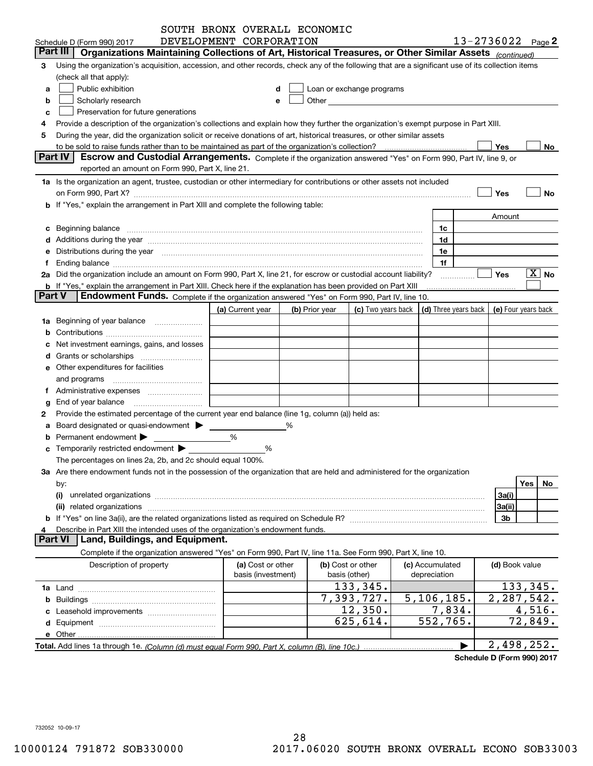|               |                                                                                                                                                                                                                                | SOUTH BRONX OVERALL ECONOMIC            |   |                |                                                                                                                                                                                                                               |                         |                                              |                       |
|---------------|--------------------------------------------------------------------------------------------------------------------------------------------------------------------------------------------------------------------------------|-----------------------------------------|---|----------------|-------------------------------------------------------------------------------------------------------------------------------------------------------------------------------------------------------------------------------|-------------------------|----------------------------------------------|-----------------------|
|               | Schedule D (Form 990) 2017                                                                                                                                                                                                     | DEVELOPMENT CORPORATION                 |   |                |                                                                                                                                                                                                                               |                         | 13-2736022 Page 2                            |                       |
|               | Organizations Maintaining Collections of Art, Historical Treasures, or Other Similar Assets (continued)<br>Part III                                                                                                            |                                         |   |                |                                                                                                                                                                                                                               |                         |                                              |                       |
| 3             | Using the organization's acquisition, accession, and other records, check any of the following that are a significant use of its collection items                                                                              |                                         |   |                |                                                                                                                                                                                                                               |                         |                                              |                       |
|               | (check all that apply):                                                                                                                                                                                                        |                                         |   |                |                                                                                                                                                                                                                               |                         |                                              |                       |
| a             | Public exhibition                                                                                                                                                                                                              | d                                       |   |                | Loan or exchange programs                                                                                                                                                                                                     |                         |                                              |                       |
| b             | Scholarly research                                                                                                                                                                                                             | е                                       |   |                | Other and the contract of the contract of the contract of the contract of the contract of the contract of the contract of the contract of the contract of the contract of the contract of the contract of the contract of the |                         |                                              |                       |
| c             | Preservation for future generations                                                                                                                                                                                            |                                         |   |                |                                                                                                                                                                                                                               |                         |                                              |                       |
| 4             | Provide a description of the organization's collections and explain how they further the organization's exempt purpose in Part XIII.                                                                                           |                                         |   |                |                                                                                                                                                                                                                               |                         |                                              |                       |
| 5             | During the year, did the organization solicit or receive donations of art, historical treasures, or other similar assets                                                                                                       |                                         |   |                |                                                                                                                                                                                                                               |                         |                                              |                       |
|               |                                                                                                                                                                                                                                |                                         |   |                |                                                                                                                                                                                                                               |                         | Yes                                          | No                    |
|               | Part IV<br>Escrow and Custodial Arrangements. Complete if the organization answered "Yes" on Form 990, Part IV, line 9, or                                                                                                     |                                         |   |                |                                                                                                                                                                                                                               |                         |                                              |                       |
|               | reported an amount on Form 990, Part X, line 21.                                                                                                                                                                               |                                         |   |                |                                                                                                                                                                                                                               |                         |                                              |                       |
|               | 1a Is the organization an agent, trustee, custodian or other intermediary for contributions or other assets not included                                                                                                       |                                         |   |                |                                                                                                                                                                                                                               |                         |                                              |                       |
|               | on Form 990, Part X? [11] matter and the contract of the contract of the contract of the contract of the contract of the contract of the contract of the contract of the contract of the contract of the contract of the contr |                                         |   |                |                                                                                                                                                                                                                               |                         | Yes                                          | No                    |
|               | b If "Yes," explain the arrangement in Part XIII and complete the following table:                                                                                                                                             |                                         |   |                |                                                                                                                                                                                                                               |                         |                                              |                       |
|               |                                                                                                                                                                                                                                |                                         |   |                |                                                                                                                                                                                                                               |                         | Amount                                       |                       |
|               |                                                                                                                                                                                                                                |                                         |   |                |                                                                                                                                                                                                                               | 1c                      |                                              |                       |
| c             | Beginning balance measurements are all the contract of the contract of the contract of the contract of the contract of the contract of the contract of the contract of the contract of the contract of the contract of the con |                                         |   |                |                                                                                                                                                                                                                               | 1d                      |                                              |                       |
|               |                                                                                                                                                                                                                                |                                         |   |                |                                                                                                                                                                                                                               |                         |                                              |                       |
| е             | Distributions during the year manufactured and continuum control of the year manufactured and continuum control of the year manufactured and control of the year manufactured and control of the year manufactured and control |                                         |   |                |                                                                                                                                                                                                                               | 1e                      |                                              |                       |
|               |                                                                                                                                                                                                                                |                                         |   |                |                                                                                                                                                                                                                               | 1f                      |                                              | $\boxed{\text{X}}$ No |
|               | 2a Did the organization include an amount on Form 990, Part X, line 21, for escrow or custodial account liability?                                                                                                             |                                         |   |                |                                                                                                                                                                                                                               |                         | <b>Yes</b>                                   |                       |
| <b>Part V</b> | b If "Yes," explain the arrangement in Part XIII. Check here if the explanation has been provided on Part XIII                                                                                                                 |                                         |   |                |                                                                                                                                                                                                                               |                         |                                              |                       |
|               | Endowment Funds. Complete if the organization answered "Yes" on Form 990, Part IV, line 10.                                                                                                                                    |                                         |   |                |                                                                                                                                                                                                                               |                         |                                              |                       |
|               |                                                                                                                                                                                                                                | (a) Current year                        |   | (b) Prior year | (c) Two years back                                                                                                                                                                                                            |                         | (d) Three years back $ $ (e) Four years back |                       |
|               | 1a Beginning of year balance                                                                                                                                                                                                   |                                         |   |                |                                                                                                                                                                                                                               |                         |                                              |                       |
| b             |                                                                                                                                                                                                                                |                                         |   |                |                                                                                                                                                                                                                               |                         |                                              |                       |
|               | Net investment earnings, gains, and losses                                                                                                                                                                                     |                                         |   |                |                                                                                                                                                                                                                               |                         |                                              |                       |
| d             | Grants or scholarships                                                                                                                                                                                                         |                                         |   |                |                                                                                                                                                                                                                               |                         |                                              |                       |
|               | <b>e</b> Other expenditures for facilities                                                                                                                                                                                     |                                         |   |                |                                                                                                                                                                                                                               |                         |                                              |                       |
|               | and programs                                                                                                                                                                                                                   |                                         |   |                |                                                                                                                                                                                                                               |                         |                                              |                       |
| Ť.            |                                                                                                                                                                                                                                |                                         |   |                |                                                                                                                                                                                                                               |                         |                                              |                       |
| g             | End of year balance                                                                                                                                                                                                            |                                         |   |                |                                                                                                                                                                                                                               |                         |                                              |                       |
| 2             | Provide the estimated percentage of the current year end balance (line 1g, column (a)) held as:                                                                                                                                |                                         |   |                |                                                                                                                                                                                                                               |                         |                                              |                       |
| a             | Board designated or quasi-endowment >                                                                                                                                                                                          |                                         | % |                |                                                                                                                                                                                                                               |                         |                                              |                       |
| b             | Permanent endowment >                                                                                                                                                                                                          | %                                       |   |                |                                                                                                                                                                                                                               |                         |                                              |                       |
| c             | Temporarily restricted endowment                                                                                                                                                                                               | %                                       |   |                |                                                                                                                                                                                                                               |                         |                                              |                       |
|               | The percentages on lines 2a, 2b, and 2c should equal 100%.                                                                                                                                                                     |                                         |   |                |                                                                                                                                                                                                                               |                         |                                              |                       |
|               | 3a Are there endowment funds not in the possession of the organization that are held and administered for the organization                                                                                                     |                                         |   |                |                                                                                                                                                                                                                               |                         |                                              |                       |
|               | by:                                                                                                                                                                                                                            |                                         |   |                |                                                                                                                                                                                                                               |                         |                                              | Yes<br>No             |
|               | (i)                                                                                                                                                                                                                            |                                         |   |                |                                                                                                                                                                                                                               |                         | 3a(i)                                        |                       |
|               | related organizations<br>(ii)                                                                                                                                                                                                  |                                         |   |                |                                                                                                                                                                                                                               |                         | 3a(ii)                                       |                       |
|               |                                                                                                                                                                                                                                |                                         |   |                |                                                                                                                                                                                                                               |                         | 3b                                           |                       |
| 4             | Describe in Part XIII the intended uses of the organization's endowment funds.                                                                                                                                                 |                                         |   |                |                                                                                                                                                                                                                               |                         |                                              |                       |
|               | Land, Buildings, and Equipment.<br><b>Part VI</b>                                                                                                                                                                              |                                         |   |                |                                                                                                                                                                                                                               |                         |                                              |                       |
|               | Complete if the organization answered "Yes" on Form 990, Part IV, line 11a. See Form 990, Part X, line 10.                                                                                                                     |                                         |   |                |                                                                                                                                                                                                                               |                         |                                              |                       |
|               |                                                                                                                                                                                                                                |                                         |   |                | (b) Cost or other                                                                                                                                                                                                             | (c) Accumulated         |                                              |                       |
|               | Description of property                                                                                                                                                                                                        | (a) Cost or other<br>basis (investment) |   |                | basis (other)                                                                                                                                                                                                                 | depreciation            | (d) Book value                               |                       |
|               |                                                                                                                                                                                                                                |                                         |   |                | 133,345.                                                                                                                                                                                                                      |                         |                                              | 133,345.              |
|               |                                                                                                                                                                                                                                |                                         |   |                |                                                                                                                                                                                                                               |                         |                                              |                       |
|               |                                                                                                                                                                                                                                |                                         |   |                | 7,393,727.                                                                                                                                                                                                                    | 5, 106, 185.            | 2,287,542.                                   |                       |
|               |                                                                                                                                                                                                                                |                                         |   |                | 12,350.                                                                                                                                                                                                                       | 7,834.                  |                                              | 4,516.                |
|               |                                                                                                                                                                                                                                |                                         |   |                | 625,614.                                                                                                                                                                                                                      | $\overline{552, 765}$ . |                                              | 72,849.               |
|               |                                                                                                                                                                                                                                |                                         |   |                |                                                                                                                                                                                                                               |                         |                                              |                       |
|               |                                                                                                                                                                                                                                |                                         |   |                |                                                                                                                                                                                                                               |                         | 2,498,252.                                   |                       |

**Schedule D (Form 990) 2017**

732052 10-09-17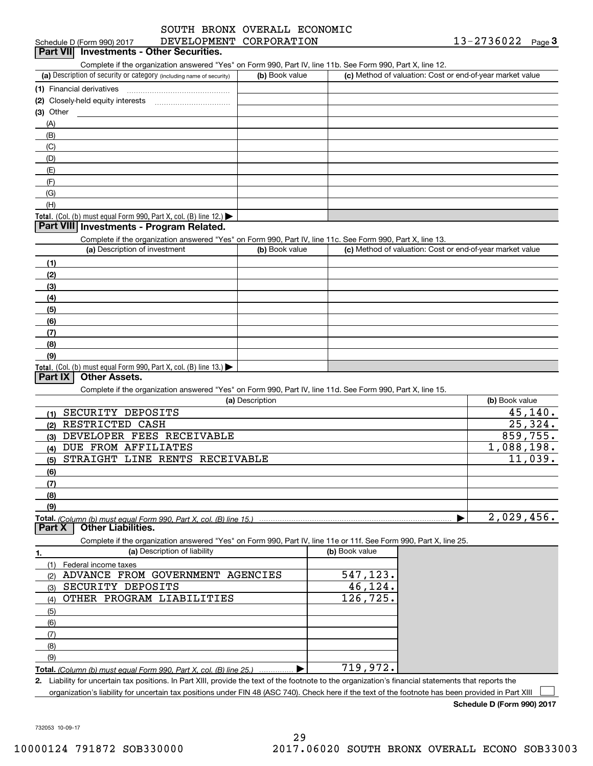|  | יט מאטמע וונטט   |  |
|--|------------------|--|
|  | $\sum_{i=1}^{n}$ |  |

| DEVELOPMENT CORPORATION<br>Schedule D (Form 990) 2017                                                             |                 |                                                           | 13-2736022<br>$Page$ <sup>3</sup> |
|-------------------------------------------------------------------------------------------------------------------|-----------------|-----------------------------------------------------------|-----------------------------------|
| <b>Part VII</b> Investments - Other Securities.                                                                   |                 |                                                           |                                   |
| Complete if the organization answered "Yes" on Form 990, Part IV, line 11b. See Form 990, Part X, line 12.        |                 |                                                           |                                   |
| (a) Description of security or category (including name of security)                                              | (b) Book value  | (c) Method of valuation: Cost or end-of-year market value |                                   |
|                                                                                                                   |                 |                                                           |                                   |
|                                                                                                                   |                 |                                                           |                                   |
| (3) Other                                                                                                         |                 |                                                           |                                   |
| (A)                                                                                                               |                 |                                                           |                                   |
| (B)                                                                                                               |                 |                                                           |                                   |
| (C)                                                                                                               |                 |                                                           |                                   |
| (D)                                                                                                               |                 |                                                           |                                   |
| (E)                                                                                                               |                 |                                                           |                                   |
| (F)                                                                                                               |                 |                                                           |                                   |
| (G)                                                                                                               |                 |                                                           |                                   |
| (H)                                                                                                               |                 |                                                           |                                   |
| Total. (Col. (b) must equal Form 990, Part X, col. (B) line 12.) $\blacktriangleright$                            |                 |                                                           |                                   |
| Part VIII Investments - Program Related.                                                                          |                 |                                                           |                                   |
| Complete if the organization answered "Yes" on Form 990, Part IV, line 11c. See Form 990, Part X, line 13.        |                 |                                                           |                                   |
| (a) Description of investment                                                                                     | (b) Book value  | (c) Method of valuation: Cost or end-of-year market value |                                   |
| (1)                                                                                                               |                 |                                                           |                                   |
| (2)                                                                                                               |                 |                                                           |                                   |
| (3)                                                                                                               |                 |                                                           |                                   |
| (4)                                                                                                               |                 |                                                           |                                   |
| (5)                                                                                                               |                 |                                                           |                                   |
| (6)                                                                                                               |                 |                                                           |                                   |
| (7)                                                                                                               |                 |                                                           |                                   |
| (8)                                                                                                               |                 |                                                           |                                   |
| (9)                                                                                                               |                 |                                                           |                                   |
| Total. (Col. (b) must equal Form 990, Part X, col. (B) line 13.) $\blacktriangleright$                            |                 |                                                           |                                   |
| <b>Other Assets.</b><br><b>Part IX</b>                                                                            |                 |                                                           |                                   |
| Complete if the organization answered "Yes" on Form 990, Part IV, line 11d. See Form 990, Part X, line 15.        |                 |                                                           |                                   |
|                                                                                                                   | (a) Description |                                                           | (b) Book value                    |
| SECURITY DEPOSITS<br>(1)                                                                                          |                 |                                                           | 45, 140.                          |
| RESTRICTED CASH<br>(2)                                                                                            |                 |                                                           | 25,324.                           |
| DEVELOPER FEES RECEIVABLE<br>(3)                                                                                  |                 |                                                           | 859,755.                          |
| DUE FROM AFFILIATES<br>(4)                                                                                        |                 |                                                           | 1,088,198.                        |
| STRAIGHT LINE RENTS RECEIVABLE<br>(5)                                                                             |                 |                                                           | 11,039.                           |
| (6)                                                                                                               |                 |                                                           |                                   |
| (7)                                                                                                               |                 |                                                           |                                   |
| (8)                                                                                                               |                 |                                                           |                                   |
| (9)                                                                                                               |                 |                                                           |                                   |
| Total. (Column (b) must equal Form 990. Part X, col. (B) line 15.)                                                |                 |                                                           | 2,029,456.                        |
| <b>Other Liabilities.</b><br><b>Part X</b>                                                                        |                 |                                                           |                                   |
| Complete if the organization answered "Yes" on Form 990, Part IV, line 11e or 11f. See Form 990, Part X, line 25. |                 |                                                           |                                   |
| (a) Description of liability<br>1.                                                                                |                 | (b) Book value                                            |                                   |
| (1)<br>Federal income taxes                                                                                       |                 |                                                           |                                   |
| ADVANCE FROM GOVERNMENT AGENCIES<br>(2)                                                                           |                 | 547,123.                                                  |                                   |
| SECURITY DEPOSITS<br>(3)                                                                                          |                 | 46,124.                                                   |                                   |
| OTHER PROGRAM LIABILITIES<br>(4)                                                                                  |                 | 126,725.                                                  |                                   |
| (5)                                                                                                               |                 |                                                           |                                   |
|                                                                                                                   |                 |                                                           |                                   |
| (6)                                                                                                               |                 |                                                           |                                   |
|                                                                                                                   |                 |                                                           |                                   |
| (7)                                                                                                               |                 |                                                           |                                   |
| (8)                                                                                                               |                 |                                                           |                                   |
| (9)<br>Total. (Column (b) must equal Form 990, Part X, col. (B) line 25.)                                         |                 | 719,972.                                                  |                                   |

organization's liability for uncertain tax positions under FIN 48 (ASC 740). Check here if the text of the footnote has been provided in Part XIII  $\Box$ 

**Schedule D (Form 990) 2017**

732053 10-09-17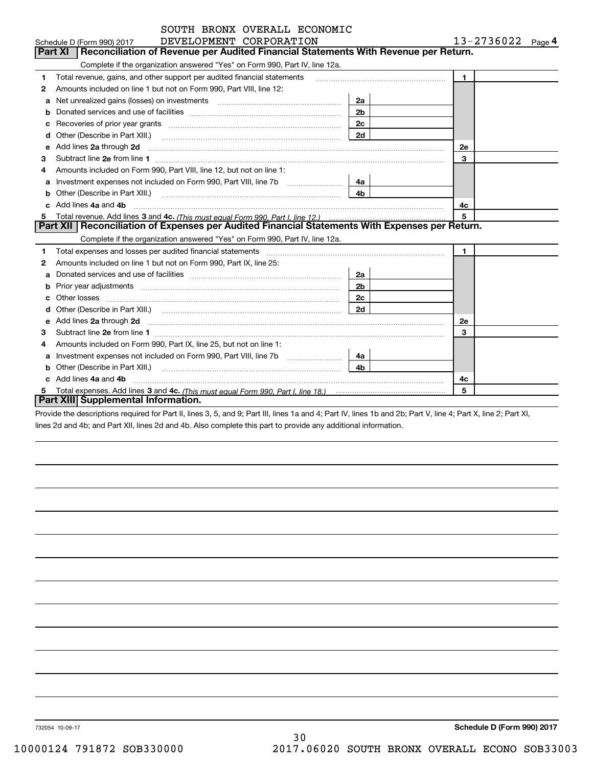|    | SOUTH BRONX OVERALL ECONOMIC                                                                                                                                                                                                         |                |                   |
|----|--------------------------------------------------------------------------------------------------------------------------------------------------------------------------------------------------------------------------------------|----------------|-------------------|
|    | DEVELOPMENT CORPORATION<br>Schedule D (Form 990) 2017                                                                                                                                                                                |                | 13-2736022 Page 4 |
|    | <b>Part XI</b><br>Reconciliation of Revenue per Audited Financial Statements With Revenue per Return.                                                                                                                                |                |                   |
|    | Complete if the organization answered "Yes" on Form 990, Part IV, line 12a.                                                                                                                                                          |                |                   |
| 1  | Total revenue, gains, and other support per audited financial statements                                                                                                                                                             |                | $\blacksquare$    |
| 2  | Amounts included on line 1 but not on Form 990, Part VIII, line 12:                                                                                                                                                                  |                |                   |
| a  | Net unrealized gains (losses) on investments [11] matter contracts and the unrealized gains (losses) on investments                                                                                                                  | 2a             |                   |
| b  |                                                                                                                                                                                                                                      | 2 <sub>b</sub> |                   |
|    | Recoveries of prior year grants entertainment control of the state of prior year grants                                                                                                                                              | 2c             |                   |
| d  | Other (Describe in Part XIII.) <b>Construction Contract Construction</b> Chern Construction Construction Construction                                                                                                                | 2d             |                   |
| е  | Add lines 2a through 2d                                                                                                                                                                                                              |                | <b>2e</b>         |
| 3  |                                                                                                                                                                                                                                      |                | 3                 |
| 4  | Amounts included on Form 990, Part VIII, line 12, but not on line 1:                                                                                                                                                                 |                |                   |
| a  | Investment expenses not included on Form 990, Part VIII, line 7b [1000000000000000000000000000000000                                                                                                                                 | 4a             |                   |
| b  | Other (Describe in Part XIII.) <b>Construction Contract Construction</b> Chern Construction Construction Construction                                                                                                                |                |                   |
|    | Add lines 4a and 4b                                                                                                                                                                                                                  |                | 4с                |
| 5  |                                                                                                                                                                                                                                      |                | 5                 |
|    | Part XII   Reconciliation of Expenses per Audited Financial Statements With Expenses per Return.                                                                                                                                     |                |                   |
|    | Complete if the organization answered "Yes" on Form 990, Part IV, line 12a.                                                                                                                                                          |                |                   |
| 1  |                                                                                                                                                                                                                                      |                | $\mathbf{1}$      |
| 2  | Amounts included on line 1 but not on Form 990, Part IX, line 25:                                                                                                                                                                    |                |                   |
|    |                                                                                                                                                                                                                                      | 2a             |                   |
|    |                                                                                                                                                                                                                                      | 2 <sub>b</sub> |                   |
| C. |                                                                                                                                                                                                                                      | 2c             |                   |
| d  |                                                                                                                                                                                                                                      | 2d             |                   |
| е  | Add lines 2a through 2d <b>contained a contained a contained a contained a contained a contained a contained a contained a contact a contact a contact a contact a contact a contact a contact a contact a contact a contact a c</b> |                | <b>2e</b>         |
| 3  |                                                                                                                                                                                                                                      |                | 3                 |
| 4  | Amounts included on Form 990, Part IX, line 25, but not on line 1:                                                                                                                                                                   |                |                   |
|    |                                                                                                                                                                                                                                      | 4a ∣           |                   |
| b  | Other (Describe in Part XIII.)                                                                                                                                                                                                       | 4 <sub>b</sub> |                   |
|    | c Add lines 4a and 4b                                                                                                                                                                                                                |                | 4c                |
|    |                                                                                                                                                                                                                                      |                | 5                 |
|    | Part XIII Supplemental Information.                                                                                                                                                                                                  |                |                   |

Provide the descriptions required for Part II, lines 3, 5, and 9; Part III, lines 1a and 4; Part IV, lines 1b and 2b; Part V, line 4; Part X, line 2; Part XI, lines 2d and 4b; and Part XII, lines 2d and 4b. Also complete this part to provide any additional information.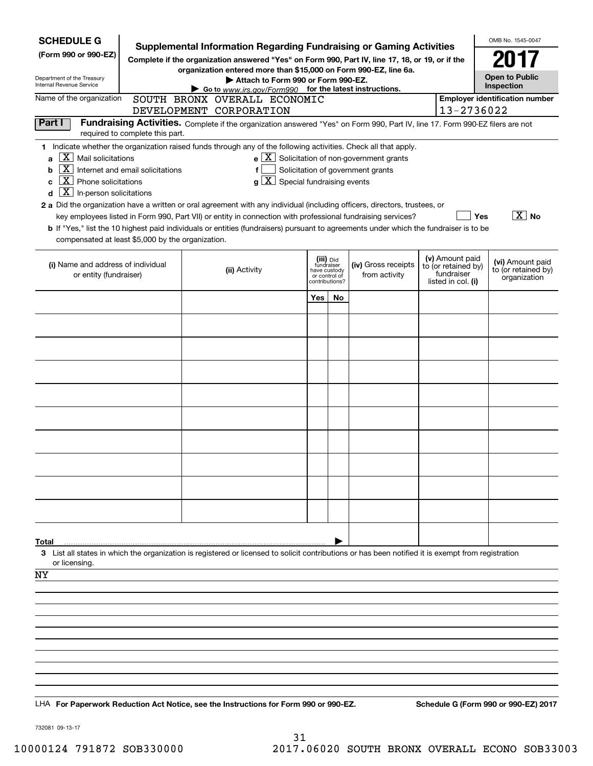| <b>SCHEDULE G</b>                                            |                                                                  | <b>Supplemental Information Regarding Fundraising or Gaming Activities</b>                                                                                                                                                                |                                             |    |                                                                                                         |  |                                   | OMB No. 1545-0047                     |  |
|--------------------------------------------------------------|------------------------------------------------------------------|-------------------------------------------------------------------------------------------------------------------------------------------------------------------------------------------------------------------------------------------|---------------------------------------------|----|---------------------------------------------------------------------------------------------------------|--|-----------------------------------|---------------------------------------|--|
| (Form 990 or 990-EZ)                                         |                                                                  | Complete if the organization answered "Yes" on Form 990, Part IV, line 17, 18, or 19, or if the                                                                                                                                           |                                             |    |                                                                                                         |  |                                   | 2017                                  |  |
| Department of the Treasury                                   | organization entered more than \$15,000 on Form 990-EZ, line 6a. |                                                                                                                                                                                                                                           |                                             |    |                                                                                                         |  |                                   | <b>Open to Public</b>                 |  |
| Internal Revenue Service                                     |                                                                  | Attach to Form 990 or Form 990-EZ.<br>Inspection<br>Go to www.irs.gov/Form990 for the latest instructions.                                                                                                                                |                                             |    |                                                                                                         |  |                                   |                                       |  |
| Name of the organization                                     |                                                                  | SOUTH BRONX OVERALL ECONOMIC                                                                                                                                                                                                              |                                             |    |                                                                                                         |  |                                   | <b>Employer identification number</b> |  |
| Part I                                                       |                                                                  | DEVELOPMENT CORPORATION<br>Fundraising Activities. Complete if the organization answered "Yes" on Form 990, Part IV, line 17. Form 990-EZ filers are not                                                                                  |                                             |    |                                                                                                         |  | 13-2736022                        |                                       |  |
|                                                              | required to complete this part.                                  |                                                                                                                                                                                                                                           |                                             |    |                                                                                                         |  |                                   |                                       |  |
|                                                              |                                                                  | 1 Indicate whether the organization raised funds through any of the following activities. Check all that apply.                                                                                                                           |                                             |    |                                                                                                         |  |                                   |                                       |  |
| X.<br>Mail solicitations<br>a<br>  X  <br>b                  | Internet and email solicitations                                 | f                                                                                                                                                                                                                                         |                                             |    | $\mathbf{e} \mid \mathbf{X}$ Solicitation of non-government grants<br>Solicitation of government grants |  |                                   |                                       |  |
| X  <br>Phone solicitations<br>c                              |                                                                  | $\overline{X}$ Special fundraising events<br>g l                                                                                                                                                                                          |                                             |    |                                                                                                         |  |                                   |                                       |  |
| $\boxed{\textbf{X}}$ In-person solicitations<br>d            |                                                                  |                                                                                                                                                                                                                                           |                                             |    |                                                                                                         |  |                                   |                                       |  |
|                                                              |                                                                  | 2 a Did the organization have a written or oral agreement with any individual (including officers, directors, trustees, or<br>key employees listed in Form 990, Part VII) or entity in connection with professional fundraising services? |                                             |    |                                                                                                         |  | Yes                               | $\overline{X}$ No                     |  |
|                                                              |                                                                  | <b>b</b> If "Yes," list the 10 highest paid individuals or entities (fundraisers) pursuant to agreements under which the fundraiser is to be                                                                                              |                                             |    |                                                                                                         |  |                                   |                                       |  |
| compensated at least \$5,000 by the organization.            |                                                                  |                                                                                                                                                                                                                                           |                                             |    |                                                                                                         |  |                                   |                                       |  |
|                                                              |                                                                  |                                                                                                                                                                                                                                           | (iii) Did                                   |    |                                                                                                         |  | (v) Amount paid                   | (vi) Amount paid                      |  |
| (i) Name and address of individual<br>or entity (fundraiser) |                                                                  | (ii) Activity                                                                                                                                                                                                                             | fundraiser<br>have custody<br>or control of |    | (iv) Gross receipts<br>from activity                                                                    |  | to (or retained by)<br>fundraiser | to (or retained by)<br>organization   |  |
|                                                              |                                                                  |                                                                                                                                                                                                                                           | contributions?                              |    |                                                                                                         |  | listed in col. (i)                |                                       |  |
|                                                              |                                                                  |                                                                                                                                                                                                                                           | Yes                                         | No |                                                                                                         |  |                                   |                                       |  |
|                                                              |                                                                  |                                                                                                                                                                                                                                           |                                             |    |                                                                                                         |  |                                   |                                       |  |
|                                                              |                                                                  |                                                                                                                                                                                                                                           |                                             |    |                                                                                                         |  |                                   |                                       |  |
|                                                              |                                                                  |                                                                                                                                                                                                                                           |                                             |    |                                                                                                         |  |                                   |                                       |  |
|                                                              |                                                                  |                                                                                                                                                                                                                                           |                                             |    |                                                                                                         |  |                                   |                                       |  |
|                                                              |                                                                  |                                                                                                                                                                                                                                           |                                             |    |                                                                                                         |  |                                   |                                       |  |
|                                                              |                                                                  |                                                                                                                                                                                                                                           |                                             |    |                                                                                                         |  |                                   |                                       |  |
|                                                              |                                                                  |                                                                                                                                                                                                                                           |                                             |    |                                                                                                         |  |                                   |                                       |  |
|                                                              |                                                                  |                                                                                                                                                                                                                                           |                                             |    |                                                                                                         |  |                                   |                                       |  |
|                                                              |                                                                  |                                                                                                                                                                                                                                           |                                             |    |                                                                                                         |  |                                   |                                       |  |
|                                                              |                                                                  |                                                                                                                                                                                                                                           |                                             |    |                                                                                                         |  |                                   |                                       |  |
|                                                              |                                                                  |                                                                                                                                                                                                                                           |                                             |    |                                                                                                         |  |                                   |                                       |  |
|                                                              |                                                                  |                                                                                                                                                                                                                                           |                                             |    |                                                                                                         |  |                                   |                                       |  |
|                                                              |                                                                  |                                                                                                                                                                                                                                           |                                             |    |                                                                                                         |  |                                   |                                       |  |
|                                                              |                                                                  |                                                                                                                                                                                                                                           |                                             |    |                                                                                                         |  |                                   |                                       |  |
| Total                                                        |                                                                  |                                                                                                                                                                                                                                           |                                             |    |                                                                                                         |  |                                   |                                       |  |
|                                                              |                                                                  | 3 List all states in which the organization is registered or licensed to solicit contributions or has been notified it is exempt from registration                                                                                        |                                             |    |                                                                                                         |  |                                   |                                       |  |
| or licensing.<br>NY                                          |                                                                  |                                                                                                                                                                                                                                           |                                             |    |                                                                                                         |  |                                   |                                       |  |
|                                                              |                                                                  |                                                                                                                                                                                                                                           |                                             |    |                                                                                                         |  |                                   |                                       |  |
|                                                              |                                                                  |                                                                                                                                                                                                                                           |                                             |    |                                                                                                         |  |                                   |                                       |  |
|                                                              |                                                                  |                                                                                                                                                                                                                                           |                                             |    |                                                                                                         |  |                                   |                                       |  |
|                                                              |                                                                  |                                                                                                                                                                                                                                           |                                             |    |                                                                                                         |  |                                   |                                       |  |
|                                                              |                                                                  |                                                                                                                                                                                                                                           |                                             |    |                                                                                                         |  |                                   |                                       |  |
|                                                              |                                                                  |                                                                                                                                                                                                                                           |                                             |    |                                                                                                         |  |                                   |                                       |  |
|                                                              |                                                                  |                                                                                                                                                                                                                                           |                                             |    |                                                                                                         |  |                                   |                                       |  |
|                                                              |                                                                  | LHA For Paperwork Reduction Act Notice, see the Instructions for Form 990 or 990-EZ.                                                                                                                                                      |                                             |    |                                                                                                         |  |                                   | Schedule G (Form 990 or 990-EZ) 2017  |  |
|                                                              |                                                                  |                                                                                                                                                                                                                                           |                                             |    |                                                                                                         |  |                                   |                                       |  |

732081 09-13-17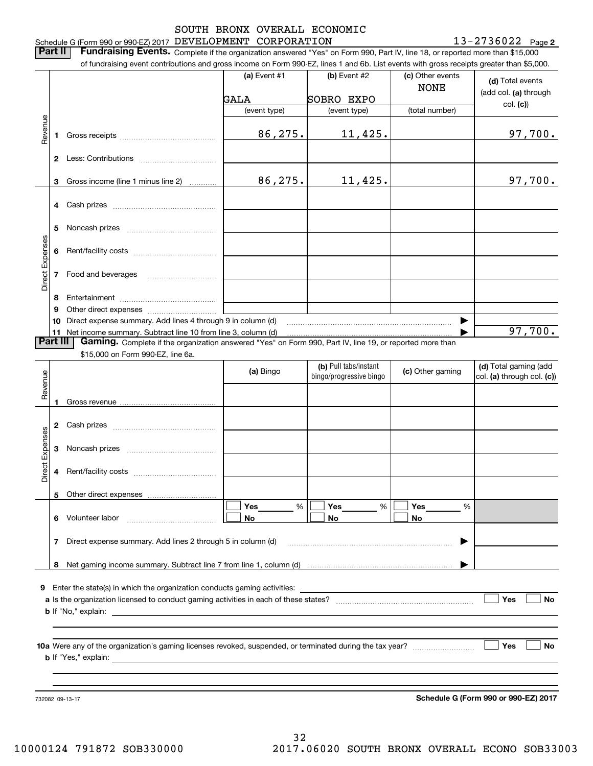## Schedule G (Form 990 or 990-EZ) 2017 Page DEVELOPMENT CORPORATION 13-2736022 SOUTH BRONX OVERALL ECONOMIC

**2**

**Part II** | Fundraising Events. Complete if the organization answered "Yes" on Form 990, Part IV, line 18, or reported more than \$15,000

|                 |          | of fundraising event contributions and gross income on Form 990-EZ, lines 1 and 6b. List events with gross receipts greater than \$5,000. |                   |                                                  |                                 |                                                     |
|-----------------|----------|-------------------------------------------------------------------------------------------------------------------------------------------|-------------------|--------------------------------------------------|---------------------------------|-----------------------------------------------------|
|                 |          |                                                                                                                                           | (a) Event #1      | (b) Event #2                                     | (c) Other events<br><b>NONE</b> | (d) Total events<br>(add col. (a) through           |
|                 |          |                                                                                                                                           | GALA              | SOBRO EXPO                                       |                                 | col. (c)                                            |
|                 |          |                                                                                                                                           | (event type)      | (event type)                                     | (total number)                  |                                                     |
| Revenue         | 1.       |                                                                                                                                           | 86,275.           | 11,425.                                          |                                 | 97,700.                                             |
|                 |          |                                                                                                                                           |                   |                                                  |                                 |                                                     |
|                 |          |                                                                                                                                           |                   |                                                  |                                 |                                                     |
|                 | 3        | Gross income (line 1 minus line 2)                                                                                                        | 86,275.           | 11,425.                                          |                                 | 97,700.                                             |
|                 |          |                                                                                                                                           |                   |                                                  |                                 |                                                     |
|                 | 5        |                                                                                                                                           |                   |                                                  |                                 |                                                     |
| Direct Expenses | 6        |                                                                                                                                           |                   |                                                  |                                 |                                                     |
|                 |          | 7 Food and beverages                                                                                                                      |                   |                                                  |                                 |                                                     |
|                 | 8        |                                                                                                                                           |                   |                                                  |                                 |                                                     |
|                 | 9        |                                                                                                                                           |                   |                                                  |                                 |                                                     |
|                 |          | 10 Direct expense summary. Add lines 4 through 9 in column (d)                                                                            |                   |                                                  |                                 |                                                     |
|                 |          | 11 Net income summary. Subtract line 10 from line 3, column (d)                                                                           |                   |                                                  |                                 | 97,700.                                             |
|                 | Part III | Gaming. Complete if the organization answered "Yes" on Form 990, Part IV, line 19, or reported more than                                  |                   |                                                  |                                 |                                                     |
|                 |          | \$15,000 on Form 990-EZ, line 6a.                                                                                                         |                   |                                                  |                                 |                                                     |
| Revenue         |          |                                                                                                                                           | (a) Bingo         | (b) Pull tabs/instant<br>bingo/progressive bingo | (c) Other gaming                | (d) Total gaming (add<br>col. (a) through col. (c)) |
|                 | 1        |                                                                                                                                           |                   |                                                  |                                 |                                                     |
|                 |          |                                                                                                                                           |                   |                                                  |                                 |                                                     |
| Expenses        |          |                                                                                                                                           |                   |                                                  |                                 |                                                     |
| Direct          | 4        |                                                                                                                                           |                   |                                                  |                                 |                                                     |
|                 |          | Other direct expenses                                                                                                                     |                   |                                                  |                                 |                                                     |
|                 | 6        | Volunteer labor                                                                                                                           | Yes<br>$\%$<br>No | Yes<br>%<br>No                                   | Yes<br>%<br>No                  |                                                     |
|                 | 7        | Direct expense summary. Add lines 2 through 5 in column (d)                                                                               |                   |                                                  |                                 |                                                     |
|                 | 8        |                                                                                                                                           |                   |                                                  |                                 |                                                     |
|                 |          | 9 Enter the state(s) in which the organization conducts gaming activities:                                                                |                   |                                                  |                                 |                                                     |
|                 |          |                                                                                                                                           |                   |                                                  |                                 | Yes<br>No                                           |
|                 |          | <b>b</b> If "No," explain:                                                                                                                |                   |                                                  |                                 |                                                     |
|                 |          |                                                                                                                                           |                   |                                                  |                                 | Yes<br>No                                           |
|                 |          |                                                                                                                                           |                   |                                                  |                                 |                                                     |

732082 09-13-17

**Schedule G (Form 990 or 990-EZ) 2017**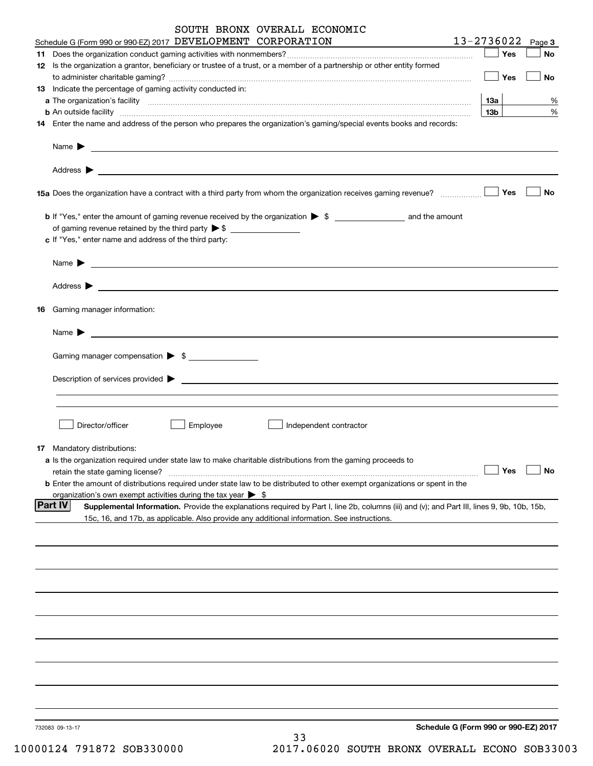| SOUTH BRONX OVERALL ECONOMIC                                                                                                                           |                                      |
|--------------------------------------------------------------------------------------------------------------------------------------------------------|--------------------------------------|
| Schedule G (Form 990 or 990-EZ) 2017 DEVELOPMENT CORPORATION                                                                                           | $13 - 2736022$ Page 3                |
| 11.                                                                                                                                                    | Yes<br>No                            |
| 12 Is the organization a grantor, beneficiary or trustee of a trust, or a member of a partnership or other entity formed                               | Yes<br>No                            |
| 13 Indicate the percentage of gaming activity conducted in:                                                                                            |                                      |
|                                                                                                                                                        | %<br>13а                             |
|                                                                                                                                                        | 13 <sub>b</sub><br>%                 |
| 14 Enter the name and address of the person who prepares the organization's gaming/special events books and records:                                   |                                      |
|                                                                                                                                                        |                                      |
|                                                                                                                                                        |                                      |
|                                                                                                                                                        | Yes<br>No                            |
|                                                                                                                                                        |                                      |
|                                                                                                                                                        |                                      |
| c If "Yes," enter name and address of the third party:                                                                                                 |                                      |
|                                                                                                                                                        |                                      |
| Name $\blacktriangleright$ $\lrcorner$                                                                                                                 |                                      |
|                                                                                                                                                        |                                      |
| Gaming manager information:<br>16                                                                                                                      |                                      |
| Name $\blacktriangleright$ $\lrcorner$                                                                                                                 |                                      |
| Gaming manager compensation > \$                                                                                                                       |                                      |
|                                                                                                                                                        |                                      |
|                                                                                                                                                        |                                      |
|                                                                                                                                                        |                                      |
|                                                                                                                                                        |                                      |
| Director/officer<br>Employee<br>Independent contractor                                                                                                 |                                      |
|                                                                                                                                                        |                                      |
| 17 Mandatory distributions:                                                                                                                            |                                      |
| a Is the organization required under state law to make charitable distributions from the gaming proceeds to<br>retain the state gaming license?        | Yes<br>No                            |
| <b>b</b> Enter the amount of distributions required under state law to be distributed to other exempt organizations or spent in the                    |                                      |
| organization's own exempt activities during the tax year $\triangleright$ \$                                                                           |                                      |
| Part IV<br>Supplemental Information. Provide the explanations required by Part I, line 2b, columns (iii) and (v); and Part III, lines 9, 9b, 10b, 15b, |                                      |
| 15c, 16, and 17b, as applicable. Also provide any additional information. See instructions.                                                            |                                      |
|                                                                                                                                                        |                                      |
|                                                                                                                                                        |                                      |
|                                                                                                                                                        |                                      |
|                                                                                                                                                        |                                      |
|                                                                                                                                                        |                                      |
|                                                                                                                                                        |                                      |
|                                                                                                                                                        |                                      |
|                                                                                                                                                        |                                      |
|                                                                                                                                                        |                                      |
| 732083 09-13-17                                                                                                                                        | Schedule G (Form 990 or 990-EZ) 2017 |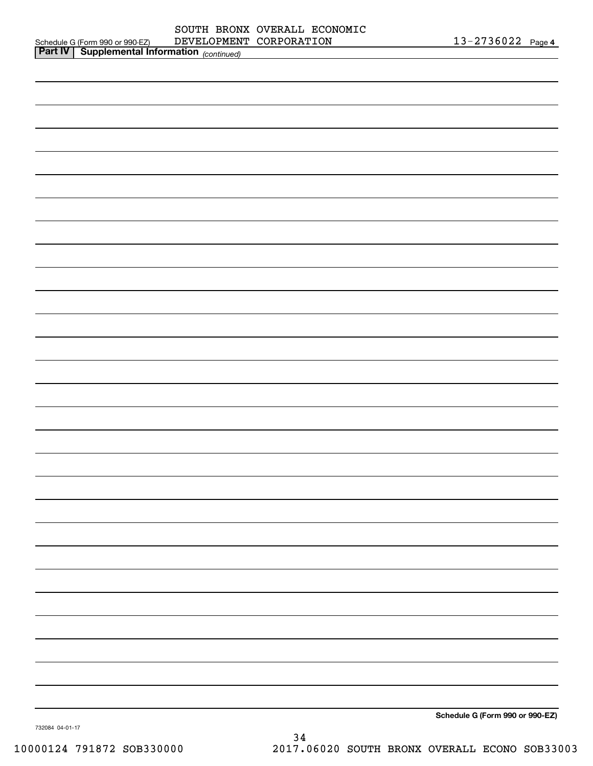|                                                                                                               | DEVELOPMENT CORPORATION | 13-2736022 Page 4               |  |
|---------------------------------------------------------------------------------------------------------------|-------------------------|---------------------------------|--|
| Schedule G (Form 990 or 990-EZ) DEVELOPMEN'<br><b>Part IV</b> Supplemental Information <sub>(continued)</sub> |                         |                                 |  |
|                                                                                                               |                         |                                 |  |
|                                                                                                               |                         |                                 |  |
|                                                                                                               |                         |                                 |  |
|                                                                                                               |                         |                                 |  |
|                                                                                                               |                         |                                 |  |
|                                                                                                               |                         |                                 |  |
|                                                                                                               |                         |                                 |  |
|                                                                                                               |                         |                                 |  |
|                                                                                                               |                         |                                 |  |
|                                                                                                               |                         |                                 |  |
|                                                                                                               |                         |                                 |  |
|                                                                                                               |                         |                                 |  |
|                                                                                                               |                         |                                 |  |
|                                                                                                               |                         |                                 |  |
|                                                                                                               |                         |                                 |  |
|                                                                                                               |                         |                                 |  |
|                                                                                                               |                         |                                 |  |
|                                                                                                               |                         |                                 |  |
|                                                                                                               |                         |                                 |  |
|                                                                                                               |                         |                                 |  |
|                                                                                                               |                         |                                 |  |
|                                                                                                               |                         |                                 |  |
|                                                                                                               |                         |                                 |  |
|                                                                                                               |                         |                                 |  |
|                                                                                                               |                         |                                 |  |
|                                                                                                               |                         |                                 |  |
|                                                                                                               |                         |                                 |  |
|                                                                                                               |                         |                                 |  |
|                                                                                                               |                         |                                 |  |
|                                                                                                               |                         |                                 |  |
|                                                                                                               |                         |                                 |  |
|                                                                                                               |                         |                                 |  |
|                                                                                                               |                         |                                 |  |
|                                                                                                               |                         |                                 |  |
|                                                                                                               |                         |                                 |  |
|                                                                                                               |                         |                                 |  |
|                                                                                                               |                         |                                 |  |
|                                                                                                               |                         |                                 |  |
|                                                                                                               |                         |                                 |  |
|                                                                                                               |                         |                                 |  |
|                                                                                                               |                         |                                 |  |
|                                                                                                               |                         |                                 |  |
|                                                                                                               |                         |                                 |  |
|                                                                                                               |                         |                                 |  |
|                                                                                                               |                         |                                 |  |
|                                                                                                               |                         |                                 |  |
|                                                                                                               |                         |                                 |  |
|                                                                                                               |                         |                                 |  |
|                                                                                                               |                         |                                 |  |
|                                                                                                               |                         |                                 |  |
|                                                                                                               |                         |                                 |  |
|                                                                                                               |                         |                                 |  |
|                                                                                                               |                         | Schedule G (Form 990 or 990-EZ) |  |

732084 04-01-17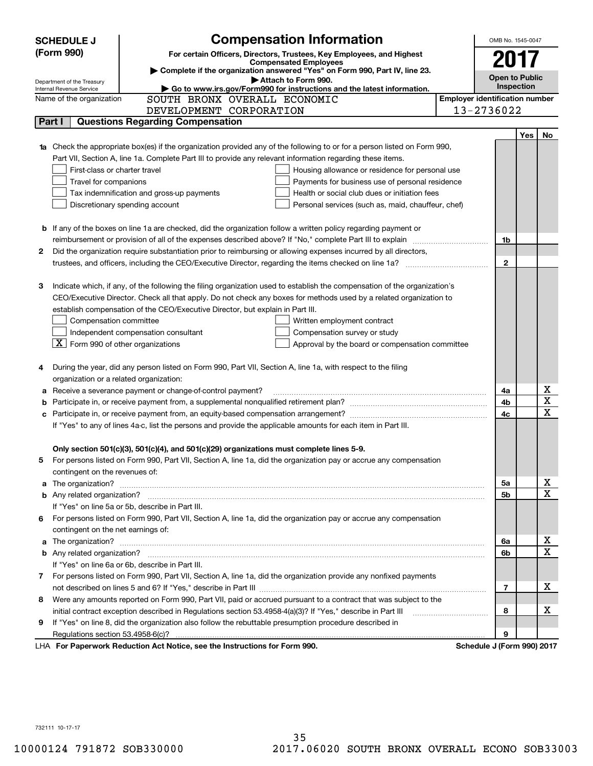| <b>SCHEDULE J</b>                                                                   | <b>Compensation Information</b>                                                                                                  |                                       | OMB No. 1545-0047          |     |                         |
|-------------------------------------------------------------------------------------|----------------------------------------------------------------------------------------------------------------------------------|---------------------------------------|----------------------------|-----|-------------------------|
| (Form 990)<br>For certain Officers, Directors, Trustees, Key Employees, and Highest |                                                                                                                                  |                                       |                            |     |                         |
| 201<br><b>Compensated Employees</b>                                                 |                                                                                                                                  |                                       |                            |     |                         |
|                                                                                     | Complete if the organization answered "Yes" on Form 990, Part IV, line 23.                                                       |                                       | <b>Open to Public</b>      |     |                         |
| Department of the Treasury<br>Internal Revenue Service                              | Attach to Form 990.<br>Go to www.irs.gov/Form990 for instructions and the latest information.                                    |                                       | Inspection                 |     |                         |
| Name of the organization                                                            | SOUTH BRONX OVERALL ECONOMIC                                                                                                     | <b>Employer identification number</b> |                            |     |                         |
|                                                                                     | DEVELOPMENT CORPORATION                                                                                                          |                                       | 13-2736022                 |     |                         |
| Part I                                                                              | <b>Questions Regarding Compensation</b>                                                                                          |                                       |                            |     |                         |
|                                                                                     |                                                                                                                                  |                                       |                            | Yes | No                      |
|                                                                                     | <b>1a</b> Check the appropriate box(es) if the organization provided any of the following to or for a person listed on Form 990, |                                       |                            |     |                         |
|                                                                                     | Part VII, Section A, line 1a. Complete Part III to provide any relevant information regarding these items.                       |                                       |                            |     |                         |
|                                                                                     | First-class or charter travel<br>Housing allowance or residence for personal use                                                 |                                       |                            |     |                         |
| Travel for companions                                                               | Payments for business use of personal residence                                                                                  |                                       |                            |     |                         |
|                                                                                     | Tax indemnification and gross-up payments<br>Health or social club dues or initiation fees                                       |                                       |                            |     |                         |
|                                                                                     | Discretionary spending account<br>Personal services (such as, maid, chauffeur, chef)                                             |                                       |                            |     |                         |
|                                                                                     |                                                                                                                                  |                                       |                            |     |                         |
|                                                                                     | <b>b</b> If any of the boxes on line 1a are checked, did the organization follow a written policy regarding payment or           |                                       |                            |     |                         |
|                                                                                     | reimbursement or provision of all of the expenses described above? If "No," complete Part III to explain                         |                                       | 1b                         |     |                         |
| 2                                                                                   | Did the organization require substantiation prior to reimbursing or allowing expenses incurred by all directors,                 |                                       |                            |     |                         |
|                                                                                     |                                                                                                                                  |                                       | $\overline{2}$             |     |                         |
|                                                                                     |                                                                                                                                  |                                       |                            |     |                         |
| З                                                                                   | Indicate which, if any, of the following the filing organization used to establish the compensation of the organization's        |                                       |                            |     |                         |
|                                                                                     | CEO/Executive Director. Check all that apply. Do not check any boxes for methods used by a related organization to               |                                       |                            |     |                         |
|                                                                                     | establish compensation of the CEO/Executive Director, but explain in Part III.                                                   |                                       |                            |     |                         |
|                                                                                     | Compensation committee<br>Written employment contract                                                                            |                                       |                            |     |                         |
|                                                                                     | Independent compensation consultant<br>Compensation survey or study                                                              |                                       |                            |     |                         |
|                                                                                     | $\lfloor$ X Form 990 of other organizations<br>Approval by the board or compensation committee                                   |                                       |                            |     |                         |
|                                                                                     |                                                                                                                                  |                                       |                            |     |                         |
|                                                                                     | During the year, did any person listed on Form 990, Part VII, Section A, line 1a, with respect to the filing                     |                                       |                            |     |                         |
|                                                                                     | organization or a related organization:                                                                                          |                                       |                            |     |                         |
|                                                                                     | a Receive a severance payment or change-of-control payment?                                                                      |                                       | 4a                         |     | х                       |
|                                                                                     |                                                                                                                                  |                                       | 4b                         |     | $\overline{\mathbf{x}}$ |
|                                                                                     |                                                                                                                                  |                                       | 4c                         |     | $\mathbf x$             |
|                                                                                     | If "Yes" to any of lines 4a-c, list the persons and provide the applicable amounts for each item in Part III.                    |                                       |                            |     |                         |
|                                                                                     |                                                                                                                                  |                                       |                            |     |                         |
|                                                                                     | Only section 501(c)(3), 501(c)(4), and 501(c)(29) organizations must complete lines 5-9.                                         |                                       |                            |     |                         |
| 5                                                                                   | For persons listed on Form 990, Part VII, Section A, line 1a, did the organization pay or accrue any compensation                |                                       |                            |     |                         |
| contingent on the revenues of:                                                      |                                                                                                                                  |                                       |                            |     |                         |
|                                                                                     | a The organization? <b>Manual Community Community</b> Community Community Community Community Community Community Community      |                                       | 5a                         |     | x                       |
|                                                                                     |                                                                                                                                  |                                       | 5b                         |     | $\overline{\mathbf{x}}$ |
|                                                                                     | If "Yes" on line 5a or 5b, describe in Part III.                                                                                 |                                       |                            |     |                         |
|                                                                                     | 6 For persons listed on Form 990, Part VII, Section A, line 1a, did the organization pay or accrue any compensation              |                                       |                            |     |                         |
|                                                                                     | contingent on the net earnings of:                                                                                               |                                       |                            |     |                         |
|                                                                                     |                                                                                                                                  |                                       | 6a                         |     | x                       |
|                                                                                     |                                                                                                                                  |                                       | 6b                         |     | $\mathbf X$             |
|                                                                                     | If "Yes" on line 6a or 6b, describe in Part III.                                                                                 |                                       |                            |     |                         |
|                                                                                     | 7 For persons listed on Form 990, Part VII, Section A, line 1a, did the organization provide any nonfixed payments               |                                       |                            |     |                         |
|                                                                                     |                                                                                                                                  |                                       | 7                          |     | x                       |
|                                                                                     | 8 Were any amounts reported on Form 990, Part VII, paid or accrued pursuant to a contract that was subject to the                |                                       |                            |     |                         |
|                                                                                     |                                                                                                                                  |                                       | 8                          |     | х                       |
| 9                                                                                   | If "Yes" on line 8, did the organization also follow the rebuttable presumption procedure described in                           |                                       |                            |     |                         |
|                                                                                     |                                                                                                                                  |                                       | 9                          |     |                         |
|                                                                                     | LHA For Paperwork Reduction Act Notice, see the Instructions for Form 990.                                                       |                                       | Schedule J (Form 990) 2017 |     |                         |

732111 10-17-17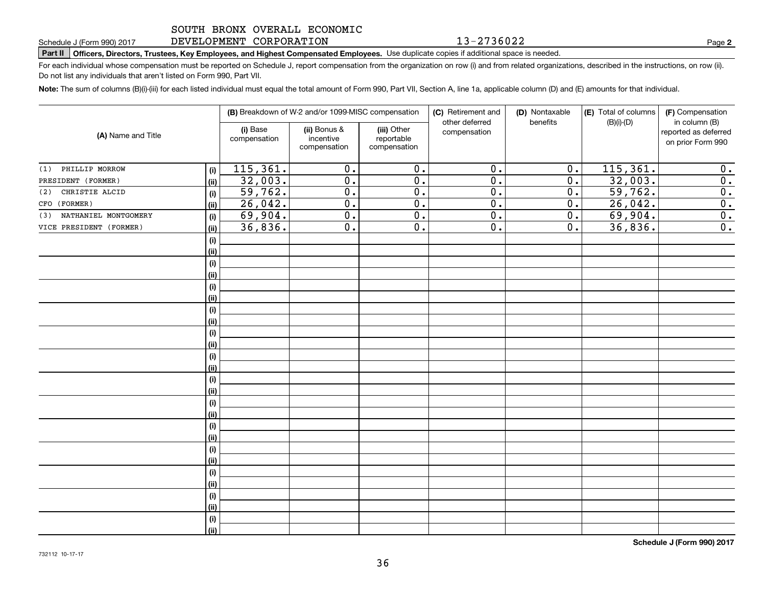### DEVELOPMENT CORPORATION 13-2736022

**Part II Officers, Directors, Trustees, Key Employees, and Highest Compensated Employees.**  Schedule J (Form 990) 2017 Page Use duplicate copies if additional space is needed.

For each individual whose compensation must be reported on Schedule J, report compensation from the organization on row (i) and from related organizations, described in the instructions, on row (ii). Do not list any individuals that aren't listed on Form 990, Part VII.

**Note:**  The sum of columns (B)(i)-(iii) for each listed individual must equal the total amount of Form 990, Part VII, Section A, line 1a, applicable column (D) and (E) amounts for that individual.

| (A) Name and Title          |      | (B) Breakdown of W-2 and/or 1099-MISC compensation |                                           |                                           | (C) Retirement and<br>other deferred | (D) Nontaxable<br>benefits | (E) Total of columns<br>$(B)(i)-(D)$ | (F) Compensation<br>in column (B)         |  |
|-----------------------------|------|----------------------------------------------------|-------------------------------------------|-------------------------------------------|--------------------------------------|----------------------------|--------------------------------------|-------------------------------------------|--|
|                             |      | (i) Base<br>compensation                           | (ii) Bonus &<br>incentive<br>compensation | (iii) Other<br>reportable<br>compensation | compensation                         |                            |                                      | reported as deferred<br>on prior Form 990 |  |
| PHILLIP MORROW<br>(1)       | (i)  | 115, 361.                                          | $\overline{0}$ .                          | $\overline{0}$ .                          | $\overline{0}$ .                     | $\overline{0}$ .           | 115, 361.                            | 0.                                        |  |
| PRESIDENT (FORMER)          | (ii) | 32,003.                                            | $\overline{0}$ .                          | $\overline{0}$ .                          | $\overline{0}$ .                     | $\overline{0}$ .           | 32,003.                              | $\overline{0}$ .                          |  |
| CHRISTIE ALCID<br>(2)       | (i)  | 59,762.                                            | $\overline{0}$ .                          | $\overline{0}$ .                          | $\overline{0}$ .                     | $\overline{0}$ .           | 59,762.                              | $\overline{\mathbf{0}}$ .                 |  |
| CFO (FORMER)                | (ii) | 26,042.                                            | $\overline{0}$ .                          | $\overline{0}$ .                          | $\overline{0}$ .                     | $\overline{0}$ .           | 26,042.                              | $\overline{0}$ .                          |  |
| NATHANIEL MONTGOMERY<br>(3) | (i)  | 69,904.                                            | $\overline{0}$ .                          | $\overline{0}$ .                          | $\overline{0}$ .                     | $\overline{0}$ .           | 69,904.                              | $\overline{0}$ .                          |  |
| VICE PRESIDENT (FORMER)     | (ii) | 36,836.                                            | $\overline{0}$ .                          | $\overline{0}$ .                          | $\overline{0}$ .                     | $\overline{0}$ .           | 36,836.                              | $\overline{0}$ .                          |  |
|                             | (i)  |                                                    |                                           |                                           |                                      |                            |                                      |                                           |  |
|                             | (ii) |                                                    |                                           |                                           |                                      |                            |                                      |                                           |  |
|                             | (i)  |                                                    |                                           |                                           |                                      |                            |                                      |                                           |  |
|                             | (ii) |                                                    |                                           |                                           |                                      |                            |                                      |                                           |  |
|                             | (i)  |                                                    |                                           |                                           |                                      |                            |                                      |                                           |  |
|                             | (ii) |                                                    |                                           |                                           |                                      |                            |                                      |                                           |  |
|                             | (i)  |                                                    |                                           |                                           |                                      |                            |                                      |                                           |  |
|                             | (ii) |                                                    |                                           |                                           |                                      |                            |                                      |                                           |  |
|                             | (i)  |                                                    |                                           |                                           |                                      |                            |                                      |                                           |  |
|                             | (ii) |                                                    |                                           |                                           |                                      |                            |                                      |                                           |  |
|                             | (i)  |                                                    |                                           |                                           |                                      |                            |                                      |                                           |  |
|                             | (ii) |                                                    |                                           |                                           |                                      |                            |                                      |                                           |  |
|                             | (i)  |                                                    |                                           |                                           |                                      |                            |                                      |                                           |  |
|                             | (ii) |                                                    |                                           |                                           |                                      |                            |                                      |                                           |  |
|                             | (i)  |                                                    |                                           |                                           |                                      |                            |                                      |                                           |  |
|                             | (ii) |                                                    |                                           |                                           |                                      |                            |                                      |                                           |  |
|                             | (i)  |                                                    |                                           |                                           |                                      |                            |                                      |                                           |  |
|                             | (ii) |                                                    |                                           |                                           |                                      |                            |                                      |                                           |  |
|                             | (i)  |                                                    |                                           |                                           |                                      |                            |                                      |                                           |  |
|                             | (ii) |                                                    |                                           |                                           |                                      |                            |                                      |                                           |  |
|                             | (i)  |                                                    |                                           |                                           |                                      |                            |                                      |                                           |  |
|                             | (ii) |                                                    |                                           |                                           |                                      |                            |                                      |                                           |  |
|                             | (i)  |                                                    |                                           |                                           |                                      |                            |                                      |                                           |  |
|                             | (ii) |                                                    |                                           |                                           |                                      |                            |                                      |                                           |  |
|                             | (i)  |                                                    |                                           |                                           |                                      |                            |                                      |                                           |  |
|                             | (ii) |                                                    |                                           |                                           |                                      |                            |                                      |                                           |  |
|                             |      |                                                    |                                           |                                           |                                      |                            |                                      |                                           |  |

**Schedule J (Form 990) 2017**

**2**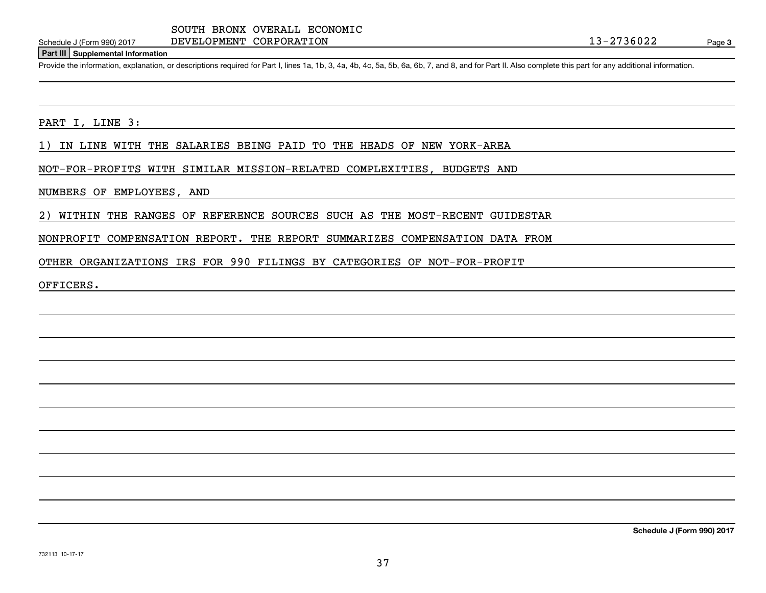DEVELOPMENT CORPORATION

### **Part III Supplemental Information**

Schedule J (Form 990) 2017 DEVELOPMENT CORPORATION<br>Part III Supplemental Information<br>Provide the information, explanation, or descriptions required for Part I, lines 1a, 1b, 3, 4a, 4b, 4c, 5a, 5b, 6a, 6b, 7, and 8, and for

PART I, LINE 3:

1) IN LINE WITH THE SALARIES BEING PAID TO THE HEADS OF NEW YORK-AREA

NOT-FOR-PROFITS WITH SIMILAR MISSION-RELATED COMPLEXITIES, BUDGETS AND

NUMBERS OF EMPLOYEES, AND

2) WITHIN THE RANGES OF REFERENCE SOURCES SUCH AS THE MOST-RECENT GUIDESTAR

NONPROFIT COMPENSATION REPORT. THE REPORT SUMMARIZES COMPENSATION DATA FROM

OTHER ORGANIZATIONS IRS FOR 990 FILINGS BY CATEGORIES OF NOT-FOR-PROFIT

OFFICERS.

**Schedule J (Form 990) 2017**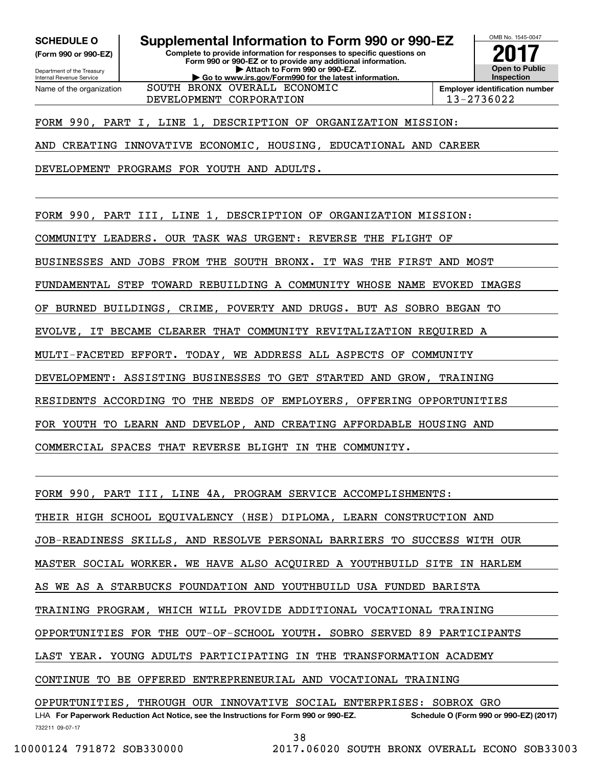**(Form 990 or 990-EZ)**

**Complete to provide information for responses to specific questions on Form 990 or 990-EZ or to provide any additional information. | Attach to Form 990 or 990-EZ. | Go to www.irs.gov/Form990 for the latest information. SCHEDULE O Supplemental Information to Form 990 or 990-EZ**

**Open to Public InspectionEmployer identification number 2017**

OMB No. 1545-0047

Department of the Treasury Internal Revenue Service Name of the organization DEVELOPMENT CORPORATION 13-2736022 SOUTH BRONX OVERALL ECONOMIC

# FORM 990, PART I, LINE 1, DESCRIPTION OF ORGANIZATION MISSION:

AND CREATING INNOVATIVE ECONOMIC, HOUSING, EDUCATIONAL AND CAREER

DEVELOPMENT PROGRAMS FOR YOUTH AND ADULTS.

FORM 990, PART III, LINE 1, DESCRIPTION OF ORGANIZATION MISSION:

COMMUNITY LEADERS. OUR TASK WAS URGENT: REVERSE THE FLIGHT OF

BUSINESSES AND JOBS FROM THE SOUTH BRONX. IT WAS THE FIRST AND MOST

FUNDAMENTAL STEP TOWARD REBUILDING A COMMUNITY WHOSE NAME EVOKED IMAGES

OF BURNED BUILDINGS, CRIME, POVERTY AND DRUGS. BUT AS SOBRO BEGAN TO

EVOLVE, IT BECAME CLEARER THAT COMMUNITY REVITALIZATION REQUIRED A

MULTI-FACETED EFFORT. TODAY, WE ADDRESS ALL ASPECTS OF COMMUNITY

DEVELOPMENT: ASSISTING BUSINESSES TO GET STARTED AND GROW, TRAINING

RESIDENTS ACCORDING TO THE NEEDS OF EMPLOYERS, OFFERING OPPORTUNITIES

FOR YOUTH TO LEARN AND DEVELOP, AND CREATING AFFORDABLE HOUSING AND

COMMERCIAL SPACES THAT REVERSE BLIGHT IN THE COMMUNITY.

FORM 990, PART III, LINE 4A, PROGRAM SERVICE ACCOMPLISHMENTS: THEIR HIGH SCHOOL EQUIVALENCY (HSE) DIPLOMA, LEARN CONSTRUCTION AND JOB-READINESS SKILLS, AND RESOLVE PERSONAL BARRIERS TO SUCCESS WITH OUR MASTER SOCIAL WORKER. WE HAVE ALSO ACQUIRED A YOUTHBUILD SITE IN HARLEM AS WE AS A STARBUCKS FOUNDATION AND YOUTHBUILD USA FUNDED BARISTA TRAINING PROGRAM, WHICH WILL PROVIDE ADDITIONAL VOCATIONAL TRAINING OPPORTUNITIES FOR THE OUT-OF-SCHOOL YOUTH. SOBRO SERVED 89 PARTICIPANTS LAST YEAR. YOUNG ADULTS PARTICIPATING IN THE TRANSFORMATION ACADEMY CONTINUE TO BE OFFERED ENTREPRENEURIAL AND VOCATIONAL TRAINING OPPURTUNITIES, THROUGH OUR INNOVATIVE SOCIAL ENTERPRISES: SOBROX GRO

732211 09-07-17 LHA For Paperwork Reduction Act Notice, see the Instructions for Form 990 or 990-EZ. Schedule O (Form 990 or 990-EZ) (2017)

38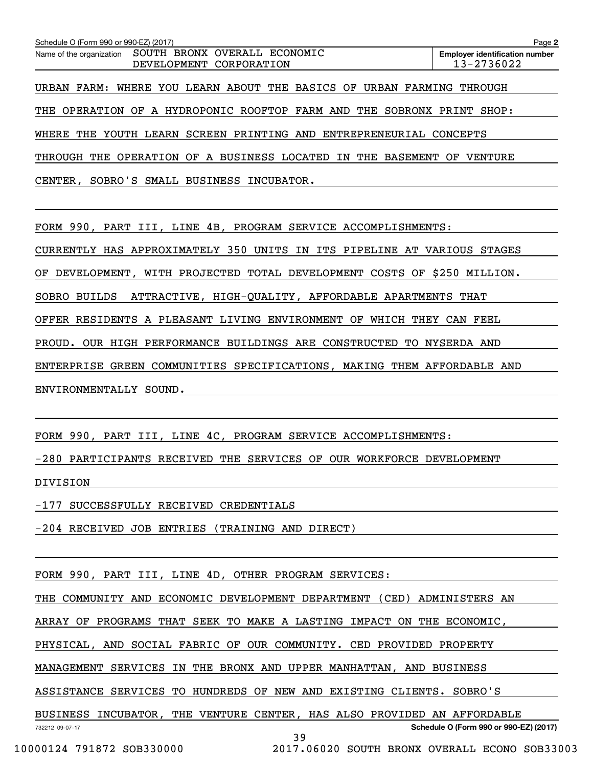| Schedule O (Form 990 or 990-EZ) (2017)                                              | Page 2                                              |
|-------------------------------------------------------------------------------------|-----------------------------------------------------|
| SOUTH BRONX OVERALL ECONOMIC<br>Name of the organization<br>DEVELOPMENT CORPORATION | <b>Employer identification number</b><br>13-2736022 |
| URBAN FARM: WHERE YOU LEARN ABOUT THE BASICS OF URBAN FARMING                       | THROUGH                                             |
| THE OPERATION OF A HYDROPONIC ROOFTOP FARM AND<br>THE<br>SOBRONX                    | PRINT<br>SHOP:                                      |
| WHERE THE YOUTH LEARN SCREEN PRINTING AND ENTREPRENEURIAL CONCEPTS                  |                                                     |
| THROUGH THE OPERATION OF A BUSINESS LOCATED IN THE BASEMENT OF                      | VENTURE                                             |
| CENTER, SOBRO'S SMALL BUSINESS INCUBATOR.                                           |                                                     |

FORM 990, PART III, LINE 4B, PROGRAM SERVICE ACCOMPLISHMENTS:

CURRENTLY HAS APPROXIMATELY 350 UNITS IN ITS PIPELINE AT VARIOUS STAGES

OF DEVELOPMENT, WITH PROJECTED TOTAL DEVELOPMENT COSTS OF \$250 MILLION.

SOBRO BUILDS ATTRACTIVE, HIGH-QUALITY, AFFORDABLE APARTMENTS THAT

OFFER RESIDENTS A PLEASANT LIVING ENVIRONMENT OF WHICH THEY CAN FEEL

PROUD. OUR HIGH PERFORMANCE BUILDINGS ARE CONSTRUCTED TO NYSERDA AND

ENTERPRISE GREEN COMMUNITIES SPECIFICATIONS, MAKING THEM AFFORDABLE AND

ENVIRONMENTALLY SOUND.

FORM 990, PART III, LINE 4C, PROGRAM SERVICE ACCOMPLISHMENTS:

-280 PARTICIPANTS RECEIVED THE SERVICES OF OUR WORKFORCE DEVELOPMENT

DIVISION

-177 SUCCESSFULLY RECEIVED CREDENTIALS

-204 RECEIVED JOB ENTRIES (TRAINING AND DIRECT)

FORM 990, PART III, LINE 4D, OTHER PROGRAM SERVICES:

THE COMMUNITY AND ECONOMIC DEVELOPMENT DEPARTMENT (CED) ADMINISTERS AN

ARRAY OF PROGRAMS THAT SEEK TO MAKE A LASTING IMPACT ON THE ECONOMIC,

PHYSICAL, AND SOCIAL FABRIC OF OUR COMMUNITY. CED PROVIDED PROPERTY

MANAGEMENT SERVICES IN THE BRONX AND UPPER MANHATTAN, AND BUSINESS

ASSISTANCE SERVICES TO HUNDREDS OF NEW AND EXISTING CLIENTS. SOBRO'S

BUSINESS INCUBATOR, THE VENTURE CENTER, HAS ALSO PROVIDED AN AFFORDABLE

**Schedule O (Form 990 or 990-EZ) (2017)**

732212 09-07-17

39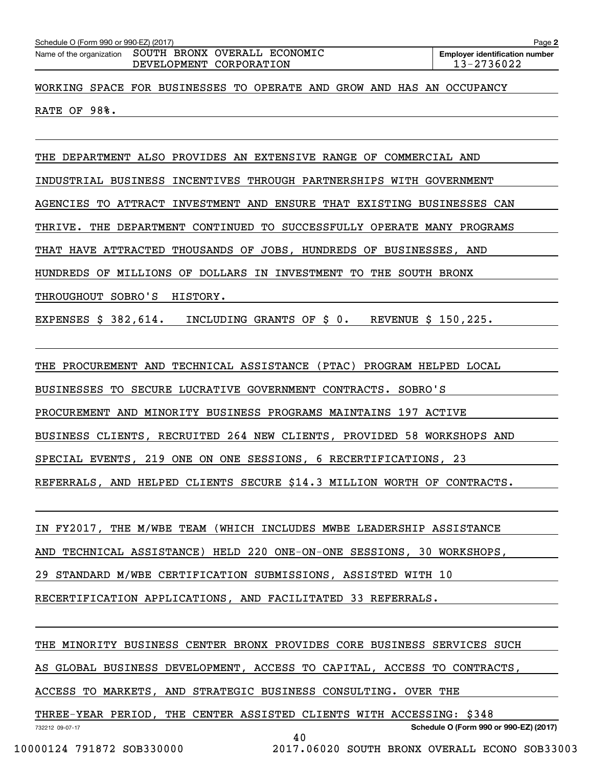| Schedule O (Form 990 or 990-EZ) (2017)<br>Name of the organization | SOUTH BRONX OVERALL ECONOMIC<br>DEVELOPMENT CORPORATION               | Page 2<br><b>Employer identification number</b><br>13-2736022 |
|--------------------------------------------------------------------|-----------------------------------------------------------------------|---------------------------------------------------------------|
|                                                                    | WORKING SPACE FOR BUSINESSES TO OPERATE AND GROW AND HAS AN OCCUPANCY |                                                               |
| RATE OF 98%.                                                       |                                                                       |                                                               |
|                                                                    |                                                                       |                                                               |

INDUSTRIAL BUSINESS INCENTIVES THROUGH PARTNERSHIPS WITH GOVERNMENT AGENCIES TO ATTRACT INVESTMENT AND ENSURE THAT EXISTING BUSINESSES CAN THRIVE. THE DEPARTMENT CONTINUED TO SUCCESSFULLY OPERATE MANY PROGRAMS THAT HAVE ATTRACTED THOUSANDS OF JOBS, HUNDREDS OF BUSINESSES, AND HUNDREDS OF MILLIONS OF DOLLARS IN INVESTMENT TO THE SOUTH BRONX THROUGHOUT SOBRO'S HISTORY.

EXPENSES \$ 382,614. INCLUDING GRANTS OF \$ 0. REVENUE \$ 150,225.

THE PROCUREMENT AND TECHNICAL ASSISTANCE (PTAC) PROGRAM HELPED LOCAL

BUSINESSES TO SECURE LUCRATIVE GOVERNMENT CONTRACTS. SOBRO'S

PROCUREMENT AND MINORITY BUSINESS PROGRAMS MAINTAINS 197 ACTIVE

BUSINESS CLIENTS, RECRUITED 264 NEW CLIENTS, PROVIDED 58 WORKSHOPS AND

SPECIAL EVENTS, 219 ONE ON ONE SESSIONS, 6 RECERTIFICATIONS, 23

REFERRALS, AND HELPED CLIENTS SECURE \$14.3 MILLION WORTH OF CONTRACTS.

IN FY2017, THE M/WBE TEAM (WHICH INCLUDES MWBE LEADERSHIP ASSISTANCE

AND TECHNICAL ASSISTANCE) HELD 220 ONE-ON-ONE SESSIONS, 30 WORKSHOPS,

29 STANDARD M/WBE CERTIFICATION SUBMISSIONS, ASSISTED WITH 10

RECERTIFICATION APPLICATIONS, AND FACILITATED 33 REFERRALS.

THE MINORITY BUSINESS CENTER BRONX PROVIDES CORE BUSINESS SERVICES SUCH

AS GLOBAL BUSINESS DEVELOPMENT, ACCESS TO CAPITAL, ACCESS TO CONTRACTS,

ACCESS TO MARKETS, AND STRATEGIC BUSINESS CONSULTING. OVER THE

732212 09-07-17 **Schedule O (Form 990 or 990-EZ) (2017)** THREE-YEAR PERIOD, THE CENTER ASSISTED CLIENTS WITH ACCESSING: \$348 40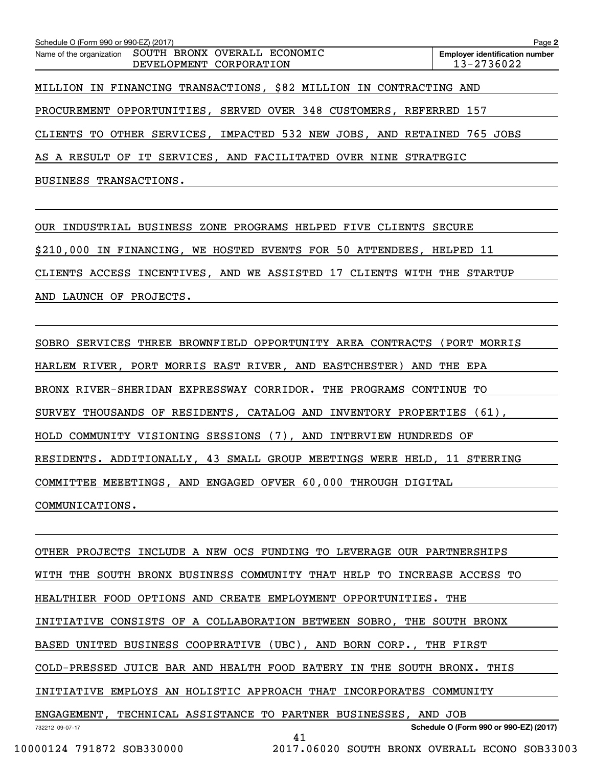| Schedule O (Form 990 or 990-EZ) (2017)<br>Page 2                        |  |  |  |  |  |            |                                       |  |  |  |
|-------------------------------------------------------------------------|--|--|--|--|--|------------|---------------------------------------|--|--|--|
| Name of the organization SOUTH BRONX OVERALL ECONOMIC                   |  |  |  |  |  |            | <b>Employer identification number</b> |  |  |  |
| DEVELOPMENT CORPORATION                                                 |  |  |  |  |  | 13-2736022 |                                       |  |  |  |
|                                                                         |  |  |  |  |  |            |                                       |  |  |  |
| MILLION IN FINANCING TRANSACTIONS, \$82 MILLION IN CONTRACTING AND      |  |  |  |  |  |            |                                       |  |  |  |
|                                                                         |  |  |  |  |  |            |                                       |  |  |  |
| PROCUREMENT OPPORTUNITIES, SERVED OVER 348 CUSTOMERS, REFERRED 157      |  |  |  |  |  |            |                                       |  |  |  |
|                                                                         |  |  |  |  |  |            |                                       |  |  |  |
| CLIENTS TO OTHER SERVICES, IMPACTED 532 NEW JOBS, AND RETAINED 765 JOBS |  |  |  |  |  |            |                                       |  |  |  |
|                                                                         |  |  |  |  |  |            |                                       |  |  |  |
| AS A RESULT OF IT SERVICES, AND FACILITATED OVER NINE STRATEGIC         |  |  |  |  |  |            |                                       |  |  |  |
|                                                                         |  |  |  |  |  |            |                                       |  |  |  |
| BUSINESS TRANSACTIONS.                                                  |  |  |  |  |  |            |                                       |  |  |  |

OUR INDUSTRIAL BUSINESS ZONE PROGRAMS HELPED FIVE CLIENTS SECURE \$210,000 IN FINANCING, WE HOSTED EVENTS FOR 50 ATTENDEES, HELPED 11 CLIENTS ACCESS INCENTIVES, AND WE ASSISTED 17 CLIENTS WITH THE STARTUP AND LAUNCH OF PROJECTS.

SOBRO SERVICES THREE BROWNFIELD OPPORTUNITY AREA CONTRACTS (PORT MORRIS HARLEM RIVER, PORT MORRIS EAST RIVER, AND EASTCHESTER) AND THE EPA BRONX RIVER-SHERIDAN EXPRESSWAY CORRIDOR. THE PROGRAMS CONTINUE TO SURVEY THOUSANDS OF RESIDENTS, CATALOG AND INVENTORY PROPERTIES (61), HOLD COMMUNITY VISIONING SESSIONS (7), AND INTERVIEW HUNDREDS OF RESIDENTS. ADDITIONALLY, 43 SMALL GROUP MEETINGS WERE HELD, 11 STEERING COMMITTEE MEEETINGS, AND ENGAGED OFVER 60,000 THROUGH DIGITAL COMMUNICATIONS.

732212 09-07-17 **Schedule O (Form 990 or 990-EZ) (2017)** OTHER PROJECTS INCLUDE A NEW OCS FUNDING TO LEVERAGE OUR PARTNERSHIPS WITH THE SOUTH BRONX BUSINESS COMMUNITY THAT HELP TO INCREASE ACCESS TO HEALTHIER FOOD OPTIONS AND CREATE EMPLOYMENT OPPORTUNITIES. THE INITIATIVE CONSISTS OF A COLLABORATION BETWEEN SOBRO, THE SOUTH BRONX BASED UNITED BUSINESS COOPERATIVE (UBC), AND BORN CORP., THE FIRST COLD-PRESSED JUICE BAR AND HEALTH FOOD EATERY IN THE SOUTH BRONX. THIS INITIATIVE EMPLOYS AN HOLISTIC APPROACH THAT INCORPORATES COMMUNITY ENGAGEMENT, TECHNICAL ASSISTANCE TO PARTNER BUSINESSES, AND JOB 41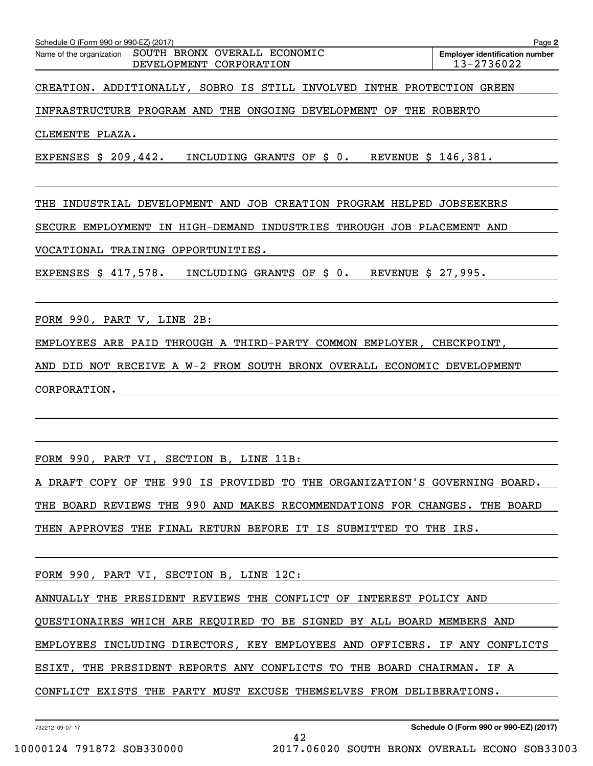| Schedule O (Form 990 or 990-EZ) (2017)                                                        | Page 2                                              |
|-----------------------------------------------------------------------------------------------|-----------------------------------------------------|
| SOUTH BRONX OVERALL ECONOMIC<br>Name of the organization<br><b>DEVELOPMENT</b><br>CORPORATION | <b>Employer identification number</b><br>13-2736022 |
| CREATION. ADDITIONALLY, SOBRO IS STILL INVOLVED INTHE PROTECTION                              | GREEN                                               |
| PROGRAM AND<br>THE<br>ONGOING<br>DEVELOPMENT<br>INFRASTRUCTURE<br>OF<br>THE                   | ROBERTO                                             |
| CLEMENTE PLAZA.                                                                               |                                                     |
| EXPENSES \$ 209,442.<br>INCLUDING GRANTS OF \$0.<br>REVENUE \$ 146,381.                       |                                                     |
| JOB<br>CREATION<br>INDUSTRIAL DEVELOPMENT AND<br>PROGRAM HELPED<br>THE                        | <b>JOBSEEKERS</b>                                   |
| IN HIGH-DEMAND INDUSTRIES THROUGH JOB PLACEMENT<br>EMPLOYMENT<br>SECURE                       | AND                                                 |
| TRAINING OPPORTUNITIES.<br>VOCATIONAL                                                         |                                                     |
| EXPENSES $$417,578.$<br>INCLUDING GRANTS OF \$ 0.<br><b>REVENUE</b><br>\$_                    | 27,995.                                             |

FORM 990, PART V, LINE 2B:

EMPLOYEES ARE PAID THROUGH A THIRD-PARTY COMMON EMPLOYER, CHECKPOINT,

AND DID NOT RECEIVE A W-2 FROM SOUTH BRONX OVERALL ECONOMIC DEVELOPMENT CORPORATION.

FORM 990, PART VI, SECTION B, LINE 11B:

A DRAFT COPY OF THE 990 IS PROVIDED TO THE ORGANIZATION'S GOVERNING BOARD. THE BOARD REVIEWS THE 990 AND MAKES RECOMMENDATIONS FOR CHANGES. THE BOARD THEN APPROVES THE FINAL RETURN BEFORE IT IS SUBMITTED TO THE IRS.

FORM 990, PART VI, SECTION B, LINE 12C:

ANNUALLY THE PRESIDENT REVIEWS THE CONFLICT OF INTEREST POLICY AND

QUESTIONAIRES WHICH ARE REQUIRED TO BE SIGNED BY ALL BOARD MEMBERS AND

EMPLOYEES INCLUDING DIRECTORS, KEY EMPLOYEES AND OFFICERS. IF ANY CONFLICTS

42

ESIXT, THE PRESIDENT REPORTS ANY CONFLICTS TO THE BOARD CHAIRMAN. IF A

CONFLICT EXISTS THE PARTY MUST EXCUSE THEMSELVES FROM DELIBERATIONS.

732212 09-07-17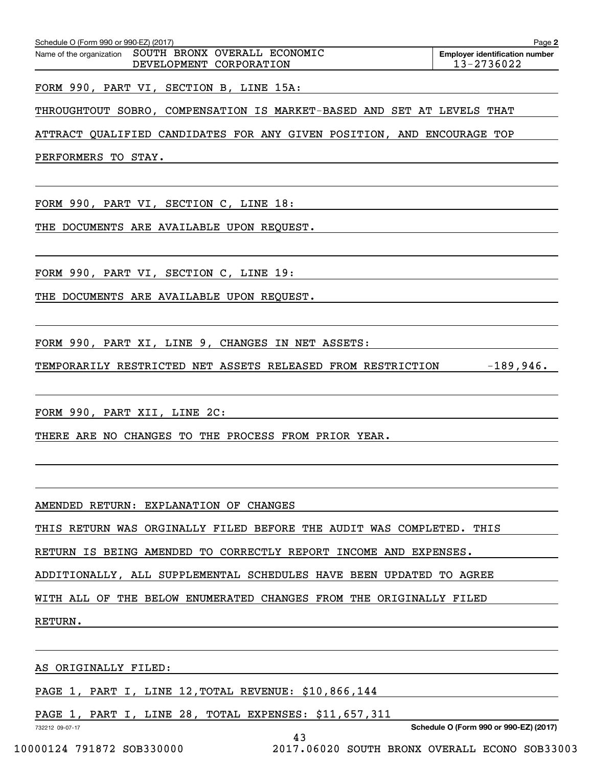| Schedule O (Form 990 or 990-EZ) (2017)                                           | Page 2                                              |
|----------------------------------------------------------------------------------|-----------------------------------------------------|
| Name of the organization SOUTH BRONX OVERALL ECONOMIC<br>DEVELOPMENT CORPORATION | <b>Employer identification number</b><br>13-2736022 |
| FORM 990, PART VI, SECTION B, LINE 15A:                                          |                                                     |
| THROUGHTOUT SOBRO, COMPENSATION IS MARKET-BASED AND SET AT LEVELS THAT           |                                                     |
| ATTRACT QUALIFIED CANDIDATES FOR ANY GIVEN POSITION, AND ENCOURAGE TOP           |                                                     |
| PERFORMERS TO STAY.                                                              |                                                     |
|                                                                                  |                                                     |
| FORM 990, PART VI, SECTION C, LINE 18:                                           |                                                     |
| THE DOCUMENTS ARE AVAILABLE UPON REQUEST.                                        |                                                     |
|                                                                                  |                                                     |
| FORM 990, PART VI, SECTION C, LINE 19:                                           |                                                     |
| THE DOCUMENTS ARE AVAILABLE UPON REQUEST.                                        |                                                     |
|                                                                                  |                                                     |
| FORM 990, PART XI, LINE 9, CHANGES IN NET ASSETS:                                |                                                     |
| TEMPORARILY RESTRICTED NET ASSETS RELEASED FROM RESTRICTION $-189,946$ .         |                                                     |
|                                                                                  |                                                     |
| FORM 990, PART XII, LINE 2C:                                                     |                                                     |
| THERE ARE NO CHANGES TO THE PROCESS FROM PRIOR YEAR.                             |                                                     |
|                                                                                  |                                                     |
|                                                                                  |                                                     |
| AMENDED RETURN: EXPLANATION OF CHANGES                                           |                                                     |
| THIS RETURN WAS ORGINALLY FILED BEFORE THE AUDIT WAS COMPLETED. THIS             |                                                     |
| RETURN IS BEING AMENDED TO CORRECTLY REPORT INCOME AND EXPENSES.                 |                                                     |
| ADDITIONALLY, ALL SUPPLEMENTAL SCHEDULES HAVE BEEN UPDATED TO AGREE              |                                                     |
| WITH ALL OF THE BELOW ENUMERATED CHANGES FROM THE ORIGINALLY FILED               |                                                     |
| RETURN.                                                                          |                                                     |
|                                                                                  |                                                     |
| AS ORIGINALLY FILED:                                                             |                                                     |
| PAGE 1, PART I, LINE 12, TOTAL REVENUE: \$10,866,144                             |                                                     |
| PAGE 1, PART I, LINE 28, TOTAL EXPENSES: \$11,657,311                            |                                                     |
| 732212 09-07-17<br>43                                                            | Schedule O (Form 990 or 990-EZ) (2017)              |

 <sup>10000124 791872</sup> SOB330000 2017.06020 SOUTH BRONX OVERALL ECONO SOB33003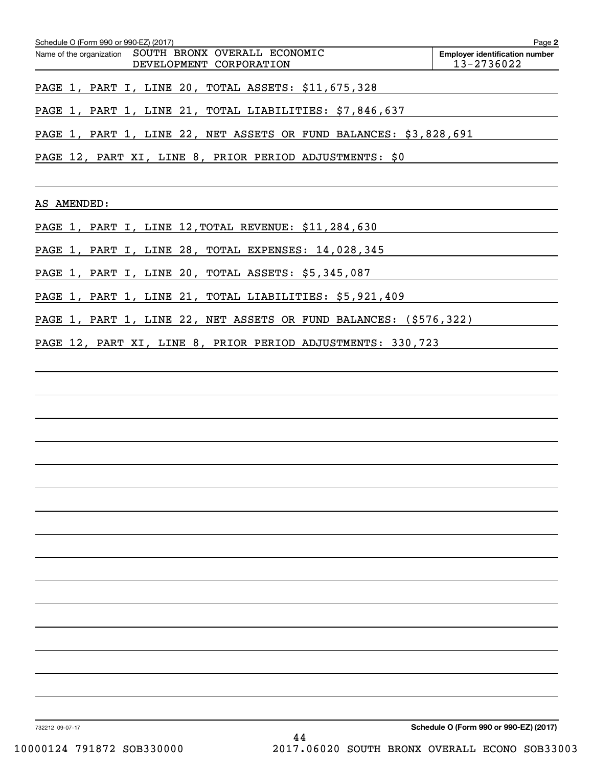|                 | Schedule O (Form 990 or 990-EZ) (2017) |                         | Name of the organization SOUTH BRONX OVERALL ECONOMIC |  | Page 2<br><b>Employer identification number</b>                   |
|-----------------|----------------------------------------|-------------------------|-------------------------------------------------------|--|-------------------------------------------------------------------|
|                 |                                        | DEVELOPMENT CORPORATION |                                                       |  | 13-2736022                                                        |
|                 |                                        |                         |                                                       |  | PAGE 1, PART I, LINE 20, TOTAL ASSETS: \$11,675,328               |
|                 |                                        |                         |                                                       |  | PAGE 1, PART 1, LINE 21, TOTAL LIABILITIES: \$7,846,637           |
|                 |                                        |                         |                                                       |  | PAGE 1, PART 1, LINE 22, NET ASSETS OR FUND BALANCES: \$3,828,691 |
|                 |                                        |                         |                                                       |  | PAGE 12, PART XI, LINE 8, PRIOR PERIOD ADJUSTMENTS: \$0           |
|                 |                                        |                         | AS AMENDED:                                           |  |                                                                   |
|                 |                                        |                         |                                                       |  | PAGE 1, PART I, LINE 12, TOTAL REVENUE: \$11, 284, 630            |
|                 |                                        |                         |                                                       |  | PAGE 1, PART I, LINE 28, TOTAL EXPENSES: 14, 028, 345             |
|                 |                                        |                         |                                                       |  | PAGE 1, PART I, LINE 20, TOTAL ASSETS: \$5,345,087                |
|                 |                                        |                         |                                                       |  | PAGE 1, PART 1, LINE 21, TOTAL LIABILITIES: \$5,921,409           |
|                 |                                        |                         |                                                       |  | PAGE 1, PART 1, LINE 22, NET ASSETS OR FUND BALANCES: (\$576,322) |
|                 |                                        |                         |                                                       |  | PAGE 12, PART XI, LINE 8, PRIOR PERIOD ADJUSTMENTS: 330,723       |
|                 |                                        |                         |                                                       |  |                                                                   |
|                 |                                        |                         |                                                       |  |                                                                   |
|                 |                                        |                         |                                                       |  |                                                                   |
|                 |                                        |                         |                                                       |  |                                                                   |
|                 |                                        |                         |                                                       |  |                                                                   |
|                 |                                        |                         |                                                       |  |                                                                   |
|                 |                                        |                         |                                                       |  |                                                                   |
|                 |                                        |                         |                                                       |  |                                                                   |
|                 |                                        |                         |                                                       |  |                                                                   |
|                 |                                        |                         |                                                       |  |                                                                   |
|                 |                                        |                         |                                                       |  |                                                                   |
|                 |                                        |                         |                                                       |  |                                                                   |
|                 |                                        |                         |                                                       |  |                                                                   |
|                 |                                        |                         |                                                       |  |                                                                   |
|                 |                                        |                         |                                                       |  |                                                                   |
|                 |                                        |                         |                                                       |  |                                                                   |
| 732212 09-07-17 |                                        |                         |                                                       |  | Schedule O (Form 990 or 990-EZ) (2017)                            |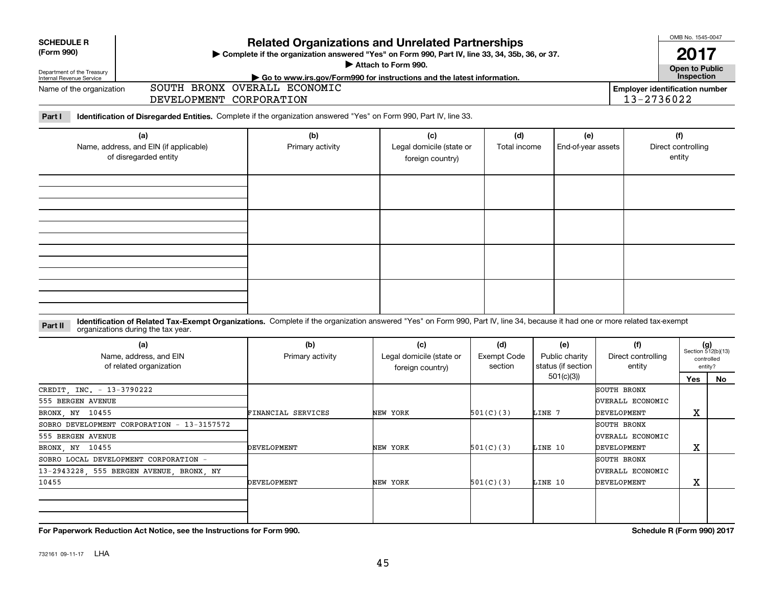| <b>Related Organizations and Unrelated Partnerships</b><br><b>SCHEDULE R</b><br>(Form 990)<br>> Complete if the organization answered "Yes" on Form 990, Part IV, line 33, 34, 35b, 36, or 37.<br>Attach to Form 990.<br>Department of the Treasury |                                                                                                                                                                                                                    |                              |                                                                                         |                                      |                                             |                                                     |                                     |                                                      |  |  |
|-----------------------------------------------------------------------------------------------------------------------------------------------------------------------------------------------------------------------------------------------------|--------------------------------------------------------------------------------------------------------------------------------------------------------------------------------------------------------------------|------------------------------|-----------------------------------------------------------------------------------------|--------------------------------------|---------------------------------------------|-----------------------------------------------------|-------------------------------------|------------------------------------------------------|--|--|
| Internal Revenue Service                                                                                                                                                                                                                            |                                                                                                                                                                                                                    |                              | $\triangleright$ Go to www.irs.gov/Form990 for instructions and the latest information. |                                      |                                             |                                                     | <b>Open to Public</b><br>Inspection |                                                      |  |  |
| Name of the organization                                                                                                                                                                                                                            | DEVELOPMENT CORPORATION                                                                                                                                                                                            | SOUTH BRONX OVERALL ECONOMIC |                                                                                         |                                      |                                             | <b>Employer identification number</b><br>13-2736022 |                                     |                                                      |  |  |
| Part I                                                                                                                                                                                                                                              | Identification of Disregarded Entities. Complete if the organization answered "Yes" on Form 990, Part IV, line 33.                                                                                                 |                              |                                                                                         |                                      |                                             |                                                     |                                     |                                                      |  |  |
| (a)<br>Name, address, and EIN (if applicable)<br>of disregarded entity                                                                                                                                                                              |                                                                                                                                                                                                                    | (b)<br>Primary activity      | (c)<br>Legal domicile (state or<br>foreign country)                                     | (d)<br>Total income                  | (e)<br>End-of-year assets                   |                                                     | (f)<br>Direct controlling<br>entity |                                                      |  |  |
|                                                                                                                                                                                                                                                     |                                                                                                                                                                                                                    |                              |                                                                                         |                                      |                                             |                                                     |                                     |                                                      |  |  |
|                                                                                                                                                                                                                                                     |                                                                                                                                                                                                                    |                              |                                                                                         |                                      |                                             |                                                     |                                     |                                                      |  |  |
|                                                                                                                                                                                                                                                     |                                                                                                                                                                                                                    |                              |                                                                                         |                                      |                                             |                                                     |                                     |                                                      |  |  |
| Part II                                                                                                                                                                                                                                             | Identification of Related Tax-Exempt Organizations. Complete if the organization answered "Yes" on Form 990, Part IV, line 34, because it had one or more related tax-exempt<br>organizations during the tax year. |                              |                                                                                         |                                      |                                             |                                                     |                                     |                                                      |  |  |
|                                                                                                                                                                                                                                                     | (a)<br>Name, address, and EIN<br>of related organization                                                                                                                                                           | (b)<br>Primary activity      | (c)<br>Legal domicile (state or<br>foreign country)                                     | (d)<br><b>Exempt Code</b><br>section | (e)<br>Public charity<br>status (if section | (f)<br>Direct controlling<br>entity                 |                                     | $(g)$<br>Section 512(b)(13)<br>controlled<br>entity? |  |  |
|                                                                                                                                                                                                                                                     |                                                                                                                                                                                                                    |                              |                                                                                         |                                      | 501(c)(3)                                   |                                                     | Yes                                 | No                                                   |  |  |
| CREDIT INC. - 13-3790222                                                                                                                                                                                                                            |                                                                                                                                                                                                                    |                              |                                                                                         |                                      |                                             | SOUTH BRONX                                         |                                     |                                                      |  |  |
| 555 BERGEN AVENUE                                                                                                                                                                                                                                   |                                                                                                                                                                                                                    |                              |                                                                                         |                                      |                                             | OVERALL ECONOMIC                                    |                                     |                                                      |  |  |
| BRONX, NY 10455                                                                                                                                                                                                                                     |                                                                                                                                                                                                                    | FINANCIAL SERVICES           | NEW YORK                                                                                | 501(C)(3)                            | LINE 7                                      | <b>DEVELOPMENT</b>                                  | х                                   |                                                      |  |  |
|                                                                                                                                                                                                                                                     | SOBRO DEVELOPMENT CORPORATION - 13-3157572                                                                                                                                                                         |                              |                                                                                         |                                      |                                             | SOUTH BRONX                                         |                                     |                                                      |  |  |
| 555 BERGEN AVENUE                                                                                                                                                                                                                                   |                                                                                                                                                                                                                    |                              |                                                                                         |                                      |                                             | OVERALL ECONOMIC                                    |                                     |                                                      |  |  |
| BRONX, NY 10455                                                                                                                                                                                                                                     |                                                                                                                                                                                                                    | <b>DEVELOPMENT</b>           | NEW YORK                                                                                | 501(C)(3)                            | LINE 10                                     | <b>DEVELOPMENT</b>                                  | X                                   |                                                      |  |  |
|                                                                                                                                                                                                                                                     | SOBRO LOCAL DEVELOPMENT CORPORATION -                                                                                                                                                                              |                              |                                                                                         |                                      |                                             | SOUTH BRONX                                         |                                     |                                                      |  |  |
|                                                                                                                                                                                                                                                     | 13-2943228, 555 BERGEN AVENUE, BRONX, NY                                                                                                                                                                           |                              |                                                                                         |                                      |                                             | OVERALL ECONOMIC                                    |                                     |                                                      |  |  |
| 10455                                                                                                                                                                                                                                               |                                                                                                                                                                                                                    | <b>DEVELOPMENT</b>           | NEW YORK                                                                                | 501(C)(3)                            | LINE 10                                     | <b>DEVELOPMENT</b>                                  | X                                   |                                                      |  |  |
|                                                                                                                                                                                                                                                     |                                                                                                                                                                                                                    |                              |                                                                                         |                                      |                                             |                                                     |                                     |                                                      |  |  |

**For Paperwork Reduction Act Notice, see the Instructions for Form 990.** *Schedule R* **(Form 990) 2017 <b>***Schedule R (Form 990) 2017* 

OMB No. 1545-0047

 $\mathbf{I}$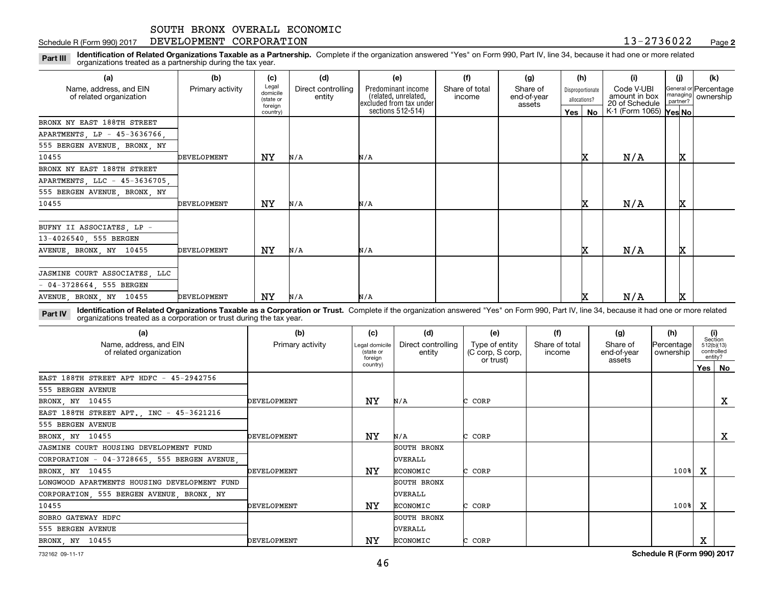### Schedule R (Form 990) 2017 **DEVELOPMENT CORPORATION** 1 3-2 7 3 6 0 2 2 <sub>Page</sub>

**2**

**Identification of Related Organizations Taxable as a Partnership.** Complete if the organization answered "Yes" on Form 990, Part IV, line 34, because it had one or more related **Part III** organizations treated as a partnership during the tax year.

| (a)                                               | (b)              | (c)                            | (d)                          | (e)                                          | (f)                      | (g)                     |         | (h)                              | (i)                                      | (j)      | (k)                                |
|---------------------------------------------------|------------------|--------------------------------|------------------------------|----------------------------------------------|--------------------------|-------------------------|---------|----------------------------------|------------------------------------------|----------|------------------------------------|
| Name, address, and EIN<br>of related organization | Primary activity | Legal<br>domicile<br>(state or | Direct controlling<br>entity | Predominant income<br>(related, unrelated,   | Share of total<br>income | Share of<br>end-of-year |         | Disproportionate<br>allocations? | Code V-UBI<br>amount in box              | managing | General or Percentage<br>ownership |
|                                                   |                  | foreign<br>country)            |                              | excluded from tax under<br>sections 512-514) |                          | assets                  | Yes $ $ | No                               | 20 of Schedule<br>K-1 (Form 1065) Yes No | partner? |                                    |
| BRONX NY EAST 188TH STREET                        |                  |                                |                              |                                              |                          |                         |         |                                  |                                          |          |                                    |
| APARTMENTS, LP - 45-3636766,                      |                  |                                |                              |                                              |                          |                         |         |                                  |                                          |          |                                    |
| 555 BERGEN AVENUE, BRONX, NY                      |                  |                                |                              |                                              |                          |                         |         |                                  |                                          |          |                                    |
| 10455                                             | DEVELOPMENT      | ΝY                             | N/A                          | N/A                                          |                          |                         |         | x                                | N/A                                      | x        |                                    |
| BRONX NY EAST 188TH STREET                        |                  |                                |                              |                                              |                          |                         |         |                                  |                                          |          |                                    |
| APARTMENTS, LLC - 45-3636705,                     |                  |                                |                              |                                              |                          |                         |         |                                  |                                          |          |                                    |
| 555 BERGEN AVENUE, BRONX, NY                      |                  |                                |                              |                                              |                          |                         |         |                                  |                                          |          |                                    |
| 10455                                             | DEVELOPMENT      | ΝY                             | N/A                          | N/A                                          |                          |                         |         |                                  | N/A                                      | X        |                                    |
| BUFNY II ASSOCIATES, LP -                         |                  |                                |                              |                                              |                          |                         |         |                                  |                                          |          |                                    |
| 13-4026540, 555 BERGEN                            |                  |                                |                              |                                              |                          |                         |         |                                  |                                          |          |                                    |
| AVENUE, BRONX, NY 10455                           | DEVELOPMENT      | ΝY                             | N/A                          | N/A                                          |                          |                         |         | IX                               | N/A                                      | x        |                                    |
|                                                   |                  |                                |                              |                                              |                          |                         |         |                                  |                                          |          |                                    |
| JASMINE COURT ASSOCIATES, LLC                     |                  |                                |                              |                                              |                          |                         |         |                                  |                                          |          |                                    |
| $-04-3728664, 555 BERGEN$                         |                  |                                |                              |                                              |                          |                         |         |                                  |                                          |          |                                    |
| AVENUE, BRONX, NY 10455                           | DEVELOPMENT      | NY                             | N/A                          | N/A                                          |                          |                         |         |                                  | N/A                                      | x        |                                    |

**Identification of Related Organizations Taxable as a Corporation or Trust.** Complete if the organization answered "Yes" on Form 990, Part IV, line 34, because it had one or more related **Part IV** organizations treated as a corporation or trust during the tax year.

| (a)<br>Name, address, and EIN<br>of related organization | (b)<br>Primary activity | (c)<br>Legal domicile<br>(state or<br>foreign | (d)<br>Direct controlling<br>entity | (e)<br>Type of entity<br>(C corp, S corp,<br>or trust) | (f)<br>Share of total<br>income | (g)<br>Share of<br>end-of-year<br>assets | (h)<br> Percentage <br>ownership |     | (i)<br>Section<br>512(b)(13)<br>controlled<br>entity? |
|----------------------------------------------------------|-------------------------|-----------------------------------------------|-------------------------------------|--------------------------------------------------------|---------------------------------|------------------------------------------|----------------------------------|-----|-------------------------------------------------------|
|                                                          |                         | country)                                      |                                     |                                                        |                                 |                                          |                                  | Yes | No                                                    |
| EAST 188TH STREET APT HDFC - 45-2942756                  |                         |                                               |                                     |                                                        |                                 |                                          |                                  |     |                                                       |
| 555 BERGEN AVENUE                                        |                         |                                               |                                     |                                                        |                                 |                                          |                                  |     |                                                       |
| BRONX, NY 10455                                          | DEVELOPMENT             | ΝY                                            | N/A                                 | CORP                                                   |                                 |                                          |                                  |     | X                                                     |
| EAST 188TH STREET APT., INC - 45-3621216                 |                         |                                               |                                     |                                                        |                                 |                                          |                                  |     |                                                       |
| 555 BERGEN AVENUE                                        |                         |                                               |                                     |                                                        |                                 |                                          |                                  |     |                                                       |
| BRONX, NY 10455                                          | DEVELOPMENT             | ΝY                                            | N/A                                 | CORP                                                   |                                 |                                          |                                  |     | X                                                     |
| JASMINE COURT HOUSING DEVELOPMENT FUND                   |                         |                                               | SOUTH BRONX                         |                                                        |                                 |                                          |                                  |     |                                                       |
| CORPORATION - 04-3728665, 555 BERGEN AVENUE,             |                         |                                               | OVERALL                             |                                                        |                                 |                                          |                                  |     |                                                       |
| BRONX, NY 10455                                          | DEVELOPMENT             | ΝY                                            | ECONOMIC                            | CORP                                                   |                                 |                                          | 100%                             | х   |                                                       |
| LONGWOOD APARTMENTS HOUSING DEVELOPMENT FUND             |                         |                                               | SOUTH BRONX                         |                                                        |                                 |                                          |                                  |     |                                                       |
| CORPORATION, 555 BERGEN AVENUE, BRONX, NY                |                         |                                               | OVERALL                             |                                                        |                                 |                                          |                                  |     |                                                       |
| 10455                                                    | DEVELOPMENT             | ΝY                                            | ECONOMIC                            | CORP                                                   |                                 |                                          | $100$ <sup>8</sup>               | х   |                                                       |
| SOBRO GATEWAY HDFC                                       |                         |                                               | SOUTH BRONX                         |                                                        |                                 |                                          |                                  |     |                                                       |
| 555 BERGEN AVENUE                                        |                         |                                               | OVERALL                             |                                                        |                                 |                                          |                                  |     |                                                       |
| BRONX, NY 10455                                          | DEVELOPMENT             | NY                                            | <b>ECONOMIC</b>                     | CORP                                                   |                                 |                                          |                                  | х   |                                                       |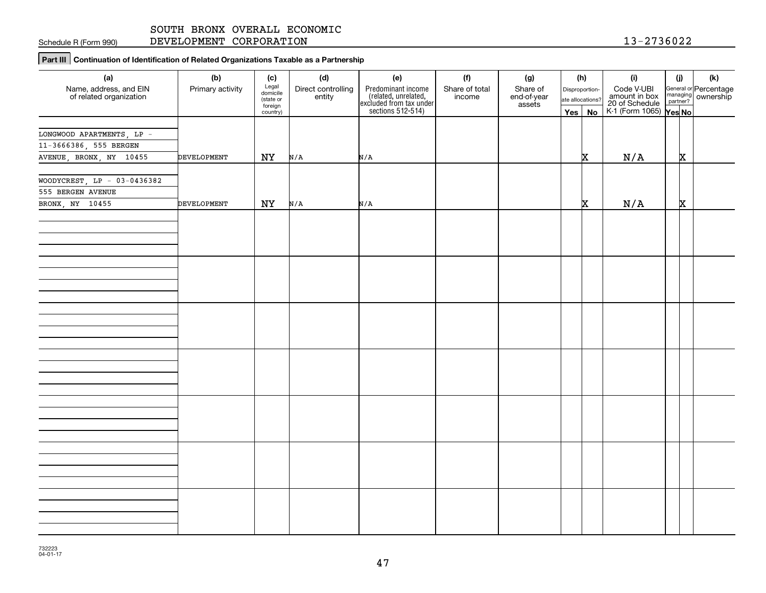Schedule R (Form 990)

DEVELOPMENT CORPORATION 13-2736022

**Part III Continuation of Identification of Related Organizations Taxable as a Partnership**

| (a)                                               | (b)                | (c)                  | (d)                          | (e)                                                                                        | (f)                      | (g)                   | (h)              | (i)                                                                        | (j) |          | (k)                                         |
|---------------------------------------------------|--------------------|----------------------|------------------------------|--------------------------------------------------------------------------------------------|--------------------------|-----------------------|------------------|----------------------------------------------------------------------------|-----|----------|---------------------------------------------|
| Name, address, and EIN<br>of related organization | Primary activity   | Legal<br>domicile    | Direct controlling<br>entity | Predominant income<br>(related, unrelated,<br>excluded from tax under<br>sections 512-514) | Share of total<br>income | Share of              | Disproportion-   | Code V-UBI<br>amount in box<br>20 of Schedule<br>K-1 (Form 1065)<br>Yes No |     |          | General or Percentage<br>managing ownership |
|                                                   |                    | (state or<br>foreign |                              |                                                                                            |                          | end-of-year<br>assets | ate allocations? |                                                                            |     |          |                                             |
|                                                   |                    | country)             |                              |                                                                                            |                          |                       | Yes   No         |                                                                            |     |          |                                             |
|                                                   |                    |                      |                              |                                                                                            |                          |                       |                  |                                                                            |     |          |                                             |
| LONGWOOD APARTMENTS, LP -                         |                    |                      |                              |                                                                                            |                          |                       |                  |                                                                            |     |          |                                             |
| 11-3666386, 555 BERGEN                            |                    |                      |                              |                                                                                            |                          |                       |                  |                                                                            |     |          |                                             |
| AVENUE, BRONX, NY 10455                           | DEVELOPMENT        | NY                   | N/A                          | N/A                                                                                        |                          |                       | x                | N/A                                                                        |     | x        |                                             |
|                                                   |                    |                      |                              |                                                                                            |                          |                       |                  |                                                                            |     |          |                                             |
| WOODYCREST, $LP - 03-0436382$                     |                    |                      |                              |                                                                                            |                          |                       |                  |                                                                            |     |          |                                             |
| 555 BERGEN AVENUE                                 |                    |                      |                              |                                                                                            |                          |                       |                  |                                                                            |     |          |                                             |
| BRONX, NY 10455                                   | <b>DEVELOPMENT</b> | NY                   | N/A                          | N/A                                                                                        |                          |                       | x                | N/A                                                                        |     | <b>x</b> |                                             |
|                                                   |                    |                      |                              |                                                                                            |                          |                       |                  |                                                                            |     |          |                                             |
|                                                   |                    |                      |                              |                                                                                            |                          |                       |                  |                                                                            |     |          |                                             |
|                                                   |                    |                      |                              |                                                                                            |                          |                       |                  |                                                                            |     |          |                                             |
|                                                   |                    |                      |                              |                                                                                            |                          |                       |                  |                                                                            |     |          |                                             |
|                                                   |                    |                      |                              |                                                                                            |                          |                       |                  |                                                                            |     |          |                                             |
|                                                   |                    |                      |                              |                                                                                            |                          |                       |                  |                                                                            |     |          |                                             |
|                                                   |                    |                      |                              |                                                                                            |                          |                       |                  |                                                                            |     |          |                                             |
|                                                   |                    |                      |                              |                                                                                            |                          |                       |                  |                                                                            |     |          |                                             |
|                                                   |                    |                      |                              |                                                                                            |                          |                       |                  |                                                                            |     |          |                                             |
|                                                   |                    |                      |                              |                                                                                            |                          |                       |                  |                                                                            |     |          |                                             |
|                                                   |                    |                      |                              |                                                                                            |                          |                       |                  |                                                                            |     |          |                                             |
|                                                   |                    |                      |                              |                                                                                            |                          |                       |                  |                                                                            |     |          |                                             |
|                                                   |                    |                      |                              |                                                                                            |                          |                       |                  |                                                                            |     |          |                                             |
|                                                   |                    |                      |                              |                                                                                            |                          |                       |                  |                                                                            |     |          |                                             |
|                                                   |                    |                      |                              |                                                                                            |                          |                       |                  |                                                                            |     |          |                                             |
|                                                   |                    |                      |                              |                                                                                            |                          |                       |                  |                                                                            |     |          |                                             |
|                                                   |                    |                      |                              |                                                                                            |                          |                       |                  |                                                                            |     |          |                                             |
|                                                   |                    |                      |                              |                                                                                            |                          |                       |                  |                                                                            |     |          |                                             |
|                                                   |                    |                      |                              |                                                                                            |                          |                       |                  |                                                                            |     |          |                                             |
|                                                   |                    |                      |                              |                                                                                            |                          |                       |                  |                                                                            |     |          |                                             |
|                                                   |                    |                      |                              |                                                                                            |                          |                       |                  |                                                                            |     |          |                                             |
|                                                   |                    |                      |                              |                                                                                            |                          |                       |                  |                                                                            |     |          |                                             |
|                                                   |                    |                      |                              |                                                                                            |                          |                       |                  |                                                                            |     |          |                                             |
|                                                   |                    |                      |                              |                                                                                            |                          |                       |                  |                                                                            |     |          |                                             |
|                                                   |                    |                      |                              |                                                                                            |                          |                       |                  |                                                                            |     |          |                                             |
|                                                   |                    |                      |                              |                                                                                            |                          |                       |                  |                                                                            |     |          |                                             |
|                                                   |                    |                      |                              |                                                                                            |                          |                       |                  |                                                                            |     |          |                                             |
|                                                   |                    |                      |                              |                                                                                            |                          |                       |                  |                                                                            |     |          |                                             |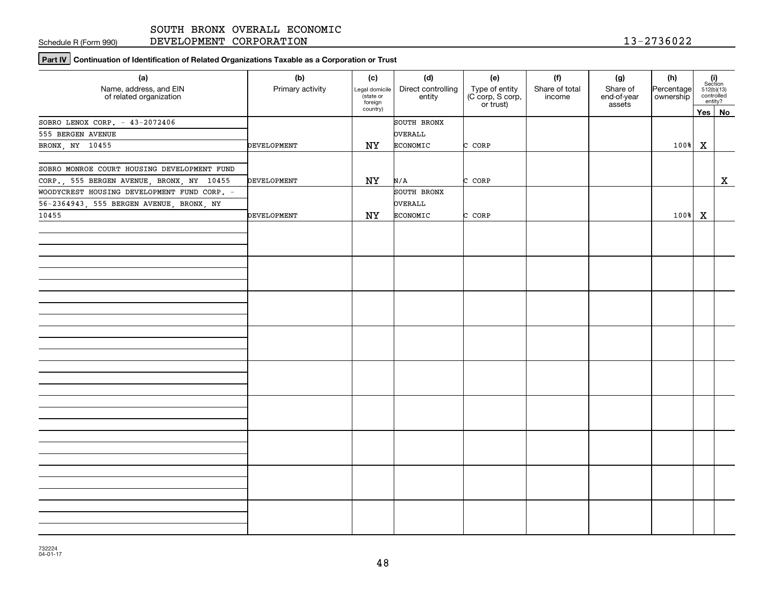Schedule R (Form 990)

DEVELOPMENT CORPORATION 13-2736022

**Part IV** Continuation of Identification of Related Organizations Taxable as a Corporation or Trust

| (a)<br>Name, address, and EIN<br>of related organization | (b)<br>Primary activity | (c)<br>Legal domicile<br>(state or<br>foreign | (d)<br>Direct controlling<br>entity | (e)<br>Type of entity<br>(C corp, S corp,<br>or trust) | (f)<br>Share of total<br>income | (g)<br>Share of<br>end-of-year<br>assets | (h)<br>Percentage<br>ownership |   | $\begin{array}{c} \textbf{(i)}\\ \text{Section}\\ 512 \text{(b)} \text{(13)}\\ \text{controlled} \end{array}$<br>entity? |
|----------------------------------------------------------|-------------------------|-----------------------------------------------|-------------------------------------|--------------------------------------------------------|---------------------------------|------------------------------------------|--------------------------------|---|--------------------------------------------------------------------------------------------------------------------------|
|                                                          |                         | country)                                      |                                     |                                                        |                                 |                                          |                                |   | Yes No                                                                                                                   |
| SOBRO LENOX CORP. - 43-2072406                           |                         |                                               | SOUTH BRONX                         |                                                        |                                 |                                          |                                |   |                                                                                                                          |
| 555 BERGEN AVENUE                                        |                         |                                               | <b>OVERALL</b>                      |                                                        |                                 |                                          |                                |   |                                                                                                                          |
| BRONX, NY 10455                                          | <b>DEVELOPMENT</b>      | NY                                            | <b>ECONOMIC</b>                     | C CORP                                                 |                                 |                                          | 100%                           | X |                                                                                                                          |
|                                                          |                         |                                               |                                     |                                                        |                                 |                                          |                                |   |                                                                                                                          |
| SOBRO MONROE COURT HOUSING DEVELOPMENT FUND              |                         |                                               |                                     |                                                        |                                 |                                          |                                |   |                                                                                                                          |
| CORP., 555 BERGEN AVENUE, BRONX, NY 10455                | DEVELOPMENT             | NY                                            | N/A                                 | C CORP                                                 |                                 |                                          |                                |   | $\mathbf x$                                                                                                              |
| WOODYCREST HOUSING DEVELOPMENT FUND CORP. -              |                         |                                               | SOUTH BRONX                         |                                                        |                                 |                                          |                                |   |                                                                                                                          |
| 56-2364943, 555 BERGEN AVENUE, BRONX, NY                 |                         |                                               | OVERALL                             |                                                        |                                 |                                          |                                |   |                                                                                                                          |
| 10455                                                    | DEVELOPMENT             | NY                                            | <b>ECONOMIC</b>                     | C CORP                                                 |                                 |                                          | $100$ <sup>\</sup> $\ X$       |   |                                                                                                                          |
|                                                          |                         |                                               |                                     |                                                        |                                 |                                          |                                |   |                                                                                                                          |
|                                                          |                         |                                               |                                     |                                                        |                                 |                                          |                                |   |                                                                                                                          |
|                                                          |                         |                                               |                                     |                                                        |                                 |                                          |                                |   |                                                                                                                          |
|                                                          |                         |                                               |                                     |                                                        |                                 |                                          |                                |   |                                                                                                                          |
|                                                          |                         |                                               |                                     |                                                        |                                 |                                          |                                |   |                                                                                                                          |
|                                                          |                         |                                               |                                     |                                                        |                                 |                                          |                                |   |                                                                                                                          |
|                                                          |                         |                                               |                                     |                                                        |                                 |                                          |                                |   |                                                                                                                          |
|                                                          |                         |                                               |                                     |                                                        |                                 |                                          |                                |   |                                                                                                                          |
|                                                          |                         |                                               |                                     |                                                        |                                 |                                          |                                |   |                                                                                                                          |
|                                                          |                         |                                               |                                     |                                                        |                                 |                                          |                                |   |                                                                                                                          |
|                                                          |                         |                                               |                                     |                                                        |                                 |                                          |                                |   |                                                                                                                          |
|                                                          |                         |                                               |                                     |                                                        |                                 |                                          |                                |   |                                                                                                                          |
|                                                          |                         |                                               |                                     |                                                        |                                 |                                          |                                |   |                                                                                                                          |
|                                                          |                         |                                               |                                     |                                                        |                                 |                                          |                                |   |                                                                                                                          |
|                                                          |                         |                                               |                                     |                                                        |                                 |                                          |                                |   |                                                                                                                          |
|                                                          |                         |                                               |                                     |                                                        |                                 |                                          |                                |   |                                                                                                                          |
|                                                          |                         |                                               |                                     |                                                        |                                 |                                          |                                |   |                                                                                                                          |
|                                                          |                         |                                               |                                     |                                                        |                                 |                                          |                                |   |                                                                                                                          |
|                                                          |                         |                                               |                                     |                                                        |                                 |                                          |                                |   |                                                                                                                          |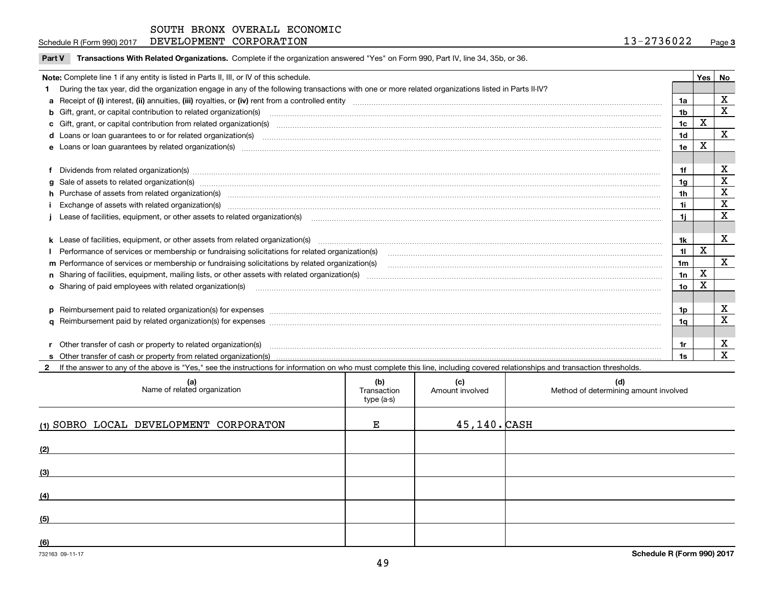$\overline{a}$ 

**Part V** T**ransactions With Related Organizations.** Complete if the organization answered "Yes" on Form 990, Part IV, line 34, 35b, or 36.

| Note: Complete line 1 if any entity is listed in Parts II, III, or IV of this schedule. |                                                                                                                                                                                                                                |                 |       |              |  |  |  |
|-----------------------------------------------------------------------------------------|--------------------------------------------------------------------------------------------------------------------------------------------------------------------------------------------------------------------------------|-----------------|-------|--------------|--|--|--|
|                                                                                         |                                                                                                                                                                                                                                |                 | Yes l | No           |  |  |  |
|                                                                                         | During the tax year, did the organization engage in any of the following transactions with one or more related organizations listed in Parts II-IV?                                                                            |                 |       |              |  |  |  |
|                                                                                         |                                                                                                                                                                                                                                | 1a              |       | X            |  |  |  |
|                                                                                         | b Gift, grant, or capital contribution to related organization(s) manufaction(s) and content to related organization(s) and contribution to related organization(s) manufactured content of the state of the state of Gift, gr | 1 <sub>b</sub>  |       | $\mathbf x$  |  |  |  |
|                                                                                         | c Gift, grant, or capital contribution from related organization(s) www.communities.com/www.communities.com/www.communities.com/www.communities.com/www.communities.com/www.communities.com/www.communities.com/www.communitie | 1c              | X     |              |  |  |  |
|                                                                                         | d Loans or loan guarantees to or for related organization(s) mature material content to consume the content of the content of the content of the content of the content of the content of the content of the content of the co | 1 <sub>d</sub>  |       | $\mathbf X$  |  |  |  |
|                                                                                         |                                                                                                                                                                                                                                | 1e              | X     |              |  |  |  |
|                                                                                         |                                                                                                                                                                                                                                |                 |       |              |  |  |  |
|                                                                                         | f Dividends from related organization(s) material contents and content to the content of the content of the content of the content of the content of the content of the content of the content of the content of the content o | 1f              |       | x            |  |  |  |
|                                                                                         | g Sale of assets to related organization(s) www.assettion.com/www.assettion.com/www.assettion.com/www.assettion.com/www.assettion.com/www.assettion.com/www.assettion.com/www.assettion.com/www.assettion.com/www.assettion.co | 1a              |       | X            |  |  |  |
|                                                                                         | h Purchase of assets from related organization(s) manufactured and content to content and content and content and content and content and content and content and content and content and content and content and content and  | 1 <sub>h</sub>  |       | X            |  |  |  |
|                                                                                         |                                                                                                                                                                                                                                | 1i              |       | X            |  |  |  |
|                                                                                         |                                                                                                                                                                                                                                | 1i              |       | X            |  |  |  |
|                                                                                         |                                                                                                                                                                                                                                |                 |       |              |  |  |  |
|                                                                                         | k Lease of facilities, equipment, or other assets from related organization(s) manufaction content and content to the assets from related organization(s) manufaction content and content and content and content and content  | 1k              |       | X            |  |  |  |
|                                                                                         |                                                                                                                                                                                                                                | 11              | Χ     |              |  |  |  |
|                                                                                         | m Performance of services or membership or fundraising solicitations by related organization(s)                                                                                                                                | 1 <sub>m</sub>  |       | $\mathbf{x}$ |  |  |  |
|                                                                                         |                                                                                                                                                                                                                                | 1n              | X     |              |  |  |  |
|                                                                                         | <b>o</b> Sharing of paid employees with related organization(s)                                                                                                                                                                | 10 <sub>o</sub> | X     |              |  |  |  |
|                                                                                         |                                                                                                                                                                                                                                |                 |       |              |  |  |  |
|                                                                                         |                                                                                                                                                                                                                                | 1p.             |       | X            |  |  |  |
|                                                                                         |                                                                                                                                                                                                                                | 1a              |       | $\mathbf x$  |  |  |  |
|                                                                                         |                                                                                                                                                                                                                                |                 |       |              |  |  |  |
|                                                                                         | r Other transfer of cash or property to related organization(s)                                                                                                                                                                | 1r              |       | X            |  |  |  |
|                                                                                         |                                                                                                                                                                                                                                | 1s              |       | X            |  |  |  |
|                                                                                         | 2 If the answer to any of the above is "Yes," see the instructions for information on who must complete this line, including covered relationships and transaction thresholds.                                                 |                 |       |              |  |  |  |

| (a)<br>Name of related organization    | (b)<br>Transaction<br>type (a-s) | (c)<br>Amount involved | (d)<br>Method of determining amount involved |
|----------------------------------------|----------------------------------|------------------------|----------------------------------------------|
| (1) SOBRO LOCAL DEVELOPMENT CORPORATON | Е                                | $45, 140.$ CASH        |                                              |
| (2)                                    |                                  |                        |                                              |
| (3)                                    |                                  |                        |                                              |
| (4)                                    |                                  |                        |                                              |
| (5)                                    |                                  |                        |                                              |
| (6)                                    |                                  |                        |                                              |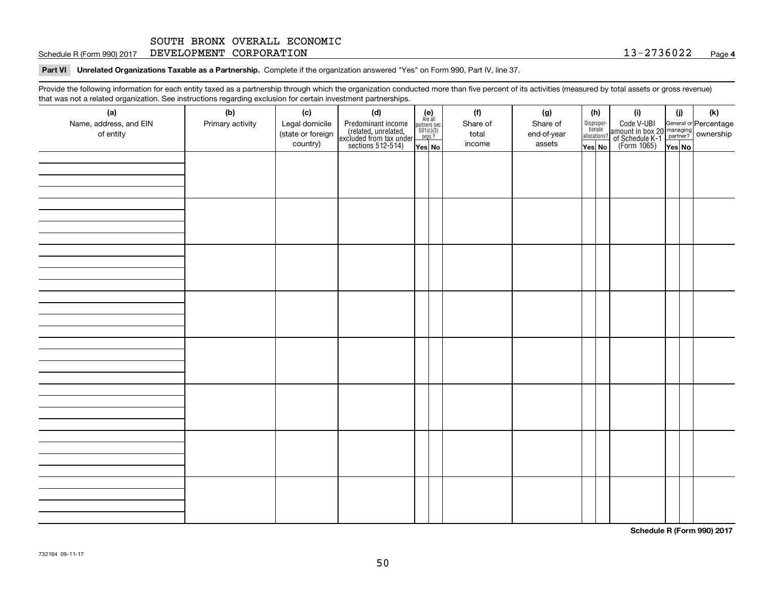**Part VI Unrelated Organizations Taxable as a Partnership. Complete if the organization answered "Yes" on Form 990, Part IV, line 37.** 

Provide the following information for each entity taxed as a partnership through which the organization conducted more than five percent of its activities (measured by total assets or gross revenue) that was not a related organization. See instructions regarding exclusion for certain investment partnerships.

| (a)<br>Name, address, and EIN<br>of entity | (b)<br>Primary activity | (c)<br>Legal domicile<br>(state or foreign<br>country) | (d)<br>Predominant income<br>(related, unrelated,<br>excluded from tax under<br>sections 512-514) | (e)<br>Are all<br>partners sec.<br>$501(c)(3)$<br>orgs.?<br>Yes No | (f)<br>Share of<br>total<br>income | (g)<br>Share of<br>end-of-year<br>assets | allocations?<br>Yes No | (h)<br>Dispropor-<br>tionate | (i)<br>Code V-UBI<br>amount in box 20 managing<br>of Schedule K-1<br>(Form 1065)<br>$\overline{Y}$ ves No | (i) | (k) |
|--------------------------------------------|-------------------------|--------------------------------------------------------|---------------------------------------------------------------------------------------------------|--------------------------------------------------------------------|------------------------------------|------------------------------------------|------------------------|------------------------------|-----------------------------------------------------------------------------------------------------------|-----|-----|
|                                            |                         |                                                        |                                                                                                   |                                                                    |                                    |                                          |                        |                              |                                                                                                           |     |     |
|                                            |                         |                                                        |                                                                                                   |                                                                    |                                    |                                          |                        |                              |                                                                                                           |     |     |
|                                            |                         |                                                        |                                                                                                   |                                                                    |                                    |                                          |                        |                              |                                                                                                           |     |     |
|                                            |                         |                                                        |                                                                                                   |                                                                    |                                    |                                          |                        |                              |                                                                                                           |     |     |
|                                            |                         |                                                        |                                                                                                   |                                                                    |                                    |                                          |                        |                              |                                                                                                           |     |     |
|                                            |                         |                                                        |                                                                                                   |                                                                    |                                    |                                          |                        |                              |                                                                                                           |     |     |
|                                            |                         |                                                        |                                                                                                   |                                                                    |                                    |                                          |                        |                              |                                                                                                           |     |     |
|                                            |                         |                                                        |                                                                                                   |                                                                    |                                    |                                          |                        |                              |                                                                                                           |     |     |

**Schedule R (Form 990) 2017**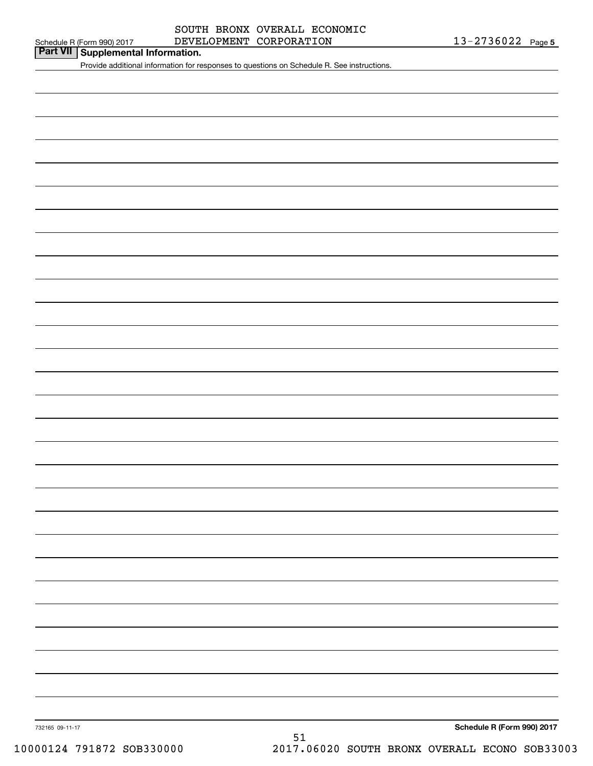# Schedule R (Form 990) 2017 Page DEVELOPMENT CORPORATION 13-2736022 SOUTH BRONX OVERALL ECONOMIC

# **Part VII Supplemental Information.**

Provide additional information for responses to questions on Schedule R. See instructions.

732165 09-11-17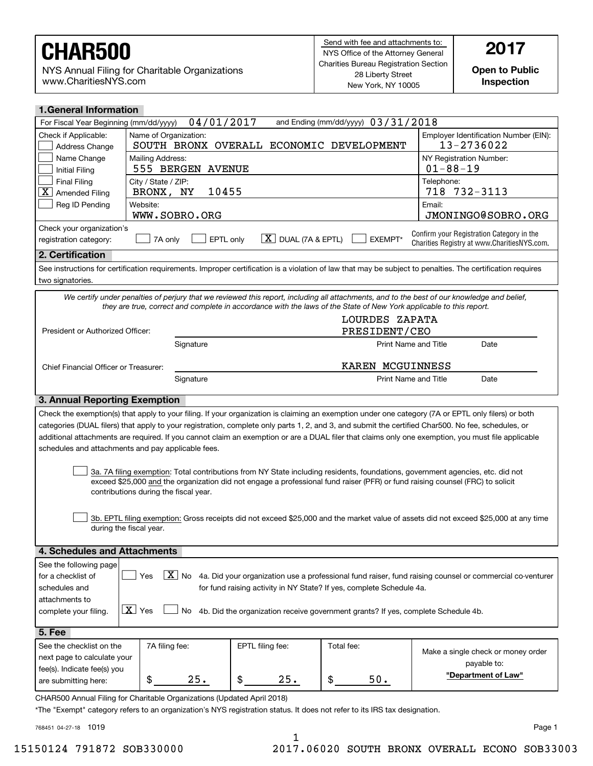NYS Annual Filing for Charitable Organizations www.CharitiesNYS.com

**Open to Public Inspection**

| <b>1.General Information</b>                                                                                                                                                                                                                                                                             |                                                                                                                                                                                                   |                                                                                                                                                           |                                 |                                                                                                                                                                                                                                                                                                                                                                                                                                                                 |  |  |
|----------------------------------------------------------------------------------------------------------------------------------------------------------------------------------------------------------------------------------------------------------------------------------------------------------|---------------------------------------------------------------------------------------------------------------------------------------------------------------------------------------------------|-----------------------------------------------------------------------------------------------------------------------------------------------------------|---------------------------------|-----------------------------------------------------------------------------------------------------------------------------------------------------------------------------------------------------------------------------------------------------------------------------------------------------------------------------------------------------------------------------------------------------------------------------------------------------------------|--|--|
| 04/01/2017<br>and Ending (mm/dd/yyyy) $03/31/2018$<br>For Fiscal Year Beginning (mm/dd/yyyy)                                                                                                                                                                                                             |                                                                                                                                                                                                   |                                                                                                                                                           |                                 |                                                                                                                                                                                                                                                                                                                                                                                                                                                                 |  |  |
| Check if Applicable:<br>Address Change                                                                                                                                                                                                                                                                   | Name of Organization:<br>SOUTH BRONX OVERALL ECONOMIC DEVELOPMENT                                                                                                                                 | Employer Identification Number (EIN):<br>13-2736022                                                                                                       |                                 |                                                                                                                                                                                                                                                                                                                                                                                                                                                                 |  |  |
| Name Change<br>Initial Filing                                                                                                                                                                                                                                                                            | Mailing Address:<br>555 BERGEN AVENUE                                                                                                                                                             | NY Registration Number:<br>$01 - 88 - 19$                                                                                                                 |                                 |                                                                                                                                                                                                                                                                                                                                                                                                                                                                 |  |  |
| <b>Final Filing</b><br>$\overline{\mathbf{X}}$<br><b>Amended Filing</b>                                                                                                                                                                                                                                  | City / State / ZIP:<br>10455<br>BRONX, NY                                                                                                                                                         |                                                                                                                                                           |                                 | Telephone:<br>718 732-3113                                                                                                                                                                                                                                                                                                                                                                                                                                      |  |  |
| Reg ID Pending                                                                                                                                                                                                                                                                                           | Website:<br>WWW.SOBRO.ORG                                                                                                                                                                         |                                                                                                                                                           |                                 | Email:<br>JMONINGO@SOBRO.ORG                                                                                                                                                                                                                                                                                                                                                                                                                                    |  |  |
| registration category:                                                                                                                                                                                                                                                                                   | Check your organization's<br>Confirm your Registration Category in the<br>$\boxed{\textbf{X}}$ DUAL (7A & EPTL)<br>EPTL only<br>EXEMPT*<br>7A only<br>Charities Registry at www.CharitiesNYS.com. |                                                                                                                                                           |                                 |                                                                                                                                                                                                                                                                                                                                                                                                                                                                 |  |  |
| 2. Certification                                                                                                                                                                                                                                                                                         |                                                                                                                                                                                                   |                                                                                                                                                           |                                 |                                                                                                                                                                                                                                                                                                                                                                                                                                                                 |  |  |
| two signatories.                                                                                                                                                                                                                                                                                         |                                                                                                                                                                                                   |                                                                                                                                                           |                                 | See instructions for certification requirements. Improper certification is a violation of law that may be subject to penalties. The certification requires                                                                                                                                                                                                                                                                                                      |  |  |
|                                                                                                                                                                                                                                                                                                          | they are true, correct and complete in accordance with the laws of the State of New York applicable to this report.                                                                               |                                                                                                                                                           |                                 | We certify under penalties of perjury that we reviewed this report, including all attachments, and to the best of our knowledge and belief,                                                                                                                                                                                                                                                                                                                     |  |  |
| President or Authorized Officer:                                                                                                                                                                                                                                                                         |                                                                                                                                                                                                   |                                                                                                                                                           | LOURDES ZAPATA<br>PRESIDENT/CEO |                                                                                                                                                                                                                                                                                                                                                                                                                                                                 |  |  |
|                                                                                                                                                                                                                                                                                                          | Signature                                                                                                                                                                                         |                                                                                                                                                           | Print Name and Title            | Date                                                                                                                                                                                                                                                                                                                                                                                                                                                            |  |  |
| Chief Financial Officer or Treasurer:                                                                                                                                                                                                                                                                    |                                                                                                                                                                                                   |                                                                                                                                                           | KAREN MCGUINNESS                |                                                                                                                                                                                                                                                                                                                                                                                                                                                                 |  |  |
|                                                                                                                                                                                                                                                                                                          | Signature                                                                                                                                                                                         |                                                                                                                                                           | <b>Print Name and Title</b>     | Date                                                                                                                                                                                                                                                                                                                                                                                                                                                            |  |  |
| 3. Annual Reporting Exemption                                                                                                                                                                                                                                                                            |                                                                                                                                                                                                   |                                                                                                                                                           |                                 |                                                                                                                                                                                                                                                                                                                                                                                                                                                                 |  |  |
|                                                                                                                                                                                                                                                                                                          | schedules and attachments and pay applicable fees.                                                                                                                                                |                                                                                                                                                           |                                 | Check the exemption(s) that apply to your filing. If your organization is claiming an exemption under one category (7A or EPTL only filers) or both<br>categories (DUAL filers) that apply to your registration, complete only parts 1, 2, and 3, and submit the certified Char500. No fee, schedules, or<br>additional attachments are required. If you cannot claim an exemption or are a DUAL filer that claims only one exemption, you must file applicable |  |  |
| 3a. 7A filing exemption: Total contributions from NY State including residents, foundations, government agencies, etc. did not<br>exceed \$25,000 and the organization did not engage a professional fund raiser (PFR) or fund raising counsel (FRC) to solicit<br>contributions during the fiscal year. |                                                                                                                                                                                                   |                                                                                                                                                           |                                 |                                                                                                                                                                                                                                                                                                                                                                                                                                                                 |  |  |
| 3b. EPTL filing exemption: Gross receipts did not exceed \$25,000 and the market value of assets did not exceed \$25,000 at any time<br>during the fiscal year.                                                                                                                                          |                                                                                                                                                                                                   |                                                                                                                                                           |                                 |                                                                                                                                                                                                                                                                                                                                                                                                                                                                 |  |  |
| 4. Schedules and Attachments                                                                                                                                                                                                                                                                             |                                                                                                                                                                                                   |                                                                                                                                                           |                                 |                                                                                                                                                                                                                                                                                                                                                                                                                                                                 |  |  |
| See the following page<br>for a checklist of<br>schedules and<br>attachments to<br>complete your filing.                                                                                                                                                                                                 | $\boxed{\text{X}}$ No<br>Yes<br>$\boxed{\mathbf{X}}$ Yes<br>No                                                                                                                                    | for fund raising activity in NY State? If yes, complete Schedule 4a.<br>4b. Did the organization receive government grants? If yes, complete Schedule 4b. |                                 | 4a. Did your organization use a professional fund raiser, fund raising counsel or commercial co-venturer                                                                                                                                                                                                                                                                                                                                                        |  |  |
| 5. Fee                                                                                                                                                                                                                                                                                                   |                                                                                                                                                                                                   |                                                                                                                                                           |                                 |                                                                                                                                                                                                                                                                                                                                                                                                                                                                 |  |  |
| See the checklist on the<br>next page to calculate your<br>fee(s). Indicate fee(s) you<br>are submitting here:                                                                                                                                                                                           | 7A filing fee:<br>\$<br>25.                                                                                                                                                                       | EPTL filing fee:<br>\$<br>25.                                                                                                                             | Total fee:<br>\$<br>50.         | Make a single check or money order<br>payable to:<br>"Department of Law"                                                                                                                                                                                                                                                                                                                                                                                        |  |  |
|                                                                                                                                                                                                                                                                                                          |                                                                                                                                                                                                   |                                                                                                                                                           |                                 |                                                                                                                                                                                                                                                                                                                                                                                                                                                                 |  |  |

CHAR500 Annual Filing for Charitable Organizations (Updated April 2018)

\*The "Exempt" category refers to an organization's NYS registration status. It does not refer to its IRS tax designation.

768451 04-27-18 1019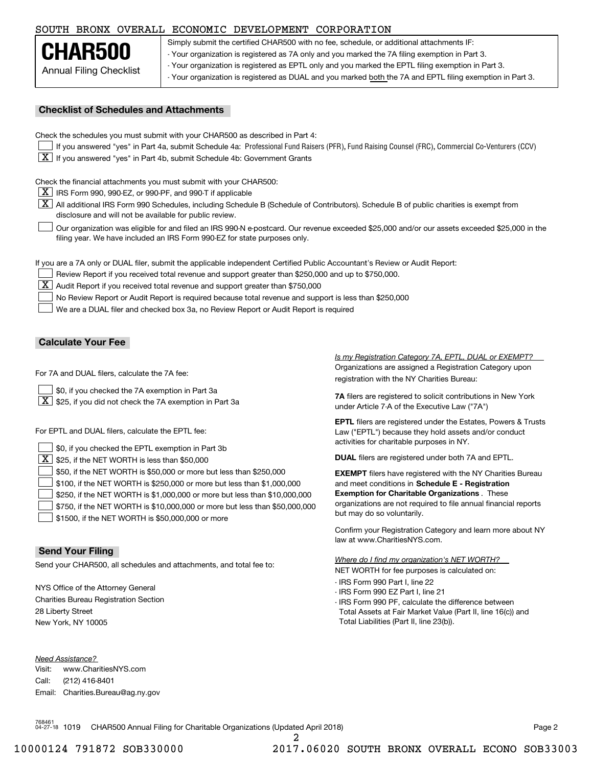# SOUTH BRONX OVERALL ECONOMIC DEVELOPMENT CORPORATION

| CHAR500                 |
|-------------------------|
| Annual Filing Checklist |

Simply submit the certified CHAR500 with no fee, schedule, or additional attachments IF: - Your organization is registered as 7A only and you marked the 7A filing exemption in Part 3. - Your organization is registered as EPTL only and you marked the EPTL filing exemption in Part 3. - Your organization is registered as DUAL and you marked both the 7A and EPTL filing exemption in Part 3.

### **Checklist of Schedules and Attachments**

Check the schedules you must submit with your CHAR500 as described in Part 4:

- If you answered "yes" in Part 4a, submit Schedule 4a: Professional Fund Raisers (PFR), Fund Raising Counsel (FRC), Commercial Co-Venturers (CCV)
- $\boxed{\textbf{X}}$  If you answered "yes" in Part 4b, submit Schedule 4b: Government Grants

Check the financial attachments you must submit with your CHAR500:

 $\boxed{\textbf{X}}$  IRS Form 990, 990-EZ, or 990-PF, and 990-T if applicable

 $\boxed{\textbf{X}}$  All additional IRS Form 990 Schedules, including Schedule B (Schedule of Contributors). Schedule B of public charities is exempt from disclosure and will not be available for public review.

Our organization was eligible for and filed an IRS 990-N e-postcard. Our revenue exceeded \$25,000 and/or our assets exceeded \$25,000 in the filing year. We have included an IRS Form 990-EZ for state purposes only.  $\mathcal{L}^{\text{max}}$ 

If you are a 7A only or DUAL filer, submit the applicable independent Certified Public Accountant's Review or Audit Report:

Review Report if you received total revenue and support greater than \$250,000 and up to \$750,000.

 $\boxed{\textbf{X}}$  Audit Report if you received total revenue and support greater than \$750,000

No Review Report or Audit Report is required because total revenue and support is less than \$250,000  $\mathcal{L}^{\text{max}}$ 

We are a DUAL filer and checked box 3a, no Review Report or Audit Report is required  $\mathcal{L}^{\text{max}}$ 

### **Calculate Your Fee**

For 7A and DUAL filers, calculate the 7A fee:

\$0, if you checked the 7A exemption in Part 3a  $\mathcal{L}^{\text{max}}$ 

 $\boxed{\textbf{X}}$  \$25, if you did not check the 7A exemption in Part 3a

For EPTL and DUAL filers, calculate the EPTL fee:

| \$0, if you checked the EPTL exemption in Part 3b                                    | activities for charitable purposes in NY.                         |  |  |  |
|--------------------------------------------------------------------------------------|-------------------------------------------------------------------|--|--|--|
| $\boxed{\textbf{X}}$ \$25, if the NET WORTH is less than \$50,000                    | <b>DUAL</b> filers are registered under both 7A and EPTL.         |  |  |  |
| $\Box$ \$50, if the NET WORTH is \$50,000 or more but less than \$250,000            | <b>EXEMPT</b> filers have registered with the NY Charities Bureau |  |  |  |
| $\Box$ \$100, if the NET WORTH is \$250,000 or more but less than \$1,000,000        | and meet conditions in Schedule E - Registration                  |  |  |  |
| \$250, if the NET WORTH is \$1,000,000 or more but less than \$10,000,000            | <b>Exemption for Charitable Organizations.</b> These              |  |  |  |
| $\rfloor$ \$750, if the NET WORTH is \$10,000,000 or more but less than \$50,000,000 | organizations are not required to file annual financial reports   |  |  |  |
| \$1500, if the NET WORTH is \$50,000,000 or more                                     | but may do so voluntarily.                                        |  |  |  |

### **Send Your Filing**

Send your CHAR500, all schedules and attachments, and total fee to:

NYS Office of the Attorney General Charities Bureau Registration Section 28 Liberty Street New York, NY 10005

*Need Assistance?*

Visit:Call:Email:Charities.Bureau@ag.ny.gov www.CharitiesNYS.com(212) 416-8401

Organizations are assigned a Registration Category upon registration with the NY Charities Bureau: *Is my Registration Category 7A, EPTL, DUAL or EXEMPT?* 

**7A** filers are registered to solicit contributions in New York under Article 7-A of the Executive Law ("7A")

**EPTL** filers are registered under the Estates, Powers & Trusts Law ("EPTL") because they hold assets and/or conduct activities for charitable purposes in NY.

Confirm your Registration Category and learn more about NY law at www.CharitiesNYS.com.

NET WORTH for fee purposes is calculated on: *Where do I find my organization's NET WORTH?*

- IRS Form 990 Part I, line 22
- IRS Form 990 EZ Part I, line 21
- 
- IRS Form 990 PF, calculate the difference between Total Assets at Fair Market Value (Part II, line 16(c)) and Total Liabilities (Part II, line 23(b)).

768461 04-27-18 1019 CHAR500 Annual Filing for Charitable Organizations (Updated April 2018) Page 2

2